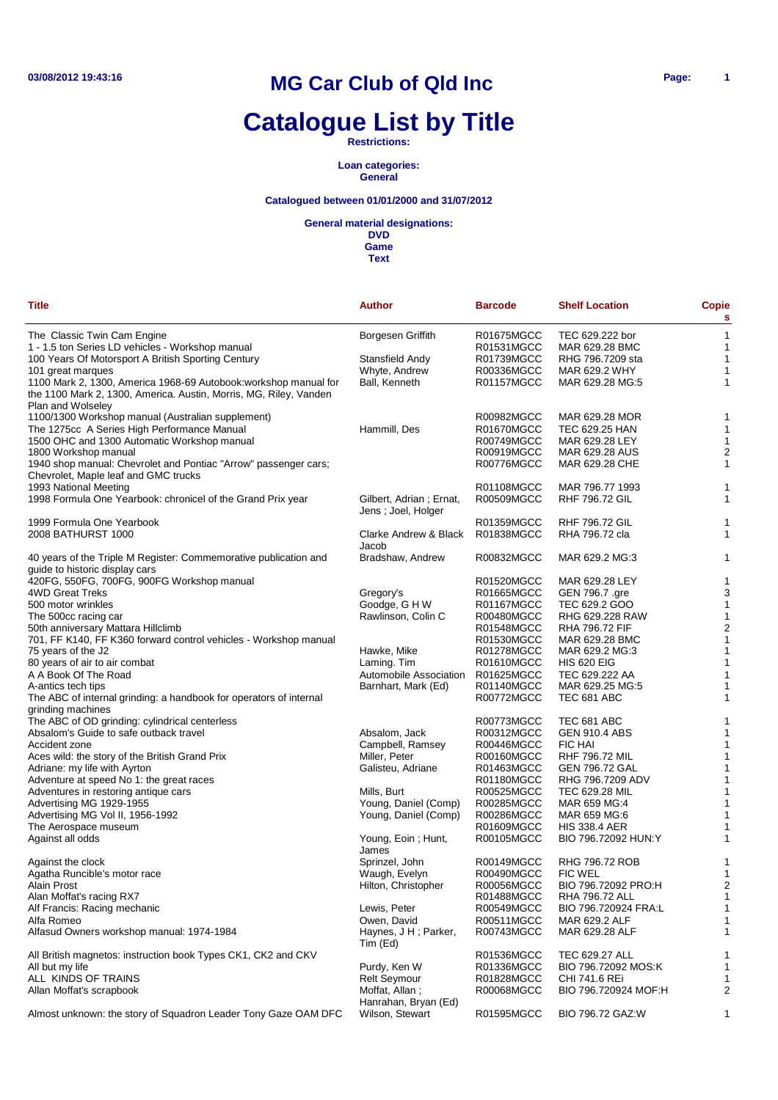# **Catalogue List by Title**

**Restrictions:**

**Loan categories: General**

### **Catalogued between 01/01/2000 and 31/07/2012**

**General material designations:**

**DVD Game**

| <b>Title</b>                                                                                            | <b>Author</b>                                 | <b>Barcode</b>           | <b>Shelf Location</b>          | <b>Copie</b><br>s |
|---------------------------------------------------------------------------------------------------------|-----------------------------------------------|--------------------------|--------------------------------|-------------------|
| The Classic Twin Cam Engine                                                                             | Borgesen Griffith                             | R01675MGCC               | TEC 629.222 bor                | $\mathbf{1}$      |
| 1 - 1.5 ton Series LD vehicles - Workshop manual                                                        |                                               | R01531MGCC               | MAR 629.28 BMC                 | $\mathbf{1}$      |
| 100 Years Of Motorsport A British Sporting Century                                                      | Stansfield Andy                               | R01739MGCC               | RHG 796.7209 sta               | 1                 |
| 101 great marques                                                                                       | Whyte, Andrew                                 | R00336MGCC               | MAR 629.2 WHY                  | 1                 |
| 1100 Mark 2, 1300, America 1968-69 Autobook: workshop manual for                                        | Ball, Kenneth                                 | R01157MGCC               | MAR 629.28 MG:5                | 1                 |
| the 1100 Mark 2, 1300, America. Austin, Morris, MG, Riley, Vanden                                       |                                               |                          |                                |                   |
| Plan and Wolseley                                                                                       |                                               |                          |                                |                   |
| 1100/1300 Workshop manual (Australian supplement)                                                       |                                               | R00982MGCC               | MAR 629.28 MOR                 | 1                 |
| The 1275cc A Series High Performance Manual                                                             | Hammill, Des                                  | R01670MGCC               | TEC 629.25 HAN                 | 1                 |
| 1500 OHC and 1300 Automatic Workshop manual                                                             |                                               | R00749MGCC               | MAR 629.28 LEY                 | 1                 |
| 1800 Workshop manual                                                                                    |                                               | R00919MGCC               | MAR 629.28 AUS                 | 2                 |
| 1940 shop manual: Chevrolet and Pontiac "Arrow" passenger cars;<br>Chevrolet, Maple leaf and GMC trucks |                                               | R00776MGCC               | MAR 629.28 CHE                 | 1                 |
| 1993 National Meeting                                                                                   |                                               | R01108MGCC               | MAR 796.77 1993                | 1                 |
| 1998 Formula One Yearbook: chronicel of the Grand Prix year                                             | Gilbert, Adrian; Ernat,<br>Jens; Joel, Holger | R00509MGCC               | <b>RHF 796.72 GIL</b>          | 1                 |
| 1999 Formula One Yearbook                                                                               |                                               | R01359MGCC               | <b>RHF 796.72 GIL</b>          | 1                 |
| 2008 BATHURST 1000                                                                                      | Clarke Andrew & Black                         | R01838MGCC               | RHA 796.72 cla                 | 1                 |
|                                                                                                         | Jacob                                         |                          |                                |                   |
| 40 years of the Triple M Register: Commemorative publication and<br>guide to historic display cars      | Bradshaw, Andrew                              | R00832MGCC               | MAR 629.2 MG:3                 | 1                 |
| 420FG, 550FG, 700FG, 900FG Workshop manual                                                              |                                               | R01520MGCC               | MAR 629.28 LEY                 | 1                 |
| 4WD Great Treks                                                                                         | Gregory's                                     | R01665MGCC               | GEN 796.7 .gre                 | 3                 |
| 500 motor wrinkles                                                                                      | Goodge, G H W                                 | R01167MGCC               | TEC 629.2 GOO                  | -1                |
| The 500cc racing car                                                                                    | Rawlinson, Colin C                            | R00480MGCC               | RHG 629.228 RAW                | 1                 |
| 50th anniversary Mattara Hillclimb                                                                      |                                               | R01548MGCC               | <b>RHA 796.72 FIF</b>          | $\overline{c}$    |
| 701, FF K140, FF K360 forward control vehicles - Workshop manual                                        |                                               | R01530MGCC               | MAR 629.28 BMC                 | 1                 |
|                                                                                                         |                                               | R01278MGCC               | MAR 629.2 MG:3                 | 1                 |
| 75 years of the J2                                                                                      | Hawke, Mike                                   |                          |                                |                   |
| 80 years of air to air combat                                                                           | Laming. Tim                                   | R01610MGCC               | <b>HIS 620 EIG</b>             | 1                 |
| A A Book Of The Road                                                                                    | Automobile Association                        | R01625MGCC               | TEC 629.222 AA                 | 1                 |
| A-antics tech tips<br>The ABC of internal grinding: a handbook for operators of internal                | Barnhart, Mark (Ed)                           | R01140MGCC<br>R00772MGCC | MAR 629.25 MG:5<br>TEC 681 ABC | 1<br>1            |
| grinding machines                                                                                       |                                               |                          |                                |                   |
| The ABC of OD grinding: cylindrical centerless                                                          |                                               | R00773MGCC               | TEC 681 ABC                    |                   |
| Absalom's Guide to safe outback travel                                                                  | Absalom, Jack                                 | R00312MGCC               | <b>GEN 910.4 ABS</b>           | 1                 |
| Accident zone                                                                                           | Campbell, Ramsey                              | R00446MGCC               | <b>FIC HAI</b>                 | 1                 |
| Aces wild: the story of the British Grand Prix                                                          | Miller, Peter                                 | R00160MGCC               | RHF 796.72 MIL                 | 1                 |
| Adriane: my life with Ayrton                                                                            | Galisteu, Adriane                             | R01463MGCC               | <b>GEN 796.72 GAL</b>          | 1                 |
| Adventure at speed No 1: the great races                                                                |                                               | R01180MGCC               | RHG 796.7209 ADV               | 1                 |
| Adventures in restoring antique cars                                                                    | Mills, Burt                                   | R00525MGCC               | <b>TEC 629.28 MIL</b>          | 1                 |
| Advertising MG 1929-1955                                                                                | Young, Daniel (Comp)                          | R00285MGCC               | MAR 659 MG:4                   | 1                 |
| Advertising MG Vol II, 1956-1992                                                                        | Young, Daniel (Comp)                          | R00286MGCC               | MAR 659 MG:6                   |                   |
| The Aerospace museum                                                                                    |                                               | R01609MGCC               | <b>HIS 338.4 AER</b>           | 1                 |
| Against all odds                                                                                        | Young, Eoin; Hunt,                            | R00105MGCC               | BIO 796.72092 HUN:Y            | 1                 |
|                                                                                                         | James                                         |                          |                                |                   |
| Against the clock                                                                                       | Sprinzel, John                                | R00149MGCC               | RHG 796.72 ROB                 | 1                 |
| Agatha Runcible's motor race                                                                            | Waugh, Evelyn                                 | R00490MGCC               | <b>FIC WEL</b>                 | 1                 |
| Alain Prost                                                                                             | Hilton, Christopher                           | R00056MGCC               | BIO 796.72092 PRO:H            | 2                 |
| Alan Moffat's racing RX7                                                                                |                                               | R01488MGCC               | RHA 796.72 ALL                 | 1                 |
| Alf Francis: Racing mechanic                                                                            | Lewis, Peter                                  | R00549MGCC               | BIO 796.720924 FRA:L           | 1                 |
| Alfa Romeo                                                                                              | Owen, David                                   | R00511MGCC               | MAR 629.2 ALF                  | 1                 |
| Alfasud Owners workshop manual: 1974-1984                                                               | Haynes, J H; Parker,<br>Tim (Ed)              | R00743MGCC               | MAR 629.28 ALF                 | 1                 |
| All British magnetos: instruction book Types CK1, CK2 and CKV                                           |                                               | R01536MGCC               | TEC 629.27 ALL                 | 1                 |
| All but my life                                                                                         | Purdy, Ken W                                  | R01336MGCC               | BIO 796.72092 MOS:K            | 1                 |
| ALL KINDS OF TRAINS                                                                                     | <b>Relt Seymour</b>                           | R01828MGCC               | CHI 741.6 REi                  | 1                 |
| Allan Moffat's scrapbook                                                                                | Moffat, Allan;                                | R00068MGCC               | BIO 796.720924 MOF:H           | 2                 |
|                                                                                                         | Hanrahan, Bryan (Ed)                          |                          |                                |                   |
| Almost unknown: the story of Squadron Leader Tony Gaze OAM DFC                                          | Wilson, Stewart                               | R01595MGCC               | BIO 796.72 GAZ:W               | 1                 |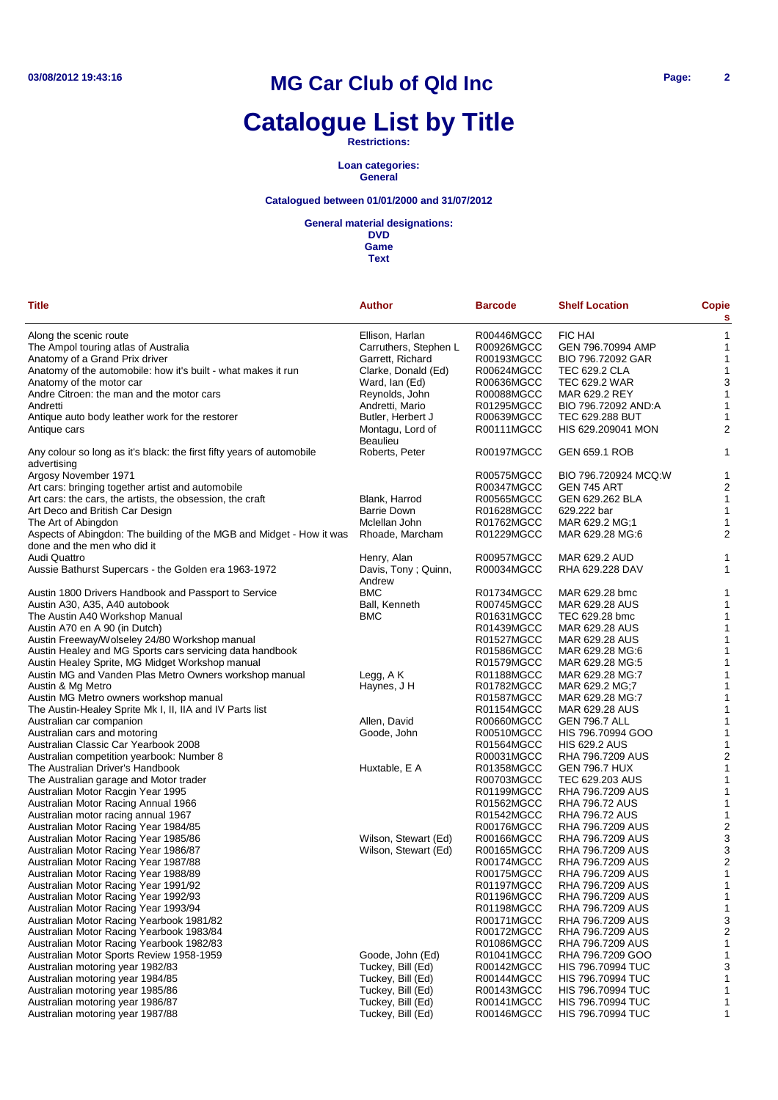# **Catalogue List by Title**

**Restrictions:**

**Loan categories: General**

### **Catalogued between 01/01/2000 and 31/07/2012**

#### **General material designations:**

| <b>Title</b>                                                                         | <b>Author</b>                       | <b>Barcode</b>           | <b>Shelf Location</b>                | <b>Copie</b><br>s |
|--------------------------------------------------------------------------------------|-------------------------------------|--------------------------|--------------------------------------|-------------------|
| Along the scenic route                                                               | Ellison, Harlan                     | R00446MGCC               | <b>FIC HAI</b>                       | 1                 |
| The Ampol touring atlas of Australia                                                 | Carruthers, Stephen L               | R00926MGCC               | GEN 796.70994 AMP                    | 1                 |
| Anatomy of a Grand Prix driver                                                       | Garrett, Richard                    | R00193MGCC               | BIO 796.72092 GAR                    | 1                 |
| Anatomy of the automobile: how it's built - what makes it run                        | Clarke, Donald (Ed)                 | R00624MGCC               | <b>TEC 629.2 CLA</b>                 | 1                 |
| Anatomy of the motor car                                                             | Ward, Ian (Ed)                      | R00636MGCC               | TEC 629.2 WAR                        | 3                 |
| Andre Citroen: the man and the motor cars                                            | Reynolds, John                      | R00088MGCC               | MAR 629.2 REY                        | 1                 |
| Andretti                                                                             | Andretti, Mario                     | R01295MGCC               | BIO 796.72092 AND:A                  | 1                 |
| Antique auto body leather work for the restorer                                      | Butler, Herbert J                   | R00639MGCC               | TEC 629.288 BUT                      | 1                 |
| Antique cars                                                                         | Montagu, Lord of<br><b>Beaulieu</b> | R00111MGCC               | HIS 629.209041 MON                   | 2                 |
| Any colour so long as it's black: the first fifty years of automobile<br>advertising | Roberts, Peter                      | R00197MGCC               | <b>GEN 659.1 ROB</b>                 | 1                 |
| Argosy November 1971                                                                 |                                     | R00575MGCC               | BIO 796.720924 MCQ:W                 | 1                 |
| Art cars: bringing together artist and automobile                                    |                                     | R00347MGCC               | GEN 745 ART                          | 2                 |
| Art cars: the cars, the artists, the obsession, the craft                            | Blank, Harrod                       | R00565MGCC               | GEN 629.262 BLA                      | 1                 |
| Art Deco and British Car Design                                                      | <b>Barrie Down</b>                  | R01628MGCC               | 629.222 bar                          | 1                 |
| The Art of Abingdon                                                                  | Mclellan John                       | R01762MGCC               | MAR 629.2 MG;1                       | 1                 |
| Aspects of Abingdon: The building of the MGB and Midget - How it was                 | Rhoade, Marcham                     | R01229MGCC               | MAR 629.28 MG:6                      | 2                 |
| done and the men who did it                                                          |                                     |                          |                                      |                   |
| Audi Quattro                                                                         | Henry, Alan                         | R00957MGCC               | MAR 629.2 AUD                        | 1                 |
| Aussie Bathurst Supercars - the Golden era 1963-1972                                 | Davis, Tony; Quinn,<br>Andrew       | R00034MGCC               | RHA 629.228 DAV                      | 1                 |
| Austin 1800 Drivers Handbook and Passport to Service                                 | <b>BMC</b>                          | R01734MGCC               | MAR 629.28 bmc                       | 1                 |
| Austin A30, A35, A40 autobook                                                        | Ball, Kenneth                       | R00745MGCC               | MAR 629.28 AUS                       | 1                 |
| The Austin A40 Workshop Manual                                                       | <b>BMC</b>                          | R01631MGCC               | TEC 629.28 bmc                       | 1                 |
| Austin A70 en A 90 (in Dutch)                                                        |                                     | R01439MGCC               | MAR 629.28 AUS                       | 1                 |
| Austin Freeway/Wolseley 24/80 Workshop manual                                        |                                     | R01527MGCC               | MAR 629.28 AUS                       | 1                 |
| Austin Healey and MG Sports cars servicing data handbook                             |                                     | R01586MGCC               | MAR 629.28 MG:6                      | 1                 |
| Austin Healey Sprite, MG Midget Workshop manual                                      |                                     | R01579MGCC               | MAR 629.28 MG:5                      | 1                 |
| Austin MG and Vanden Plas Metro Owners workshop manual                               | Legg, A K                           | R01188MGCC               | MAR 629.28 MG:7                      | 1                 |
| Austin & Mg Metro                                                                    | Haynes, J H                         | R01782MGCC               | MAR 629.2 MG;7                       | 1                 |
| Austin MG Metro owners workshop manual                                               |                                     | R01587MGCC               | MAR 629.28 MG:7                      | 1                 |
| The Austin-Healey Sprite Mk I, II, IIA and IV Parts list                             |                                     | R01154MGCC               | MAR 629.28 AUS                       | 1                 |
| Australian car companion                                                             | Allen, David                        | R00660MGCC               | <b>GEN 796.7 ALL</b>                 | 1                 |
| Australian cars and motoring                                                         | Goode, John                         | R00510MGCC               | HIS 796.70994 GOO                    | 1                 |
| Australian Classic Car Yearbook 2008                                                 |                                     | R01564MGCC               | <b>HIS 629.2 AUS</b>                 | 1                 |
| Australian competition yearbook: Number 8                                            |                                     | R00031MGCC               | RHA 796.7209 AUS                     | 2                 |
| The Australian Driver's Handbook                                                     | Huxtable, E A                       | R01358MGCC               | <b>GEN 796.7 HUX</b>                 | 1                 |
| The Australian garage and Motor trader                                               |                                     | R00703MGCC               | TEC 629.203 AUS                      | 1                 |
| Australian Motor Racgin Year 1995                                                    |                                     | R01199MGCC               | RHA 796.7209 AUS                     | 1                 |
| Australian Motor Racing Annual 1966                                                  |                                     | R01562MGCC               | <b>RHA 796.72 AUS</b>                | 1                 |
| Australian motor racing annual 1967                                                  |                                     | R01542MGCC               | <b>RHA 796.72 AUS</b>                | 1                 |
| Australian Motor Racing Year 1984/85                                                 | Wilson, Stewart (Ed)                | R00176MGCC               | RHA 796.7209 AUS                     | 2<br>3            |
| Australian Motor Racing Year 1985/86<br>Australian Motor Racing Year 1986/87         | Wilson, Stewart (Ed)                | R00166MGCC<br>R00165MGCC | RHA 796.7209 AUS<br>RHA 796.7209 AUS | 3                 |
| Australian Motor Racing Year 1987/88                                                 |                                     |                          |                                      | 2                 |
|                                                                                      |                                     | R00174MGCC<br>R00175MGCC | RHA 796.7209 AUS                     | 1                 |
| Australian Motor Racing Year 1988/89                                                 |                                     |                          | RHA 796.7209 AUS<br>RHA 796.7209 AUS | 1                 |
| Australian Motor Racing Year 1991/92                                                 |                                     | R01197MGCC               |                                      |                   |
| Australian Motor Racing Year 1992/93                                                 |                                     | R01196MGCC               | RHA 796.7209 AUS                     | 1                 |
| Australian Motor Racing Year 1993/94                                                 |                                     | R01198MGCC               | RHA 796.7209 AUS                     | 1                 |
| Australian Motor Racing Yearbook 1981/82<br>Australian Motor Racing Yearbook 1983/84 |                                     | R00171MGCC               | RHA 796.7209 AUS                     | 3<br>2            |
|                                                                                      |                                     | R00172MGCC               | RHA 796.7209 AUS                     |                   |
| Australian Motor Racing Yearbook 1982/83                                             |                                     | R01086MGCC               | RHA 796.7209 AUS                     | 1                 |
| Australian Motor Sports Review 1958-1959                                             | Goode, John (Ed)                    | R01041MGCC               | RHA 796.7209 GOO                     |                   |
| Australian motoring year 1982/83                                                     | Tuckey, Bill (Ed)                   | R00142MGCC               | <b>HIS 796.70994 TUC</b>             | 3                 |
| Australian motoring year 1984/85                                                     | Tuckey, Bill (Ed)                   | R00144MGCC               | <b>HIS 796.70994 TUC</b>             |                   |
| Australian motoring year 1985/86                                                     | Tuckey, Bill (Ed)                   | R00143MGCC               | <b>HIS 796.70994 TUC</b>             | 1                 |
| Australian motoring year 1986/87                                                     | Tuckey, Bill (Ed)                   | R00141MGCC               | <b>HIS 796.70994 TUC</b>             |                   |
| Australian motoring year 1987/88                                                     | Tuckey, Bill (Ed)                   | R00146MGCC               | <b>HIS 796.70994 TUC</b>             | 1                 |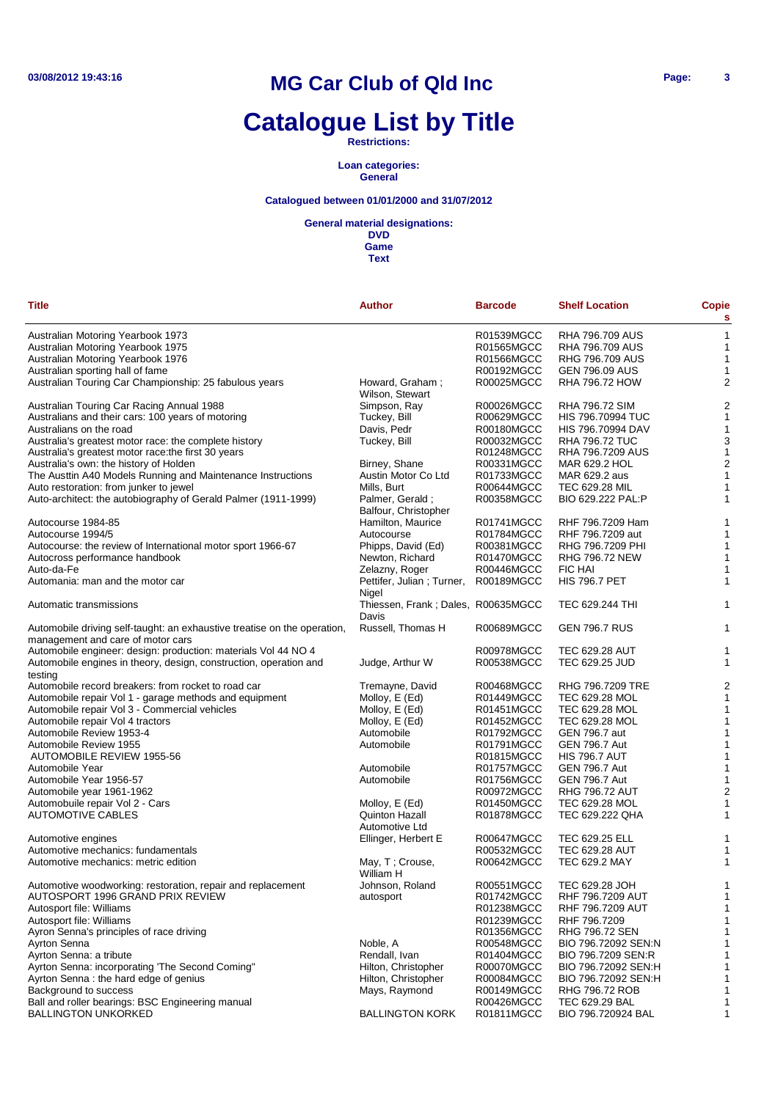# **Catalogue List by Title**

**Restrictions:**

**Loan categories: General**

### **Catalogued between 01/01/2000 and 31/07/2012**

**General material designations:**

**DVD Game**

| <b>Title</b>                                                                                                  | <b>Author</b>                               | <b>Barcode</b>           | <b>Shelf Location</b>                | Copie<br>s     |
|---------------------------------------------------------------------------------------------------------------|---------------------------------------------|--------------------------|--------------------------------------|----------------|
| Australian Motoring Yearbook 1973                                                                             |                                             | R01539MGCC               | <b>RHA 796.709 AUS</b>               | 1              |
| Australian Motoring Yearbook 1975                                                                             |                                             | R01565MGCC               | <b>RHA 796.709 AUS</b>               | 1              |
| Australian Motoring Yearbook 1976                                                                             |                                             | R01566MGCC               | RHG 796.709 AUS                      | 1              |
| Australian sporting hall of fame                                                                              |                                             | R00192MGCC               | <b>GEN 796.09 AUS</b>                | 1              |
| Australian Touring Car Championship: 25 fabulous years                                                        | Howard, Graham;<br>Wilson, Stewart          | R00025MGCC               | <b>RHA 796.72 HOW</b>                | $\overline{c}$ |
| Australian Touring Car Racing Annual 1988                                                                     | Simpson, Ray                                | R00026MGCC               | <b>RHA 796.72 SIM</b>                | $\overline{c}$ |
| Australians and their cars: 100 years of motoring                                                             | Tuckey, Bill                                | R00629MGCC               | <b>HIS 796.70994 TUC</b>             | 1              |
| Australians on the road                                                                                       | Davis, Pedr                                 | R00180MGCC               | <b>HIS 796.70994 DAV</b>             | 1              |
| Australia's greatest motor race: the complete history                                                         | Tuckey, Bill                                | R00032MGCC               | <b>RHA 796.72 TUC</b>                | 3              |
| Australia's greatest motor race: the first 30 years                                                           |                                             | R01248MGCC               | RHA 796.7209 AUS                     | 1              |
| Australia's own: the history of Holden                                                                        | Birney, Shane                               | R00331MGCC               | MAR 629.2 HOL                        | $\overline{c}$ |
| The Austtin A40 Models Running and Maintenance Instructions                                                   | Austin Motor Co Ltd                         | R01733MGCC               | MAR 629.2 aus                        | 1              |
| Auto restoration: from junker to jewel                                                                        | Mills, Burt                                 | R00644MGCC               | TEC 629.28 MIL                       | 1              |
|                                                                                                               |                                             |                          |                                      |                |
| Auto-architect: the autobiography of Gerald Palmer (1911-1999)                                                | Palmer, Gerald;<br>Balfour, Christopher     | R00358MGCC               | BIO 629.222 PAL:P                    | 1              |
| Autocourse 1984-85                                                                                            | Hamilton, Maurice                           | R01741MGCC               | RHF 796.7209 Ham                     | 1              |
| Autocourse 1994/5                                                                                             | Autocourse                                  | R01784MGCC               | RHF 796.7209 aut                     | 1              |
| Autocourse: the review of International motor sport 1966-67                                                   | Phipps, David (Ed)                          | R00381MGCC               | RHG 796.7209 PHI                     | 1              |
| Autocross performance handbook                                                                                | Newton, Richard                             | R01470MGCC               | RHG 796.72 NEW                       | 1              |
| Auto-da-Fe                                                                                                    | Zelazny, Roger                              | R00446MGCC               | FIC HAI                              | 1              |
| Automania: man and the motor car                                                                              | Pettifer, Julian; Turner,<br>Nigel          | R00189MGCC               | <b>HIS 796.7 PET</b>                 | 1              |
| Automatic transmissions                                                                                       | Thiessen, Frank; Dales, R00635MGCC<br>Davis |                          | TEC 629.244 THI                      | 1              |
| Automobile driving self-taught: an exhaustive treatise on the operation,<br>management and care of motor cars | Russell, Thomas H                           | R00689MGCC               | <b>GEN 796.7 RUS</b>                 | 1              |
| Automobile engineer: design: production: materials Vol 44 NO 4                                                |                                             | R00978MGCC               | <b>TEC 629.28 AUT</b>                | 1              |
| Automobile engines in theory, design, construction, operation and<br>testing                                  | Judge, Arthur W                             | R00538MGCC               | TEC 629.25 JUD                       | 1              |
| Automobile record breakers: from rocket to road car                                                           | Tremayne, David                             | R00468MGCC               | RHG 796.7209 TRE                     | $\overline{c}$ |
| Automobile repair Vol 1 - garage methods and equipment                                                        | Molloy, E (Ed)                              | R01449MGCC               | TEC 629.28 MOL                       | 1              |
| Automobile repair Vol 3 - Commercial vehicles                                                                 | Molloy, E (Ed)                              | R01451MGCC               | TEC 629.28 MOL                       | 1              |
| Automobile repair Vol 4 tractors                                                                              | Molloy, E (Ed)                              | R01452MGCC               | TEC 629.28 MOL                       | 1              |
| Automobile Review 1953-4                                                                                      | Automobile                                  | R01792MGCC               | <b>GEN 796.7 aut</b>                 | 1              |
| Automobile Review 1955                                                                                        | Automobile                                  | R01791MGCC               | <b>GEN 796.7 Aut</b>                 | 1              |
|                                                                                                               |                                             |                          | <b>HIS 796.7 AUT</b>                 | 1              |
| AUTOMOBILE REVIEW 1955-56                                                                                     |                                             | R01815MGCC               |                                      |                |
| Automobile Year                                                                                               | Automobile                                  | R01757MGCC               | <b>GEN 796.7 Aut</b>                 | 1              |
| Automobile Year 1956-57                                                                                       | Automobile                                  | R01756MGCC               | <b>GEN 796.7 Aut</b>                 | 1              |
| Automobile year 1961-1962                                                                                     |                                             | R00972MGCC               | <b>RHG 796.72 AUT</b>                | $\overline{a}$ |
| Automobuile repair Vol 2 - Cars                                                                               | Molloy, E (Ed)                              | R01450MGCC               | TEC 629.28 MOL                       | 1              |
| <b>AUTOMOTIVE CABLES</b>                                                                                      | Quinton Hazall<br>Automotive Ltd            | R01878MGCC               | TEC 629.222 QHA                      | 1              |
| Automotive engines                                                                                            | Ellinger, Herbert E                         | R00647MGCC               | TEC 629.25 ELL                       | 1              |
| Automotive mechanics: fundamentals                                                                            |                                             | R00532MGCC               | <b>TEC 629.28 AUT</b>                | 1              |
| Automotive mechanics: metric edition                                                                          | May, T; Crouse,<br>William H                | R00642MGCC               | <b>TEC 629.2 MAY</b>                 | 1              |
| Automotive woodworking: restoration, repair and replacement                                                   | Johnson, Roland                             | R00551MGCC               | TEC 629.28 JOH                       | 1              |
| AUTOSPORT 1996 GRAND PRIX REVIEW                                                                              | autosport                                   | R01742MGCC               | RHF 796.7209 AUT                     | 1              |
| Autosport file: Williams                                                                                      |                                             | R01238MGCC               | RHF 796.7209 AUT                     | 1              |
| Autosport file: Williams                                                                                      |                                             | R01239MGCC               | RHF 796.7209                         | 1              |
| Ayron Senna's principles of race driving                                                                      |                                             | R01356MGCC               | RHG 796.72 SEN                       | 1              |
| Ayrton Senna                                                                                                  | Noble, A                                    | R00548MGCC               | BIO 796.72092 SEN:N                  | 1              |
| Ayrton Senna: a tribute                                                                                       | Rendall, Ivan                               | R01404MGCC               | BIO 796.7209 SEN:R                   | 1              |
| Ayrton Senna: incorporating 'The Second Coming"                                                               | Hilton, Christopher                         | R00070MGCC               | BIO 796.72092 SEN:H                  | 1              |
| Ayrton Senna: the hard edge of genius                                                                         | Hilton, Christopher                         | R00084MGCC               | BIO 796.72092 SEN:H                  | 1              |
|                                                                                                               | Mays, Raymond                               |                          |                                      |                |
| Background to success                                                                                         |                                             | R00149MGCC               | RHG 796.72 ROB                       | 1              |
| Ball and roller bearings: BSC Engineering manual<br><b>BALLINGTON UNKORKED</b>                                | <b>BALLINGTON KORK</b>                      | R00426MGCC<br>R01811MGCC | TEC 629.29 BAL<br>BIO 796.720924 BAL | 1<br>1         |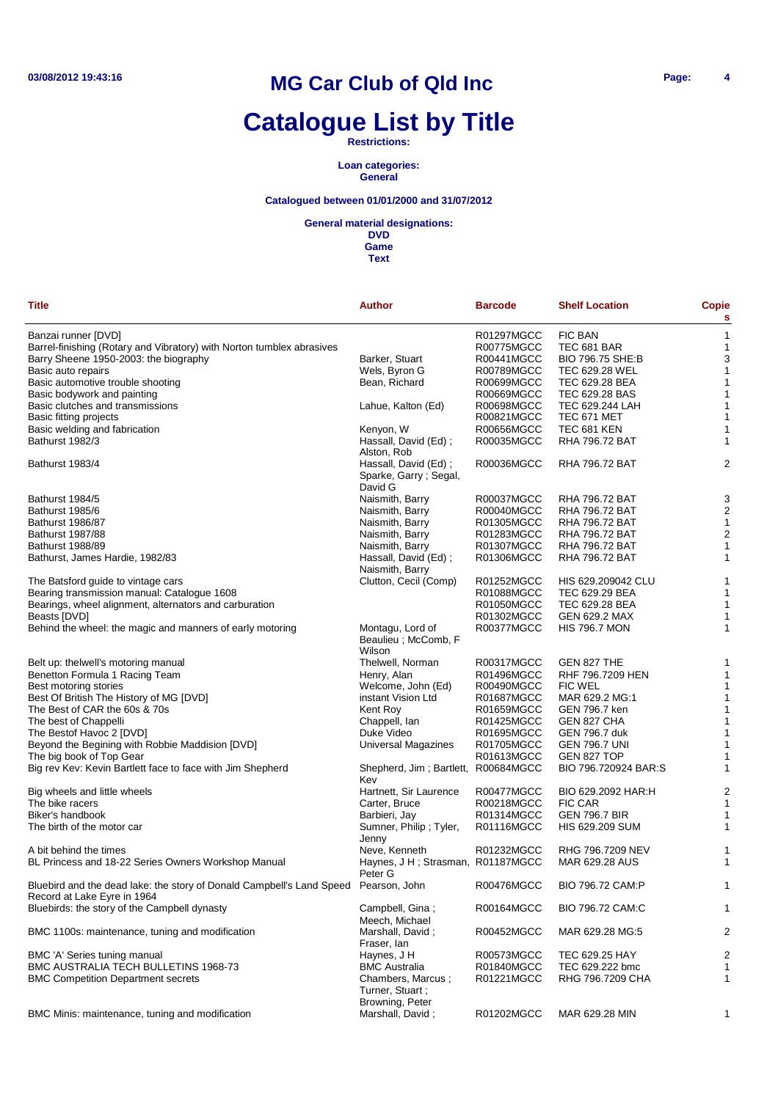# **Catalogue List by Title**

**Restrictions:**

**Loan categories: General**

### **Catalogued between 01/01/2000 and 31/07/2012**

**General material designations:**

| Banzai runner [DVD]<br>R01297MGCC<br>FIC BAN<br>$\mathbf{1}$<br>Barrel-finishing (Rotary and Vibratory) with Norton tumblex abrasives<br>R00775MGCC<br>TEC 681 BAR<br>-1<br>3<br>Barry Sheene 1950-2003: the biography<br>Barker, Stuart<br>R00441MGCC<br>BIO 796.75 SHE:B<br>Basic auto repairs<br>Wels, Byron G<br>R00789MGCC<br>TEC 629.28 WEL<br>1<br>Basic automotive trouble shooting<br>Bean, Richard<br>R00699MGCC<br>TEC 629.28 BEA<br>1<br>Basic bodywork and painting<br>R00669MGCC<br>TEC 629.28 BAS<br>-1<br>Basic clutches and transmissions<br>R00698MGCC<br>TEC 629.244 LAH<br>$\mathbf{1}$<br>Lahue, Kalton (Ed)<br>Basic fitting projects<br>R00821MGCC<br>TEC 671 MET<br>1<br>Basic welding and fabrication<br>Kenyon, W<br>R00656MGCC<br><b>TEC 681 KEN</b><br>1<br>Bathurst 1982/3<br>Hassall, David (Ed);<br>R00035MGCC<br><b>RHA 796.72 BAT</b><br>1<br>Alston, Rob<br>2<br>Bathurst 1983/4<br>Hassall, David (Ed);<br>R00036MGCC<br><b>RHA 796.72 BAT</b><br>Sparke, Garry; Segal,<br>David G<br>3<br>Bathurst 1984/5<br>Naismith, Barry<br>R00037MGCC<br><b>RHA 796.72 BAT</b><br>$\overline{2}$<br>Bathurst 1985/6<br>Naismith, Barry<br>R00040MGCC<br><b>RHA 796.72 BAT</b><br>Naismith, Barry<br>R01305MGCC<br><b>RHA 796.72 BAT</b><br>$\mathbf{1}$<br><b>Bathurst 1986/87</b><br>R01283MGCC<br>$\overline{2}$<br><b>Bathurst 1987/88</b><br>Naismith, Barry<br><b>RHA 796.72 BAT</b><br>Naismith, Barry<br>R01307MGCC<br>Bathurst 1988/89<br><b>RHA 796.72 BAT</b><br>1<br>Hassall, David (Ed);<br>R01306MGCC<br><b>RHA 796.72 BAT</b><br>Bathurst, James Hardie, 1982/83<br>1<br>Naismith, Barry<br>Clutton, Cecil (Comp)<br>R01252MGCC<br>The Batsford guide to vintage cars<br>HIS 629.209042 CLU<br>1<br>Bearing transmission manual: Catalogue 1608<br>R01088MGCC<br>TEC 629.29 BEA<br>1<br>Bearings, wheel alignment, alternators and carburation<br>TEC 629.28 BEA<br>R01050MGCC<br>1<br>R01302MGCC<br>GEN 629.2 MAX<br>1<br>Beasts [DVD]<br>Behind the wheel: the magic and manners of early motoring<br><b>HIS 796.7 MON</b><br>Montagu, Lord of<br>R00377MGCC<br>1<br>Beaulieu ; McComb, F<br>Wilson<br>Belt up: thelwell's motoring manual<br>Thelwell, Norman<br>R00317MGCC<br>GEN 827 THE<br>1<br>Benetton Formula 1 Racing Team<br>Henry, Alan<br>R01496MGCC<br>RHF 796.7209 HEN<br>1<br>Best motoring stories<br>Welcome, John (Ed)<br>R00490MGCC<br><b>FIC WEL</b><br>1<br>Best Of British The History of MG [DVD]<br>instant Vision Ltd<br>R01687MGCC<br>MAR 629.2 MG:1<br>$\mathbf{1}$<br>The Best of CAR the 60s & 70s<br>Kent Roy<br>R01659MGCC<br>GEN 796.7 ken<br>1<br>The best of Chappelli<br>Chappell, Ian<br>R01425MGCC<br>GEN 827 CHA<br>1<br>The Bestof Havoc 2 [DVD]<br>Duke Video<br>R01695MGCC<br>GEN 796.7 duk<br>1<br>Beyond the Begining with Robbie Maddision [DVD]<br>Universal Magazines<br>R01705MGCC<br><b>GEN 796.7 UNI</b><br>1<br>The big book of Top Gear<br>R01613MGCC<br>GEN 827 TOP<br>1<br>Big rev Kev: Kevin Bartlett face to face with Jim Shepherd<br>Shepherd, Jim; Bartlett,<br>R00684MGCC<br>BIO 796.720924 BAR:S<br>1<br>Kev<br>$\overline{c}$<br>Big wheels and little wheels<br>Hartnett, Sir Laurence<br>R00477MGCC<br>BIO 629.2092 HAR:H<br>The bike racers<br>Carter, Bruce<br>R00218MGCC<br>FIC CAR<br>1<br>Biker's handbook<br>Barbieri, Jay<br>R01314MGCC<br><b>GEN 796.7 BIR</b><br>1<br>Sumner, Philip; Tyler,<br>The birth of the motor car<br>R01116MGCC<br>HIS 629.209 SUM<br>1<br>Jenny<br>Neve, Kenneth<br>R01232MGCC<br>RHG 796.7209 NEV<br>A bit behind the times<br>1<br>BL Princess and 18-22 Series Owners Workshop Manual<br>Haynes, J H; Strasman, R01187MGCC<br>MAR 629.28 AUS<br>$\mathbf{1}$<br>Peter G<br>Bluebird and the dead lake: the story of Donald Campbell's Land Speed Pearson, John<br>R00476MGCC<br>BIO 796.72 CAM:P<br>1<br>Record at Lake Eyre in 1964<br>Bluebirds: the story of the Campbell dynasty<br>Campbell, Gina;<br>R00164MGCC<br>BIO 796.72 CAM:C<br>1<br>Meech, Michael<br>BMC 1100s: maintenance, tuning and modification<br>Marshall, David;<br>R00452MGCC<br>MAR 629.28 MG:5<br>2<br>Fraser, lan<br>$\overline{2}$<br>BMC 'A' Series tuning manual<br>Haynes, J H<br>R00573MGCC<br>TEC 629.25 HAY<br>BMC AUSTRALIA TECH BULLETINS 1968-73<br><b>BMC Australia</b><br>R01840MGCC<br>TEC 629.222 bmc<br>1<br><b>BMC Competition Department secrets</b><br>Chambers, Marcus :<br>R01221MGCC<br>RHG 796.7209 CHA<br>1<br>Turner, Stuart;<br>Browning, Peter<br>BMC Minis: maintenance, tuning and modification<br>Marshall, David;<br>R01202MGCC<br>MAR 629.28 MIN<br>1 | <b>Title</b> | <b>Author</b> | <b>Barcode</b> | <b>Shelf Location</b> | <b>Copie</b><br>s |
|--------------------------------------------------------------------------------------------------------------------------------------------------------------------------------------------------------------------------------------------------------------------------------------------------------------------------------------------------------------------------------------------------------------------------------------------------------------------------------------------------------------------------------------------------------------------------------------------------------------------------------------------------------------------------------------------------------------------------------------------------------------------------------------------------------------------------------------------------------------------------------------------------------------------------------------------------------------------------------------------------------------------------------------------------------------------------------------------------------------------------------------------------------------------------------------------------------------------------------------------------------------------------------------------------------------------------------------------------------------------------------------------------------------------------------------------------------------------------------------------------------------------------------------------------------------------------------------------------------------------------------------------------------------------------------------------------------------------------------------------------------------------------------------------------------------------------------------------------------------------------------------------------------------------------------------------------------------------------------------------------------------------------------------------------------------------------------------------------------------------------------------------------------------------------------------------------------------------------------------------------------------------------------------------------------------------------------------------------------------------------------------------------------------------------------------------------------------------------------------------------------------------------------------------------------------------------------------------------------------------------------------------------------------------------------------------------------------------------------------------------------------------------------------------------------------------------------------------------------------------------------------------------------------------------------------------------------------------------------------------------------------------------------------------------------------------------------------------------------------------------------------------------------------------------------------------------------------------------------------------------------------------------------------------------------------------------------------------------------------------------------------------------------------------------------------------------------------------------------------------------------------------------------------------------------------------------------------------------------------------------------------------------------------------------------------------------------------------------------------------------------------------------------------------------------------------------------------------------------------------------------------------------------------------------------------------------------------------------------------------------------------------------------------------------------------------------------------------------------------------------------------------------------------------------------------------------------------------------------------------------------------------------------------------------------------------------------------------------------------------------------------------------------------------------------------------------------------------------------------------------------------------------------------------------------------------------------------------------------------|--------------|---------------|----------------|-----------------------|-------------------|
|                                                                                                                                                                                                                                                                                                                                                                                                                                                                                                                                                                                                                                                                                                                                                                                                                                                                                                                                                                                                                                                                                                                                                                                                                                                                                                                                                                                                                                                                                                                                                                                                                                                                                                                                                                                                                                                                                                                                                                                                                                                                                                                                                                                                                                                                                                                                                                                                                                                                                                                                                                                                                                                                                                                                                                                                                                                                                                                                                                                                                                                                                                                                                                                                                                                                                                                                                                                                                                                                                                                                                                                                                                                                                                                                                                                                                                                                                                                                                                                                                                                                                                                                                                                                                                                                                                                                                                                                                                                                                                                                                                                                              |              |               |                |                       |                   |
|                                                                                                                                                                                                                                                                                                                                                                                                                                                                                                                                                                                                                                                                                                                                                                                                                                                                                                                                                                                                                                                                                                                                                                                                                                                                                                                                                                                                                                                                                                                                                                                                                                                                                                                                                                                                                                                                                                                                                                                                                                                                                                                                                                                                                                                                                                                                                                                                                                                                                                                                                                                                                                                                                                                                                                                                                                                                                                                                                                                                                                                                                                                                                                                                                                                                                                                                                                                                                                                                                                                                                                                                                                                                                                                                                                                                                                                                                                                                                                                                                                                                                                                                                                                                                                                                                                                                                                                                                                                                                                                                                                                                              |              |               |                |                       |                   |
|                                                                                                                                                                                                                                                                                                                                                                                                                                                                                                                                                                                                                                                                                                                                                                                                                                                                                                                                                                                                                                                                                                                                                                                                                                                                                                                                                                                                                                                                                                                                                                                                                                                                                                                                                                                                                                                                                                                                                                                                                                                                                                                                                                                                                                                                                                                                                                                                                                                                                                                                                                                                                                                                                                                                                                                                                                                                                                                                                                                                                                                                                                                                                                                                                                                                                                                                                                                                                                                                                                                                                                                                                                                                                                                                                                                                                                                                                                                                                                                                                                                                                                                                                                                                                                                                                                                                                                                                                                                                                                                                                                                                              |              |               |                |                       |                   |
|                                                                                                                                                                                                                                                                                                                                                                                                                                                                                                                                                                                                                                                                                                                                                                                                                                                                                                                                                                                                                                                                                                                                                                                                                                                                                                                                                                                                                                                                                                                                                                                                                                                                                                                                                                                                                                                                                                                                                                                                                                                                                                                                                                                                                                                                                                                                                                                                                                                                                                                                                                                                                                                                                                                                                                                                                                                                                                                                                                                                                                                                                                                                                                                                                                                                                                                                                                                                                                                                                                                                                                                                                                                                                                                                                                                                                                                                                                                                                                                                                                                                                                                                                                                                                                                                                                                                                                                                                                                                                                                                                                                                              |              |               |                |                       |                   |
|                                                                                                                                                                                                                                                                                                                                                                                                                                                                                                                                                                                                                                                                                                                                                                                                                                                                                                                                                                                                                                                                                                                                                                                                                                                                                                                                                                                                                                                                                                                                                                                                                                                                                                                                                                                                                                                                                                                                                                                                                                                                                                                                                                                                                                                                                                                                                                                                                                                                                                                                                                                                                                                                                                                                                                                                                                                                                                                                                                                                                                                                                                                                                                                                                                                                                                                                                                                                                                                                                                                                                                                                                                                                                                                                                                                                                                                                                                                                                                                                                                                                                                                                                                                                                                                                                                                                                                                                                                                                                                                                                                                                              |              |               |                |                       |                   |
|                                                                                                                                                                                                                                                                                                                                                                                                                                                                                                                                                                                                                                                                                                                                                                                                                                                                                                                                                                                                                                                                                                                                                                                                                                                                                                                                                                                                                                                                                                                                                                                                                                                                                                                                                                                                                                                                                                                                                                                                                                                                                                                                                                                                                                                                                                                                                                                                                                                                                                                                                                                                                                                                                                                                                                                                                                                                                                                                                                                                                                                                                                                                                                                                                                                                                                                                                                                                                                                                                                                                                                                                                                                                                                                                                                                                                                                                                                                                                                                                                                                                                                                                                                                                                                                                                                                                                                                                                                                                                                                                                                                                              |              |               |                |                       |                   |
|                                                                                                                                                                                                                                                                                                                                                                                                                                                                                                                                                                                                                                                                                                                                                                                                                                                                                                                                                                                                                                                                                                                                                                                                                                                                                                                                                                                                                                                                                                                                                                                                                                                                                                                                                                                                                                                                                                                                                                                                                                                                                                                                                                                                                                                                                                                                                                                                                                                                                                                                                                                                                                                                                                                                                                                                                                                                                                                                                                                                                                                                                                                                                                                                                                                                                                                                                                                                                                                                                                                                                                                                                                                                                                                                                                                                                                                                                                                                                                                                                                                                                                                                                                                                                                                                                                                                                                                                                                                                                                                                                                                                              |              |               |                |                       |                   |
|                                                                                                                                                                                                                                                                                                                                                                                                                                                                                                                                                                                                                                                                                                                                                                                                                                                                                                                                                                                                                                                                                                                                                                                                                                                                                                                                                                                                                                                                                                                                                                                                                                                                                                                                                                                                                                                                                                                                                                                                                                                                                                                                                                                                                                                                                                                                                                                                                                                                                                                                                                                                                                                                                                                                                                                                                                                                                                                                                                                                                                                                                                                                                                                                                                                                                                                                                                                                                                                                                                                                                                                                                                                                                                                                                                                                                                                                                                                                                                                                                                                                                                                                                                                                                                                                                                                                                                                                                                                                                                                                                                                                              |              |               |                |                       |                   |
|                                                                                                                                                                                                                                                                                                                                                                                                                                                                                                                                                                                                                                                                                                                                                                                                                                                                                                                                                                                                                                                                                                                                                                                                                                                                                                                                                                                                                                                                                                                                                                                                                                                                                                                                                                                                                                                                                                                                                                                                                                                                                                                                                                                                                                                                                                                                                                                                                                                                                                                                                                                                                                                                                                                                                                                                                                                                                                                                                                                                                                                                                                                                                                                                                                                                                                                                                                                                                                                                                                                                                                                                                                                                                                                                                                                                                                                                                                                                                                                                                                                                                                                                                                                                                                                                                                                                                                                                                                                                                                                                                                                                              |              |               |                |                       |                   |
|                                                                                                                                                                                                                                                                                                                                                                                                                                                                                                                                                                                                                                                                                                                                                                                                                                                                                                                                                                                                                                                                                                                                                                                                                                                                                                                                                                                                                                                                                                                                                                                                                                                                                                                                                                                                                                                                                                                                                                                                                                                                                                                                                                                                                                                                                                                                                                                                                                                                                                                                                                                                                                                                                                                                                                                                                                                                                                                                                                                                                                                                                                                                                                                                                                                                                                                                                                                                                                                                                                                                                                                                                                                                                                                                                                                                                                                                                                                                                                                                                                                                                                                                                                                                                                                                                                                                                                                                                                                                                                                                                                                                              |              |               |                |                       |                   |
|                                                                                                                                                                                                                                                                                                                                                                                                                                                                                                                                                                                                                                                                                                                                                                                                                                                                                                                                                                                                                                                                                                                                                                                                                                                                                                                                                                                                                                                                                                                                                                                                                                                                                                                                                                                                                                                                                                                                                                                                                                                                                                                                                                                                                                                                                                                                                                                                                                                                                                                                                                                                                                                                                                                                                                                                                                                                                                                                                                                                                                                                                                                                                                                                                                                                                                                                                                                                                                                                                                                                                                                                                                                                                                                                                                                                                                                                                                                                                                                                                                                                                                                                                                                                                                                                                                                                                                                                                                                                                                                                                                                                              |              |               |                |                       |                   |
|                                                                                                                                                                                                                                                                                                                                                                                                                                                                                                                                                                                                                                                                                                                                                                                                                                                                                                                                                                                                                                                                                                                                                                                                                                                                                                                                                                                                                                                                                                                                                                                                                                                                                                                                                                                                                                                                                                                                                                                                                                                                                                                                                                                                                                                                                                                                                                                                                                                                                                                                                                                                                                                                                                                                                                                                                                                                                                                                                                                                                                                                                                                                                                                                                                                                                                                                                                                                                                                                                                                                                                                                                                                                                                                                                                                                                                                                                                                                                                                                                                                                                                                                                                                                                                                                                                                                                                                                                                                                                                                                                                                                              |              |               |                |                       |                   |
|                                                                                                                                                                                                                                                                                                                                                                                                                                                                                                                                                                                                                                                                                                                                                                                                                                                                                                                                                                                                                                                                                                                                                                                                                                                                                                                                                                                                                                                                                                                                                                                                                                                                                                                                                                                                                                                                                                                                                                                                                                                                                                                                                                                                                                                                                                                                                                                                                                                                                                                                                                                                                                                                                                                                                                                                                                                                                                                                                                                                                                                                                                                                                                                                                                                                                                                                                                                                                                                                                                                                                                                                                                                                                                                                                                                                                                                                                                                                                                                                                                                                                                                                                                                                                                                                                                                                                                                                                                                                                                                                                                                                              |              |               |                |                       |                   |
|                                                                                                                                                                                                                                                                                                                                                                                                                                                                                                                                                                                                                                                                                                                                                                                                                                                                                                                                                                                                                                                                                                                                                                                                                                                                                                                                                                                                                                                                                                                                                                                                                                                                                                                                                                                                                                                                                                                                                                                                                                                                                                                                                                                                                                                                                                                                                                                                                                                                                                                                                                                                                                                                                                                                                                                                                                                                                                                                                                                                                                                                                                                                                                                                                                                                                                                                                                                                                                                                                                                                                                                                                                                                                                                                                                                                                                                                                                                                                                                                                                                                                                                                                                                                                                                                                                                                                                                                                                                                                                                                                                                                              |              |               |                |                       |                   |
|                                                                                                                                                                                                                                                                                                                                                                                                                                                                                                                                                                                                                                                                                                                                                                                                                                                                                                                                                                                                                                                                                                                                                                                                                                                                                                                                                                                                                                                                                                                                                                                                                                                                                                                                                                                                                                                                                                                                                                                                                                                                                                                                                                                                                                                                                                                                                                                                                                                                                                                                                                                                                                                                                                                                                                                                                                                                                                                                                                                                                                                                                                                                                                                                                                                                                                                                                                                                                                                                                                                                                                                                                                                                                                                                                                                                                                                                                                                                                                                                                                                                                                                                                                                                                                                                                                                                                                                                                                                                                                                                                                                                              |              |               |                |                       |                   |
|                                                                                                                                                                                                                                                                                                                                                                                                                                                                                                                                                                                                                                                                                                                                                                                                                                                                                                                                                                                                                                                                                                                                                                                                                                                                                                                                                                                                                                                                                                                                                                                                                                                                                                                                                                                                                                                                                                                                                                                                                                                                                                                                                                                                                                                                                                                                                                                                                                                                                                                                                                                                                                                                                                                                                                                                                                                                                                                                                                                                                                                                                                                                                                                                                                                                                                                                                                                                                                                                                                                                                                                                                                                                                                                                                                                                                                                                                                                                                                                                                                                                                                                                                                                                                                                                                                                                                                                                                                                                                                                                                                                                              |              |               |                |                       |                   |
|                                                                                                                                                                                                                                                                                                                                                                                                                                                                                                                                                                                                                                                                                                                                                                                                                                                                                                                                                                                                                                                                                                                                                                                                                                                                                                                                                                                                                                                                                                                                                                                                                                                                                                                                                                                                                                                                                                                                                                                                                                                                                                                                                                                                                                                                                                                                                                                                                                                                                                                                                                                                                                                                                                                                                                                                                                                                                                                                                                                                                                                                                                                                                                                                                                                                                                                                                                                                                                                                                                                                                                                                                                                                                                                                                                                                                                                                                                                                                                                                                                                                                                                                                                                                                                                                                                                                                                                                                                                                                                                                                                                                              |              |               |                |                       |                   |
|                                                                                                                                                                                                                                                                                                                                                                                                                                                                                                                                                                                                                                                                                                                                                                                                                                                                                                                                                                                                                                                                                                                                                                                                                                                                                                                                                                                                                                                                                                                                                                                                                                                                                                                                                                                                                                                                                                                                                                                                                                                                                                                                                                                                                                                                                                                                                                                                                                                                                                                                                                                                                                                                                                                                                                                                                                                                                                                                                                                                                                                                                                                                                                                                                                                                                                                                                                                                                                                                                                                                                                                                                                                                                                                                                                                                                                                                                                                                                                                                                                                                                                                                                                                                                                                                                                                                                                                                                                                                                                                                                                                                              |              |               |                |                       |                   |
|                                                                                                                                                                                                                                                                                                                                                                                                                                                                                                                                                                                                                                                                                                                                                                                                                                                                                                                                                                                                                                                                                                                                                                                                                                                                                                                                                                                                                                                                                                                                                                                                                                                                                                                                                                                                                                                                                                                                                                                                                                                                                                                                                                                                                                                                                                                                                                                                                                                                                                                                                                                                                                                                                                                                                                                                                                                                                                                                                                                                                                                                                                                                                                                                                                                                                                                                                                                                                                                                                                                                                                                                                                                                                                                                                                                                                                                                                                                                                                                                                                                                                                                                                                                                                                                                                                                                                                                                                                                                                                                                                                                                              |              |               |                |                       |                   |
|                                                                                                                                                                                                                                                                                                                                                                                                                                                                                                                                                                                                                                                                                                                                                                                                                                                                                                                                                                                                                                                                                                                                                                                                                                                                                                                                                                                                                                                                                                                                                                                                                                                                                                                                                                                                                                                                                                                                                                                                                                                                                                                                                                                                                                                                                                                                                                                                                                                                                                                                                                                                                                                                                                                                                                                                                                                                                                                                                                                                                                                                                                                                                                                                                                                                                                                                                                                                                                                                                                                                                                                                                                                                                                                                                                                                                                                                                                                                                                                                                                                                                                                                                                                                                                                                                                                                                                                                                                                                                                                                                                                                              |              |               |                |                       |                   |
|                                                                                                                                                                                                                                                                                                                                                                                                                                                                                                                                                                                                                                                                                                                                                                                                                                                                                                                                                                                                                                                                                                                                                                                                                                                                                                                                                                                                                                                                                                                                                                                                                                                                                                                                                                                                                                                                                                                                                                                                                                                                                                                                                                                                                                                                                                                                                                                                                                                                                                                                                                                                                                                                                                                                                                                                                                                                                                                                                                                                                                                                                                                                                                                                                                                                                                                                                                                                                                                                                                                                                                                                                                                                                                                                                                                                                                                                                                                                                                                                                                                                                                                                                                                                                                                                                                                                                                                                                                                                                                                                                                                                              |              |               |                |                       |                   |
|                                                                                                                                                                                                                                                                                                                                                                                                                                                                                                                                                                                                                                                                                                                                                                                                                                                                                                                                                                                                                                                                                                                                                                                                                                                                                                                                                                                                                                                                                                                                                                                                                                                                                                                                                                                                                                                                                                                                                                                                                                                                                                                                                                                                                                                                                                                                                                                                                                                                                                                                                                                                                                                                                                                                                                                                                                                                                                                                                                                                                                                                                                                                                                                                                                                                                                                                                                                                                                                                                                                                                                                                                                                                                                                                                                                                                                                                                                                                                                                                                                                                                                                                                                                                                                                                                                                                                                                                                                                                                                                                                                                                              |              |               |                |                       |                   |
|                                                                                                                                                                                                                                                                                                                                                                                                                                                                                                                                                                                                                                                                                                                                                                                                                                                                                                                                                                                                                                                                                                                                                                                                                                                                                                                                                                                                                                                                                                                                                                                                                                                                                                                                                                                                                                                                                                                                                                                                                                                                                                                                                                                                                                                                                                                                                                                                                                                                                                                                                                                                                                                                                                                                                                                                                                                                                                                                                                                                                                                                                                                                                                                                                                                                                                                                                                                                                                                                                                                                                                                                                                                                                                                                                                                                                                                                                                                                                                                                                                                                                                                                                                                                                                                                                                                                                                                                                                                                                                                                                                                                              |              |               |                |                       |                   |
|                                                                                                                                                                                                                                                                                                                                                                                                                                                                                                                                                                                                                                                                                                                                                                                                                                                                                                                                                                                                                                                                                                                                                                                                                                                                                                                                                                                                                                                                                                                                                                                                                                                                                                                                                                                                                                                                                                                                                                                                                                                                                                                                                                                                                                                                                                                                                                                                                                                                                                                                                                                                                                                                                                                                                                                                                                                                                                                                                                                                                                                                                                                                                                                                                                                                                                                                                                                                                                                                                                                                                                                                                                                                                                                                                                                                                                                                                                                                                                                                                                                                                                                                                                                                                                                                                                                                                                                                                                                                                                                                                                                                              |              |               |                |                       |                   |
|                                                                                                                                                                                                                                                                                                                                                                                                                                                                                                                                                                                                                                                                                                                                                                                                                                                                                                                                                                                                                                                                                                                                                                                                                                                                                                                                                                                                                                                                                                                                                                                                                                                                                                                                                                                                                                                                                                                                                                                                                                                                                                                                                                                                                                                                                                                                                                                                                                                                                                                                                                                                                                                                                                                                                                                                                                                                                                                                                                                                                                                                                                                                                                                                                                                                                                                                                                                                                                                                                                                                                                                                                                                                                                                                                                                                                                                                                                                                                                                                                                                                                                                                                                                                                                                                                                                                                                                                                                                                                                                                                                                                              |              |               |                |                       |                   |
|                                                                                                                                                                                                                                                                                                                                                                                                                                                                                                                                                                                                                                                                                                                                                                                                                                                                                                                                                                                                                                                                                                                                                                                                                                                                                                                                                                                                                                                                                                                                                                                                                                                                                                                                                                                                                                                                                                                                                                                                                                                                                                                                                                                                                                                                                                                                                                                                                                                                                                                                                                                                                                                                                                                                                                                                                                                                                                                                                                                                                                                                                                                                                                                                                                                                                                                                                                                                                                                                                                                                                                                                                                                                                                                                                                                                                                                                                                                                                                                                                                                                                                                                                                                                                                                                                                                                                                                                                                                                                                                                                                                                              |              |               |                |                       |                   |
|                                                                                                                                                                                                                                                                                                                                                                                                                                                                                                                                                                                                                                                                                                                                                                                                                                                                                                                                                                                                                                                                                                                                                                                                                                                                                                                                                                                                                                                                                                                                                                                                                                                                                                                                                                                                                                                                                                                                                                                                                                                                                                                                                                                                                                                                                                                                                                                                                                                                                                                                                                                                                                                                                                                                                                                                                                                                                                                                                                                                                                                                                                                                                                                                                                                                                                                                                                                                                                                                                                                                                                                                                                                                                                                                                                                                                                                                                                                                                                                                                                                                                                                                                                                                                                                                                                                                                                                                                                                                                                                                                                                                              |              |               |                |                       |                   |
|                                                                                                                                                                                                                                                                                                                                                                                                                                                                                                                                                                                                                                                                                                                                                                                                                                                                                                                                                                                                                                                                                                                                                                                                                                                                                                                                                                                                                                                                                                                                                                                                                                                                                                                                                                                                                                                                                                                                                                                                                                                                                                                                                                                                                                                                                                                                                                                                                                                                                                                                                                                                                                                                                                                                                                                                                                                                                                                                                                                                                                                                                                                                                                                                                                                                                                                                                                                                                                                                                                                                                                                                                                                                                                                                                                                                                                                                                                                                                                                                                                                                                                                                                                                                                                                                                                                                                                                                                                                                                                                                                                                                              |              |               |                |                       |                   |
|                                                                                                                                                                                                                                                                                                                                                                                                                                                                                                                                                                                                                                                                                                                                                                                                                                                                                                                                                                                                                                                                                                                                                                                                                                                                                                                                                                                                                                                                                                                                                                                                                                                                                                                                                                                                                                                                                                                                                                                                                                                                                                                                                                                                                                                                                                                                                                                                                                                                                                                                                                                                                                                                                                                                                                                                                                                                                                                                                                                                                                                                                                                                                                                                                                                                                                                                                                                                                                                                                                                                                                                                                                                                                                                                                                                                                                                                                                                                                                                                                                                                                                                                                                                                                                                                                                                                                                                                                                                                                                                                                                                                              |              |               |                |                       |                   |
|                                                                                                                                                                                                                                                                                                                                                                                                                                                                                                                                                                                                                                                                                                                                                                                                                                                                                                                                                                                                                                                                                                                                                                                                                                                                                                                                                                                                                                                                                                                                                                                                                                                                                                                                                                                                                                                                                                                                                                                                                                                                                                                                                                                                                                                                                                                                                                                                                                                                                                                                                                                                                                                                                                                                                                                                                                                                                                                                                                                                                                                                                                                                                                                                                                                                                                                                                                                                                                                                                                                                                                                                                                                                                                                                                                                                                                                                                                                                                                                                                                                                                                                                                                                                                                                                                                                                                                                                                                                                                                                                                                                                              |              |               |                |                       |                   |
|                                                                                                                                                                                                                                                                                                                                                                                                                                                                                                                                                                                                                                                                                                                                                                                                                                                                                                                                                                                                                                                                                                                                                                                                                                                                                                                                                                                                                                                                                                                                                                                                                                                                                                                                                                                                                                                                                                                                                                                                                                                                                                                                                                                                                                                                                                                                                                                                                                                                                                                                                                                                                                                                                                                                                                                                                                                                                                                                                                                                                                                                                                                                                                                                                                                                                                                                                                                                                                                                                                                                                                                                                                                                                                                                                                                                                                                                                                                                                                                                                                                                                                                                                                                                                                                                                                                                                                                                                                                                                                                                                                                                              |              |               |                |                       |                   |
|                                                                                                                                                                                                                                                                                                                                                                                                                                                                                                                                                                                                                                                                                                                                                                                                                                                                                                                                                                                                                                                                                                                                                                                                                                                                                                                                                                                                                                                                                                                                                                                                                                                                                                                                                                                                                                                                                                                                                                                                                                                                                                                                                                                                                                                                                                                                                                                                                                                                                                                                                                                                                                                                                                                                                                                                                                                                                                                                                                                                                                                                                                                                                                                                                                                                                                                                                                                                                                                                                                                                                                                                                                                                                                                                                                                                                                                                                                                                                                                                                                                                                                                                                                                                                                                                                                                                                                                                                                                                                                                                                                                                              |              |               |                |                       |                   |
|                                                                                                                                                                                                                                                                                                                                                                                                                                                                                                                                                                                                                                                                                                                                                                                                                                                                                                                                                                                                                                                                                                                                                                                                                                                                                                                                                                                                                                                                                                                                                                                                                                                                                                                                                                                                                                                                                                                                                                                                                                                                                                                                                                                                                                                                                                                                                                                                                                                                                                                                                                                                                                                                                                                                                                                                                                                                                                                                                                                                                                                                                                                                                                                                                                                                                                                                                                                                                                                                                                                                                                                                                                                                                                                                                                                                                                                                                                                                                                                                                                                                                                                                                                                                                                                                                                                                                                                                                                                                                                                                                                                                              |              |               |                |                       |                   |
|                                                                                                                                                                                                                                                                                                                                                                                                                                                                                                                                                                                                                                                                                                                                                                                                                                                                                                                                                                                                                                                                                                                                                                                                                                                                                                                                                                                                                                                                                                                                                                                                                                                                                                                                                                                                                                                                                                                                                                                                                                                                                                                                                                                                                                                                                                                                                                                                                                                                                                                                                                                                                                                                                                                                                                                                                                                                                                                                                                                                                                                                                                                                                                                                                                                                                                                                                                                                                                                                                                                                                                                                                                                                                                                                                                                                                                                                                                                                                                                                                                                                                                                                                                                                                                                                                                                                                                                                                                                                                                                                                                                                              |              |               |                |                       |                   |
|                                                                                                                                                                                                                                                                                                                                                                                                                                                                                                                                                                                                                                                                                                                                                                                                                                                                                                                                                                                                                                                                                                                                                                                                                                                                                                                                                                                                                                                                                                                                                                                                                                                                                                                                                                                                                                                                                                                                                                                                                                                                                                                                                                                                                                                                                                                                                                                                                                                                                                                                                                                                                                                                                                                                                                                                                                                                                                                                                                                                                                                                                                                                                                                                                                                                                                                                                                                                                                                                                                                                                                                                                                                                                                                                                                                                                                                                                                                                                                                                                                                                                                                                                                                                                                                                                                                                                                                                                                                                                                                                                                                                              |              |               |                |                       |                   |
|                                                                                                                                                                                                                                                                                                                                                                                                                                                                                                                                                                                                                                                                                                                                                                                                                                                                                                                                                                                                                                                                                                                                                                                                                                                                                                                                                                                                                                                                                                                                                                                                                                                                                                                                                                                                                                                                                                                                                                                                                                                                                                                                                                                                                                                                                                                                                                                                                                                                                                                                                                                                                                                                                                                                                                                                                                                                                                                                                                                                                                                                                                                                                                                                                                                                                                                                                                                                                                                                                                                                                                                                                                                                                                                                                                                                                                                                                                                                                                                                                                                                                                                                                                                                                                                                                                                                                                                                                                                                                                                                                                                                              |              |               |                |                       |                   |
|                                                                                                                                                                                                                                                                                                                                                                                                                                                                                                                                                                                                                                                                                                                                                                                                                                                                                                                                                                                                                                                                                                                                                                                                                                                                                                                                                                                                                                                                                                                                                                                                                                                                                                                                                                                                                                                                                                                                                                                                                                                                                                                                                                                                                                                                                                                                                                                                                                                                                                                                                                                                                                                                                                                                                                                                                                                                                                                                                                                                                                                                                                                                                                                                                                                                                                                                                                                                                                                                                                                                                                                                                                                                                                                                                                                                                                                                                                                                                                                                                                                                                                                                                                                                                                                                                                                                                                                                                                                                                                                                                                                                              |              |               |                |                       |                   |
|                                                                                                                                                                                                                                                                                                                                                                                                                                                                                                                                                                                                                                                                                                                                                                                                                                                                                                                                                                                                                                                                                                                                                                                                                                                                                                                                                                                                                                                                                                                                                                                                                                                                                                                                                                                                                                                                                                                                                                                                                                                                                                                                                                                                                                                                                                                                                                                                                                                                                                                                                                                                                                                                                                                                                                                                                                                                                                                                                                                                                                                                                                                                                                                                                                                                                                                                                                                                                                                                                                                                                                                                                                                                                                                                                                                                                                                                                                                                                                                                                                                                                                                                                                                                                                                                                                                                                                                                                                                                                                                                                                                                              |              |               |                |                       |                   |
|                                                                                                                                                                                                                                                                                                                                                                                                                                                                                                                                                                                                                                                                                                                                                                                                                                                                                                                                                                                                                                                                                                                                                                                                                                                                                                                                                                                                                                                                                                                                                                                                                                                                                                                                                                                                                                                                                                                                                                                                                                                                                                                                                                                                                                                                                                                                                                                                                                                                                                                                                                                                                                                                                                                                                                                                                                                                                                                                                                                                                                                                                                                                                                                                                                                                                                                                                                                                                                                                                                                                                                                                                                                                                                                                                                                                                                                                                                                                                                                                                                                                                                                                                                                                                                                                                                                                                                                                                                                                                                                                                                                                              |              |               |                |                       |                   |
|                                                                                                                                                                                                                                                                                                                                                                                                                                                                                                                                                                                                                                                                                                                                                                                                                                                                                                                                                                                                                                                                                                                                                                                                                                                                                                                                                                                                                                                                                                                                                                                                                                                                                                                                                                                                                                                                                                                                                                                                                                                                                                                                                                                                                                                                                                                                                                                                                                                                                                                                                                                                                                                                                                                                                                                                                                                                                                                                                                                                                                                                                                                                                                                                                                                                                                                                                                                                                                                                                                                                                                                                                                                                                                                                                                                                                                                                                                                                                                                                                                                                                                                                                                                                                                                                                                                                                                                                                                                                                                                                                                                                              |              |               |                |                       |                   |
|                                                                                                                                                                                                                                                                                                                                                                                                                                                                                                                                                                                                                                                                                                                                                                                                                                                                                                                                                                                                                                                                                                                                                                                                                                                                                                                                                                                                                                                                                                                                                                                                                                                                                                                                                                                                                                                                                                                                                                                                                                                                                                                                                                                                                                                                                                                                                                                                                                                                                                                                                                                                                                                                                                                                                                                                                                                                                                                                                                                                                                                                                                                                                                                                                                                                                                                                                                                                                                                                                                                                                                                                                                                                                                                                                                                                                                                                                                                                                                                                                                                                                                                                                                                                                                                                                                                                                                                                                                                                                                                                                                                                              |              |               |                |                       |                   |
|                                                                                                                                                                                                                                                                                                                                                                                                                                                                                                                                                                                                                                                                                                                                                                                                                                                                                                                                                                                                                                                                                                                                                                                                                                                                                                                                                                                                                                                                                                                                                                                                                                                                                                                                                                                                                                                                                                                                                                                                                                                                                                                                                                                                                                                                                                                                                                                                                                                                                                                                                                                                                                                                                                                                                                                                                                                                                                                                                                                                                                                                                                                                                                                                                                                                                                                                                                                                                                                                                                                                                                                                                                                                                                                                                                                                                                                                                                                                                                                                                                                                                                                                                                                                                                                                                                                                                                                                                                                                                                                                                                                                              |              |               |                |                       |                   |
|                                                                                                                                                                                                                                                                                                                                                                                                                                                                                                                                                                                                                                                                                                                                                                                                                                                                                                                                                                                                                                                                                                                                                                                                                                                                                                                                                                                                                                                                                                                                                                                                                                                                                                                                                                                                                                                                                                                                                                                                                                                                                                                                                                                                                                                                                                                                                                                                                                                                                                                                                                                                                                                                                                                                                                                                                                                                                                                                                                                                                                                                                                                                                                                                                                                                                                                                                                                                                                                                                                                                                                                                                                                                                                                                                                                                                                                                                                                                                                                                                                                                                                                                                                                                                                                                                                                                                                                                                                                                                                                                                                                                              |              |               |                |                       |                   |
|                                                                                                                                                                                                                                                                                                                                                                                                                                                                                                                                                                                                                                                                                                                                                                                                                                                                                                                                                                                                                                                                                                                                                                                                                                                                                                                                                                                                                                                                                                                                                                                                                                                                                                                                                                                                                                                                                                                                                                                                                                                                                                                                                                                                                                                                                                                                                                                                                                                                                                                                                                                                                                                                                                                                                                                                                                                                                                                                                                                                                                                                                                                                                                                                                                                                                                                                                                                                                                                                                                                                                                                                                                                                                                                                                                                                                                                                                                                                                                                                                                                                                                                                                                                                                                                                                                                                                                                                                                                                                                                                                                                                              |              |               |                |                       |                   |
|                                                                                                                                                                                                                                                                                                                                                                                                                                                                                                                                                                                                                                                                                                                                                                                                                                                                                                                                                                                                                                                                                                                                                                                                                                                                                                                                                                                                                                                                                                                                                                                                                                                                                                                                                                                                                                                                                                                                                                                                                                                                                                                                                                                                                                                                                                                                                                                                                                                                                                                                                                                                                                                                                                                                                                                                                                                                                                                                                                                                                                                                                                                                                                                                                                                                                                                                                                                                                                                                                                                                                                                                                                                                                                                                                                                                                                                                                                                                                                                                                                                                                                                                                                                                                                                                                                                                                                                                                                                                                                                                                                                                              |              |               |                |                       |                   |
|                                                                                                                                                                                                                                                                                                                                                                                                                                                                                                                                                                                                                                                                                                                                                                                                                                                                                                                                                                                                                                                                                                                                                                                                                                                                                                                                                                                                                                                                                                                                                                                                                                                                                                                                                                                                                                                                                                                                                                                                                                                                                                                                                                                                                                                                                                                                                                                                                                                                                                                                                                                                                                                                                                                                                                                                                                                                                                                                                                                                                                                                                                                                                                                                                                                                                                                                                                                                                                                                                                                                                                                                                                                                                                                                                                                                                                                                                                                                                                                                                                                                                                                                                                                                                                                                                                                                                                                                                                                                                                                                                                                                              |              |               |                |                       |                   |
|                                                                                                                                                                                                                                                                                                                                                                                                                                                                                                                                                                                                                                                                                                                                                                                                                                                                                                                                                                                                                                                                                                                                                                                                                                                                                                                                                                                                                                                                                                                                                                                                                                                                                                                                                                                                                                                                                                                                                                                                                                                                                                                                                                                                                                                                                                                                                                                                                                                                                                                                                                                                                                                                                                                                                                                                                                                                                                                                                                                                                                                                                                                                                                                                                                                                                                                                                                                                                                                                                                                                                                                                                                                                                                                                                                                                                                                                                                                                                                                                                                                                                                                                                                                                                                                                                                                                                                                                                                                                                                                                                                                                              |              |               |                |                       |                   |
|                                                                                                                                                                                                                                                                                                                                                                                                                                                                                                                                                                                                                                                                                                                                                                                                                                                                                                                                                                                                                                                                                                                                                                                                                                                                                                                                                                                                                                                                                                                                                                                                                                                                                                                                                                                                                                                                                                                                                                                                                                                                                                                                                                                                                                                                                                                                                                                                                                                                                                                                                                                                                                                                                                                                                                                                                                                                                                                                                                                                                                                                                                                                                                                                                                                                                                                                                                                                                                                                                                                                                                                                                                                                                                                                                                                                                                                                                                                                                                                                                                                                                                                                                                                                                                                                                                                                                                                                                                                                                                                                                                                                              |              |               |                |                       |                   |
|                                                                                                                                                                                                                                                                                                                                                                                                                                                                                                                                                                                                                                                                                                                                                                                                                                                                                                                                                                                                                                                                                                                                                                                                                                                                                                                                                                                                                                                                                                                                                                                                                                                                                                                                                                                                                                                                                                                                                                                                                                                                                                                                                                                                                                                                                                                                                                                                                                                                                                                                                                                                                                                                                                                                                                                                                                                                                                                                                                                                                                                                                                                                                                                                                                                                                                                                                                                                                                                                                                                                                                                                                                                                                                                                                                                                                                                                                                                                                                                                                                                                                                                                                                                                                                                                                                                                                                                                                                                                                                                                                                                                              |              |               |                |                       |                   |
|                                                                                                                                                                                                                                                                                                                                                                                                                                                                                                                                                                                                                                                                                                                                                                                                                                                                                                                                                                                                                                                                                                                                                                                                                                                                                                                                                                                                                                                                                                                                                                                                                                                                                                                                                                                                                                                                                                                                                                                                                                                                                                                                                                                                                                                                                                                                                                                                                                                                                                                                                                                                                                                                                                                                                                                                                                                                                                                                                                                                                                                                                                                                                                                                                                                                                                                                                                                                                                                                                                                                                                                                                                                                                                                                                                                                                                                                                                                                                                                                                                                                                                                                                                                                                                                                                                                                                                                                                                                                                                                                                                                                              |              |               |                |                       |                   |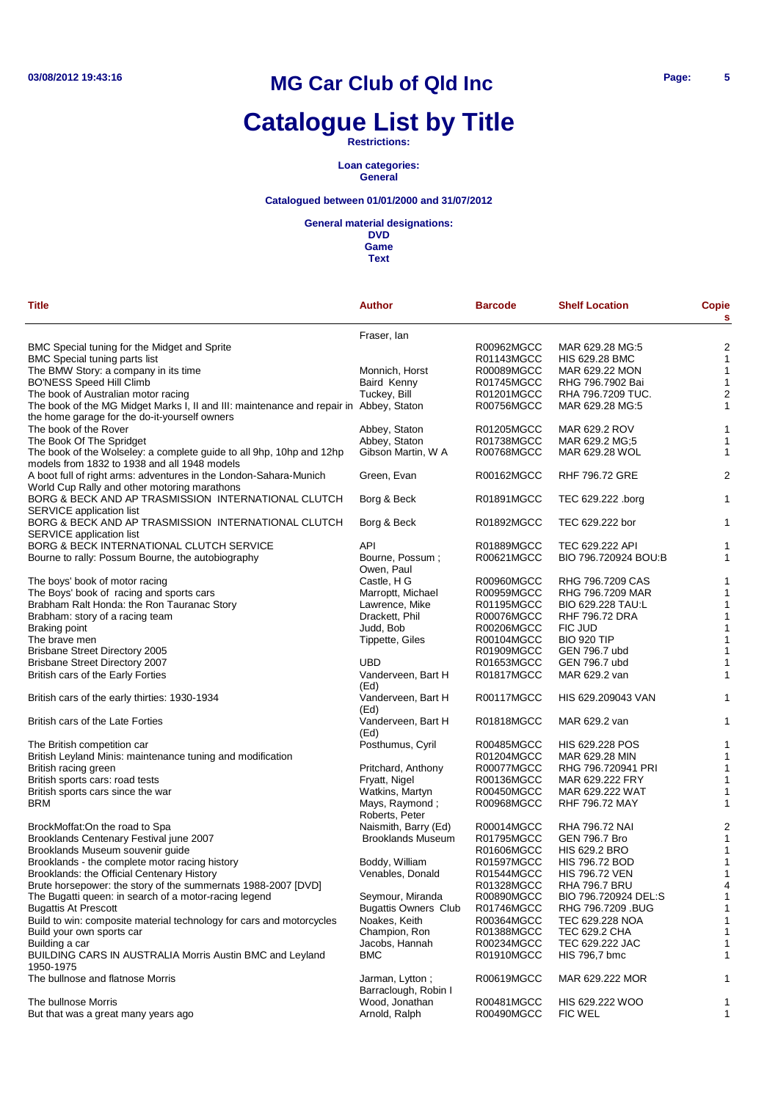# **Catalogue List by Title**

**Restrictions:**

**Loan categories: General**

### **Catalogued between 01/01/2000 and 31/07/2012**

#### **General material designations:**

**DVD Game**

| <b>Title</b>                                                                                                         | <b>Author</b>                           | <b>Barcode</b> | <b>Shelf Location</b>  | <b>Copie</b><br>s |
|----------------------------------------------------------------------------------------------------------------------|-----------------------------------------|----------------|------------------------|-------------------|
|                                                                                                                      | Fraser, Ian                             |                |                        |                   |
| BMC Special tuning for the Midget and Sprite                                                                         |                                         | R00962MGCC     | MAR 629.28 MG:5        | $\overline{c}$    |
| <b>BMC Special tuning parts list</b>                                                                                 |                                         | R01143MGCC     | <b>HIS 629.28 BMC</b>  | $\mathbf{1}$      |
| The BMW Story: a company in its time                                                                                 | Monnich, Horst                          | R00089MGCC     | MAR 629.22 MON         | 1                 |
| <b>BO'NESS Speed Hill Climb</b>                                                                                      | Baird Kenny                             | R01745MGCC     | RHG 796.7902 Bai       | $\mathbf{1}$      |
|                                                                                                                      |                                         |                |                        |                   |
| The book of Australian motor racing                                                                                  | Tuckey, Bill                            | R01201MGCC     | RHA 796.7209 TUC.      | 2                 |
| The book of the MG Midget Marks I, II and III: maintenance and repair in Abbey, Staton                               |                                         | R00756MGCC     | MAR 629.28 MG:5        | 1                 |
| the home garage for the do-it-yourself owners                                                                        |                                         |                |                        |                   |
| The book of the Rover                                                                                                | Abbey, Staton                           | R01205MGCC     | MAR 629.2 ROV          | 1                 |
| The Book Of The Spridget                                                                                             | Abbey, Staton                           | R01738MGCC     | MAR 629.2 MG;5         | 1                 |
| The book of the Wolseley: a complete guide to all 9hp, 10hp and 12hp<br>models from 1832 to 1938 and all 1948 models | Gibson Martin, W A                      | R00768MGCC     | MAR 629.28 WOL         | 1                 |
| A boot full of right arms: adventures in the London-Sahara-Munich                                                    | Green, Evan                             | R00162MGCC     | <b>RHF 796.72 GRE</b>  | $\overline{c}$    |
| World Cup Rally and other motoring marathons                                                                         |                                         | R01891MGCC     |                        |                   |
| BORG & BECK AND AP TRASMISSION INTERNATIONAL CLUTCH                                                                  | Borg & Beck                             |                | TEC 629.222 .borg      | 1                 |
| SERVICE application list                                                                                             |                                         |                |                        |                   |
| BORG & BECK AND AP TRASMISSION INTERNATIONAL CLUTCH                                                                  | Borg & Beck                             | R01892MGCC     | TEC 629.222 bor        | 1                 |
| SERVICE application list                                                                                             |                                         |                |                        |                   |
| BORG & BECK INTERNATIONAL CLUTCH SERVICE                                                                             | API                                     | R01889MGCC     | TEC 629.222 API        | 1                 |
| Bourne to rally: Possum Bourne, the autobiography                                                                    | Bourne, Possum;                         | R00621MGCC     | BIO 796.720924 BOU:B   | 1                 |
|                                                                                                                      | Owen, Paul                              |                |                        |                   |
| The boys' book of motor racing                                                                                       | Castle, H G                             | R00960MGCC     | RHG 796,7209 CAS       | 1                 |
| The Boys' book of racing and sports cars                                                                             | Marroptt, Michael                       | R00959MGCC     | RHG 796.7209 MAR       | 1                 |
| Brabham Ralt Honda: the Ron Tauranac Story                                                                           | Lawrence, Mike                          | R01195MGCC     | BIO 629.228 TAU:L      | 1                 |
| Brabham: story of a racing team                                                                                      | Drackett, Phil                          | R00076MGCC     | RHF 796.72 DRA         | $\mathbf{1}$      |
| Braking point                                                                                                        | Judd, Bob                               | R00206MGCC     | FIC JUD                | 1                 |
| The brave men                                                                                                        | Tippette, Giles                         | R00104MGCC     | <b>BIO 920 TIP</b>     | $\mathbf{1}$      |
| <b>Brisbane Street Directory 2005</b>                                                                                |                                         | R01909MGCC     | GEN 796.7 ubd          | 1                 |
| <b>Brisbane Street Directory 2007</b>                                                                                | UBD                                     | R01653MGCC     | GEN 796.7 ubd          | 1                 |
| British cars of the Early Forties                                                                                    | Vanderveen, Bart H<br>(Ed)              | R01817MGCC     | MAR 629.2 van          | 1                 |
| British cars of the early thirties: 1930-1934                                                                        | Vanderveen, Bart H<br>(Ed)              | R00117MGCC     | HIS 629.209043 VAN     | 1                 |
| British cars of the Late Forties                                                                                     | Vanderveen, Bart H<br>(Ed)              | R01818MGCC     | MAR 629.2 van          | 1                 |
| The British competition car                                                                                          | Posthumus, Cyril                        | R00485MGCC     | <b>HIS 629.228 POS</b> | 1                 |
| British Leyland Minis: maintenance tuning and modification                                                           |                                         | R01204MGCC     | MAR 629.28 MIN         | $\mathbf{1}$      |
| British racing green                                                                                                 | Pritchard, Anthony                      | R00077MGCC     | RHG 796.720941 PRI     | 1                 |
| British sports cars: road tests                                                                                      | Fryatt, Nigel                           | R00136MGCC     | MAR 629.222 FRY        | 1                 |
|                                                                                                                      |                                         |                | MAR 629.222 WAT        |                   |
| British sports cars since the war<br><b>BRM</b>                                                                      | Watkins, Martyn                         | R00450MGCC     | <b>RHF 796.72 MAY</b>  | 1                 |
|                                                                                                                      | Mays, Raymond;                          | R00968MGCC     |                        | 1                 |
| BrockMoffat:On the road to Spa                                                                                       | Roberts, Peter                          | R00014MGCC     | RHA 796.72 NAI         | $\overline{c}$    |
|                                                                                                                      | Naismith, Barry (Ed)                    | R01795MGCC     | <b>GEN 796.7 Bro</b>   |                   |
| Brooklands Centenary Festival june 2007                                                                              | <b>Brooklands Museum</b>                |                |                        | $\mathbf{1}$      |
| Brooklands Museum souvenir guide                                                                                     |                                         | R01606MGCC     | <b>HIS 629.2 BRO</b>   | $\mathbf{1}$      |
| Brooklands - the complete motor racing history                                                                       | Boddy, William                          | R01597MGCC     | <b>HIS 796.72 BOD</b>  | $\mathbf{1}$      |
| Brooklands: the Official Centenary History                                                                           | Venables, Donald                        | R01544MGCC     | <b>HIS 796.72 VEN</b>  | 1                 |
| Brute horsepower: the story of the summernats 1988-2007 [DVD]                                                        |                                         | R01328MGCC     | <b>RHA 796.7 BRU</b>   | 4                 |
| The Bugatti queen: in search of a motor-racing legend                                                                | Seymour, Miranda                        | R00890MGCC     | BIO 796.720924 DEL:S   | -1                |
| <b>Bugattis At Prescott</b>                                                                                          | <b>Bugattis Owners Club</b>             | R01746MGCC     | RHG 796.7209 .BUG      | 1                 |
| Build to win: composite material technology for cars and motorcycles                                                 | Noakes, Keith                           | R00364MGCC     | TEC 629.228 NOA        | 1                 |
| Build your own sports car                                                                                            | Champion, Ron                           | R01388MGCC     | <b>TEC 629.2 CHA</b>   |                   |
| Building a car                                                                                                       | Jacobs, Hannah                          | R00234MGCC     | TEC 629.222 JAC        | 1                 |
| <b>BUILDING CARS IN AUSTRALIA Morris Austin BMC and Leyland</b><br>1950-1975                                         | <b>BMC</b>                              | R01910MGCC     | HIS 796,7 bmc          | 1                 |
| The bullnose and flatnose Morris                                                                                     | Jarman, Lytton;<br>Barraclough, Robin I | R00619MGCC     | MAR 629.222 MOR        |                   |
| The bullnose Morris                                                                                                  | Wood, Jonathan                          | R00481MGCC     | HIS 629.222 WOO        | 1                 |
| But that was a great many years ago                                                                                  | Arnold, Ralph                           | R00490MGCC     | <b>FIC WEL</b>         | 1                 |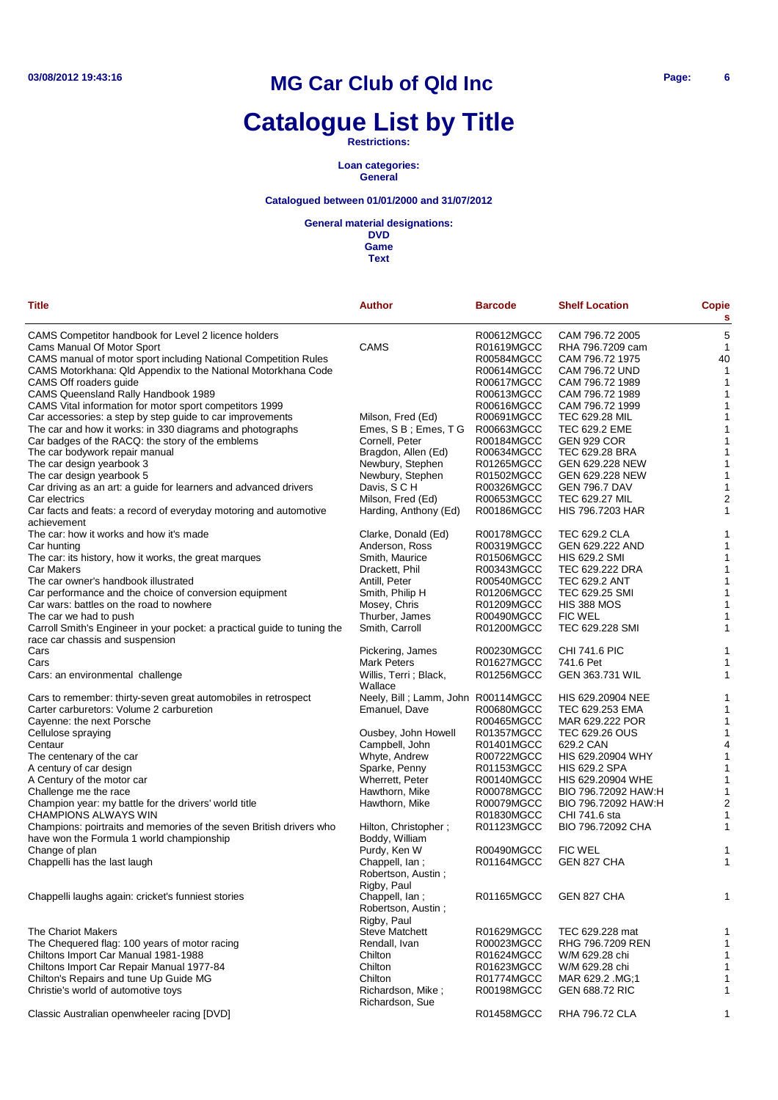# **Catalogue List by Title**

**Restrictions:**

**Loan categories: General**

### **Catalogued between 01/01/2000 and 31/07/2012**

**General material designations:**

| <b>Title</b><br>Author<br><b>Shelf Location</b><br>Copie<br><b>Barcode</b><br>s<br>5<br>CAMS Competitor handbook for Level 2 licence holders<br>R00612MGCC<br>CAM 796.72 2005<br><b>CAMS</b><br>1<br>Cams Manual Of Motor Sport<br>R01619MGCC<br>RHA 796.7209 cam<br>40<br>CAMS manual of motor sport including National Competition Rules<br>R00584MGCC<br>CAM 796.72 1975<br>CAMS Motorkhana: Qld Appendix to the National Motorkhana Code<br>R00614MGCC<br><b>CAM 796.72 UND</b><br>$\mathbf{1}$<br>CAMS Off roaders guide<br>R00617MGCC<br>CAM 796.72 1989<br>1<br>CAMS Queensland Rally Handbook 1989<br>R00613MGCC<br>CAM 796.72 1989<br>1<br>CAMS Vital information for motor sport competitors 1999<br>R00616MGCC<br>CAM 796.72 1999<br>1<br>Car accessories: a step by step guide to car improvements<br>Milson, Fred (Ed)<br>R00691MGCC<br>TEC 629.28 MIL<br>1<br>The car and how it works: in 330 diagrams and photographs<br>Emes, S B; Emes, T G<br>R00663MGCC<br>TEC 629.2 EME<br>1<br>Car badges of the RACQ: the story of the emblems<br>Cornell, Peter<br>R00184MGCC<br><b>GEN 929 COR</b><br>1<br>1<br>The car bodywork repair manual<br>Bragdon, Allen (Ed)<br>R00634MGCC<br>TEC 629.28 BRA<br>The car design yearbook 3<br>Newbury, Stephen<br>R01265MGCC<br>GEN 629.228 NEW<br>1<br>1<br>The car design yearbook 5<br>Newbury, Stephen<br>R01502MGCC<br>GEN 629.228 NEW<br>1<br>Car driving as an art: a guide for learners and advanced drivers<br>Davis, S C H<br>R00326MGCC<br><b>GEN 796.7 DAV</b><br>$\overline{\mathbf{c}}$<br>Car electrics<br>Milson, Fred (Ed)<br>R00653MGCC<br><b>TEC 629.27 MIL</b><br>1<br>Car facts and feats: a record of everyday motoring and automotive<br>Harding, Anthony (Ed)<br>R00186MGCC<br><b>HIS 796.7203 HAR</b><br>achievement<br>The car: how it works and how it's made<br>R00178MGCC<br><b>TEC 629.2 CLA</b><br>Clarke, Donald (Ed)<br>1<br>1<br>Anderson, Ross<br>R00319MGCC<br>GEN 629.222 AND<br>Car hunting<br>The car: its history, how it works, the great marques<br>Smith, Maurice<br>R01506MGCC<br><b>HIS 629.2 SMI</b><br>1<br>1<br>TEC 629.222 DRA<br>Car Makers<br>Drackett, Phil<br>R00343MGCC<br>The car owner's handbook illustrated<br>Antill, Peter<br><b>TEC 629.2 ANT</b><br>1<br>R00540MGCC<br>1<br>Car performance and the choice of conversion equipment<br>Smith, Philip H<br>R01206MGCC<br>TEC 629.25 SMI<br>1<br>Car wars: battles on the road to nowhere<br>Mosey, Chris<br>R01209MGCC<br><b>HIS 388 MOS</b><br>1<br>Thurber, James<br>R00490MGCC<br><b>FIC WEL</b><br>The car we had to push<br>TEC 629.228 SMI<br>Carroll Smith's Engineer in your pocket: a practical guide to tuning the<br>Smith, Carroll<br>R01200MGCC<br>1<br>race car chassis and suspension<br>Cars<br>Pickering, James<br>R00230MGCC<br><b>CHI 741.6 PIC</b><br>1<br>1<br>Cars<br><b>Mark Peters</b><br>R01627MGCC<br>741.6 Pet<br>Willis, Terri ; Black,<br>R01256MGCC<br><b>GEN 363.731 WIL</b><br>1<br>Cars: an environmental challenge<br>Wallace<br>Cars to remember: thirty-seven great automobiles in retrospect<br>Neely, Bill; Lamm, John R00114MGCC<br>HIS 629.20904 NEE<br>1<br>TEC 629.253 EMA<br>1<br>Carter carburetors: Volume 2 carburetion<br>Emanuel, Dave<br>R00680MGCC<br>Cayenne: the next Porsche<br>R00465MGCC<br>MAR 629.222 POR<br>1<br>1<br>Cellulose spraying<br>Ousbey, John Howell<br>R01357MGCC<br>TEC 629.26 OUS<br>4<br>Centaur<br>Campbell, John<br>R01401MGCC<br>629.2 CAN<br>HIS 629.20904 WHY<br>The centenary of the car<br>Whyte, Andrew<br>R00722MGCC<br>1<br>Sparke, Penny<br>R01153MGCC<br><b>HIS 629.2 SPA</b><br>1<br>A century of car design<br>1<br>A Century of the motor car<br>Wherrett, Peter<br>R00140MGCC<br>HIS 629.20904 WHE<br>Challenge me the race<br>Hawthorn, Mike<br>R00078MGCC<br>BIO 796.72092 HAW:H<br>1<br>$\overline{2}$<br>Champion year: my battle for the drivers' world title<br>Hawthorn, Mike<br>R00079MGCC<br>BIO 796.72092 HAW:H<br><b>CHAMPIONS ALWAYS WIN</b><br>R01830MGCC<br>CHI 741.6 sta<br>1<br>Champions: poirtraits and memories of the seven British drivers who<br>Hilton, Christopher;<br>R01123MGCC<br>BIO 796.72092 CHA<br>1<br>have won the Formula 1 world championship<br>Boddy, William<br>Change of plan<br>Purdy, Ken W<br>R00490MGCC<br><b>FIC WEL</b><br>1<br>Chappelli has the last laugh<br>R01164MGCC<br>GEN 827 CHA<br>1<br>Chappell, lan;<br>Robertson, Austin;<br>Rigby, Paul<br>Chappelli laughs again: cricket's funniest stories<br>Chappell, lan:<br>R01165MGCC<br>GEN 827 CHA<br>$\mathbf{1}$<br>Robertson, Austin;<br>Rigby, Paul<br>The Chariot Makers<br><b>Steve Matchett</b><br>R01629MGCC<br>TEC 629.228 mat<br>1<br>The Chequered flag: 100 years of motor racing<br>Rendall, Ivan<br>R00023MGCC<br>RHG 796.7209 REN<br>1<br>Chiltons Import Car Manual 1981-1988<br>Chilton<br>R01624MGCC<br>W/M 629.28 chi<br>1<br>Chiltons Import Car Repair Manual 1977-84<br>Chilton<br>W/M 629.28 chi<br>R01623MGCC<br>1<br>Chilton's Repairs and tune Up Guide MG<br>Chilton<br>R01774MGCC<br>MAR 629.2 .MG;1<br>1<br>Christie's world of automotive toys<br>Richardson, Mike;<br>R00198MGCC<br>GEN 688.72 RIC<br>1<br>Richardson, Sue |  |  |  |
|----------------------------------------------------------------------------------------------------------------------------------------------------------------------------------------------------------------------------------------------------------------------------------------------------------------------------------------------------------------------------------------------------------------------------------------------------------------------------------------------------------------------------------------------------------------------------------------------------------------------------------------------------------------------------------------------------------------------------------------------------------------------------------------------------------------------------------------------------------------------------------------------------------------------------------------------------------------------------------------------------------------------------------------------------------------------------------------------------------------------------------------------------------------------------------------------------------------------------------------------------------------------------------------------------------------------------------------------------------------------------------------------------------------------------------------------------------------------------------------------------------------------------------------------------------------------------------------------------------------------------------------------------------------------------------------------------------------------------------------------------------------------------------------------------------------------------------------------------------------------------------------------------------------------------------------------------------------------------------------------------------------------------------------------------------------------------------------------------------------------------------------------------------------------------------------------------------------------------------------------------------------------------------------------------------------------------------------------------------------------------------------------------------------------------------------------------------------------------------------------------------------------------------------------------------------------------------------------------------------------------------------------------------------------------------------------------------------------------------------------------------------------------------------------------------------------------------------------------------------------------------------------------------------------------------------------------------------------------------------------------------------------------------------------------------------------------------------------------------------------------------------------------------------------------------------------------------------------------------------------------------------------------------------------------------------------------------------------------------------------------------------------------------------------------------------------------------------------------------------------------------------------------------------------------------------------------------------------------------------------------------------------------------------------------------------------------------------------------------------------------------------------------------------------------------------------------------------------------------------------------------------------------------------------------------------------------------------------------------------------------------------------------------------------------------------------------------------------------------------------------------------------------------------------------------------------------------------------------------------------------------------------------------------------------------------------------------------------------------------------------------------------------------------------------------------------------------------------------------------------------------------------------------------------------------------------------------------------------------------------------------------------------------------------------------------------------------------------------------------------------------------------------------------------------------------------------------------------------------------------------------------------------------------------------------------------------------------------------------------------------------------------------------------------------------------------------------------------------------------------------------------------------------------------------------------------------------------------|--|--|--|
|                                                                                                                                                                                                                                                                                                                                                                                                                                                                                                                                                                                                                                                                                                                                                                                                                                                                                                                                                                                                                                                                                                                                                                                                                                                                                                                                                                                                                                                                                                                                                                                                                                                                                                                                                                                                                                                                                                                                                                                                                                                                                                                                                                                                                                                                                                                                                                                                                                                                                                                                                                                                                                                                                                                                                                                                                                                                                                                                                                                                                                                                                                                                                                                                                                                                                                                                                                                                                                                                                                                                                                                                                                                                                                                                                                                                                                                                                                                                                                                                                                                                                                                                                                                                                                                                                                                                                                                                                                                                                                                                                                                                                                                                                                                                                                                                                                                                                                                                                                                                                                                                                                                                                                                                                      |  |  |  |
|                                                                                                                                                                                                                                                                                                                                                                                                                                                                                                                                                                                                                                                                                                                                                                                                                                                                                                                                                                                                                                                                                                                                                                                                                                                                                                                                                                                                                                                                                                                                                                                                                                                                                                                                                                                                                                                                                                                                                                                                                                                                                                                                                                                                                                                                                                                                                                                                                                                                                                                                                                                                                                                                                                                                                                                                                                                                                                                                                                                                                                                                                                                                                                                                                                                                                                                                                                                                                                                                                                                                                                                                                                                                                                                                                                                                                                                                                                                                                                                                                                                                                                                                                                                                                                                                                                                                                                                                                                                                                                                                                                                                                                                                                                                                                                                                                                                                                                                                                                                                                                                                                                                                                                                                                      |  |  |  |
|                                                                                                                                                                                                                                                                                                                                                                                                                                                                                                                                                                                                                                                                                                                                                                                                                                                                                                                                                                                                                                                                                                                                                                                                                                                                                                                                                                                                                                                                                                                                                                                                                                                                                                                                                                                                                                                                                                                                                                                                                                                                                                                                                                                                                                                                                                                                                                                                                                                                                                                                                                                                                                                                                                                                                                                                                                                                                                                                                                                                                                                                                                                                                                                                                                                                                                                                                                                                                                                                                                                                                                                                                                                                                                                                                                                                                                                                                                                                                                                                                                                                                                                                                                                                                                                                                                                                                                                                                                                                                                                                                                                                                                                                                                                                                                                                                                                                                                                                                                                                                                                                                                                                                                                                                      |  |  |  |
|                                                                                                                                                                                                                                                                                                                                                                                                                                                                                                                                                                                                                                                                                                                                                                                                                                                                                                                                                                                                                                                                                                                                                                                                                                                                                                                                                                                                                                                                                                                                                                                                                                                                                                                                                                                                                                                                                                                                                                                                                                                                                                                                                                                                                                                                                                                                                                                                                                                                                                                                                                                                                                                                                                                                                                                                                                                                                                                                                                                                                                                                                                                                                                                                                                                                                                                                                                                                                                                                                                                                                                                                                                                                                                                                                                                                                                                                                                                                                                                                                                                                                                                                                                                                                                                                                                                                                                                                                                                                                                                                                                                                                                                                                                                                                                                                                                                                                                                                                                                                                                                                                                                                                                                                                      |  |  |  |
|                                                                                                                                                                                                                                                                                                                                                                                                                                                                                                                                                                                                                                                                                                                                                                                                                                                                                                                                                                                                                                                                                                                                                                                                                                                                                                                                                                                                                                                                                                                                                                                                                                                                                                                                                                                                                                                                                                                                                                                                                                                                                                                                                                                                                                                                                                                                                                                                                                                                                                                                                                                                                                                                                                                                                                                                                                                                                                                                                                                                                                                                                                                                                                                                                                                                                                                                                                                                                                                                                                                                                                                                                                                                                                                                                                                                                                                                                                                                                                                                                                                                                                                                                                                                                                                                                                                                                                                                                                                                                                                                                                                                                                                                                                                                                                                                                                                                                                                                                                                                                                                                                                                                                                                                                      |  |  |  |
|                                                                                                                                                                                                                                                                                                                                                                                                                                                                                                                                                                                                                                                                                                                                                                                                                                                                                                                                                                                                                                                                                                                                                                                                                                                                                                                                                                                                                                                                                                                                                                                                                                                                                                                                                                                                                                                                                                                                                                                                                                                                                                                                                                                                                                                                                                                                                                                                                                                                                                                                                                                                                                                                                                                                                                                                                                                                                                                                                                                                                                                                                                                                                                                                                                                                                                                                                                                                                                                                                                                                                                                                                                                                                                                                                                                                                                                                                                                                                                                                                                                                                                                                                                                                                                                                                                                                                                                                                                                                                                                                                                                                                                                                                                                                                                                                                                                                                                                                                                                                                                                                                                                                                                                                                      |  |  |  |
|                                                                                                                                                                                                                                                                                                                                                                                                                                                                                                                                                                                                                                                                                                                                                                                                                                                                                                                                                                                                                                                                                                                                                                                                                                                                                                                                                                                                                                                                                                                                                                                                                                                                                                                                                                                                                                                                                                                                                                                                                                                                                                                                                                                                                                                                                                                                                                                                                                                                                                                                                                                                                                                                                                                                                                                                                                                                                                                                                                                                                                                                                                                                                                                                                                                                                                                                                                                                                                                                                                                                                                                                                                                                                                                                                                                                                                                                                                                                                                                                                                                                                                                                                                                                                                                                                                                                                                                                                                                                                                                                                                                                                                                                                                                                                                                                                                                                                                                                                                                                                                                                                                                                                                                                                      |  |  |  |
|                                                                                                                                                                                                                                                                                                                                                                                                                                                                                                                                                                                                                                                                                                                                                                                                                                                                                                                                                                                                                                                                                                                                                                                                                                                                                                                                                                                                                                                                                                                                                                                                                                                                                                                                                                                                                                                                                                                                                                                                                                                                                                                                                                                                                                                                                                                                                                                                                                                                                                                                                                                                                                                                                                                                                                                                                                                                                                                                                                                                                                                                                                                                                                                                                                                                                                                                                                                                                                                                                                                                                                                                                                                                                                                                                                                                                                                                                                                                                                                                                                                                                                                                                                                                                                                                                                                                                                                                                                                                                                                                                                                                                                                                                                                                                                                                                                                                                                                                                                                                                                                                                                                                                                                                                      |  |  |  |
|                                                                                                                                                                                                                                                                                                                                                                                                                                                                                                                                                                                                                                                                                                                                                                                                                                                                                                                                                                                                                                                                                                                                                                                                                                                                                                                                                                                                                                                                                                                                                                                                                                                                                                                                                                                                                                                                                                                                                                                                                                                                                                                                                                                                                                                                                                                                                                                                                                                                                                                                                                                                                                                                                                                                                                                                                                                                                                                                                                                                                                                                                                                                                                                                                                                                                                                                                                                                                                                                                                                                                                                                                                                                                                                                                                                                                                                                                                                                                                                                                                                                                                                                                                                                                                                                                                                                                                                                                                                                                                                                                                                                                                                                                                                                                                                                                                                                                                                                                                                                                                                                                                                                                                                                                      |  |  |  |
|                                                                                                                                                                                                                                                                                                                                                                                                                                                                                                                                                                                                                                                                                                                                                                                                                                                                                                                                                                                                                                                                                                                                                                                                                                                                                                                                                                                                                                                                                                                                                                                                                                                                                                                                                                                                                                                                                                                                                                                                                                                                                                                                                                                                                                                                                                                                                                                                                                                                                                                                                                                                                                                                                                                                                                                                                                                                                                                                                                                                                                                                                                                                                                                                                                                                                                                                                                                                                                                                                                                                                                                                                                                                                                                                                                                                                                                                                                                                                                                                                                                                                                                                                                                                                                                                                                                                                                                                                                                                                                                                                                                                                                                                                                                                                                                                                                                                                                                                                                                                                                                                                                                                                                                                                      |  |  |  |
|                                                                                                                                                                                                                                                                                                                                                                                                                                                                                                                                                                                                                                                                                                                                                                                                                                                                                                                                                                                                                                                                                                                                                                                                                                                                                                                                                                                                                                                                                                                                                                                                                                                                                                                                                                                                                                                                                                                                                                                                                                                                                                                                                                                                                                                                                                                                                                                                                                                                                                                                                                                                                                                                                                                                                                                                                                                                                                                                                                                                                                                                                                                                                                                                                                                                                                                                                                                                                                                                                                                                                                                                                                                                                                                                                                                                                                                                                                                                                                                                                                                                                                                                                                                                                                                                                                                                                                                                                                                                                                                                                                                                                                                                                                                                                                                                                                                                                                                                                                                                                                                                                                                                                                                                                      |  |  |  |
|                                                                                                                                                                                                                                                                                                                                                                                                                                                                                                                                                                                                                                                                                                                                                                                                                                                                                                                                                                                                                                                                                                                                                                                                                                                                                                                                                                                                                                                                                                                                                                                                                                                                                                                                                                                                                                                                                                                                                                                                                                                                                                                                                                                                                                                                                                                                                                                                                                                                                                                                                                                                                                                                                                                                                                                                                                                                                                                                                                                                                                                                                                                                                                                                                                                                                                                                                                                                                                                                                                                                                                                                                                                                                                                                                                                                                                                                                                                                                                                                                                                                                                                                                                                                                                                                                                                                                                                                                                                                                                                                                                                                                                                                                                                                                                                                                                                                                                                                                                                                                                                                                                                                                                                                                      |  |  |  |
|                                                                                                                                                                                                                                                                                                                                                                                                                                                                                                                                                                                                                                                                                                                                                                                                                                                                                                                                                                                                                                                                                                                                                                                                                                                                                                                                                                                                                                                                                                                                                                                                                                                                                                                                                                                                                                                                                                                                                                                                                                                                                                                                                                                                                                                                                                                                                                                                                                                                                                                                                                                                                                                                                                                                                                                                                                                                                                                                                                                                                                                                                                                                                                                                                                                                                                                                                                                                                                                                                                                                                                                                                                                                                                                                                                                                                                                                                                                                                                                                                                                                                                                                                                                                                                                                                                                                                                                                                                                                                                                                                                                                                                                                                                                                                                                                                                                                                                                                                                                                                                                                                                                                                                                                                      |  |  |  |
|                                                                                                                                                                                                                                                                                                                                                                                                                                                                                                                                                                                                                                                                                                                                                                                                                                                                                                                                                                                                                                                                                                                                                                                                                                                                                                                                                                                                                                                                                                                                                                                                                                                                                                                                                                                                                                                                                                                                                                                                                                                                                                                                                                                                                                                                                                                                                                                                                                                                                                                                                                                                                                                                                                                                                                                                                                                                                                                                                                                                                                                                                                                                                                                                                                                                                                                                                                                                                                                                                                                                                                                                                                                                                                                                                                                                                                                                                                                                                                                                                                                                                                                                                                                                                                                                                                                                                                                                                                                                                                                                                                                                                                                                                                                                                                                                                                                                                                                                                                                                                                                                                                                                                                                                                      |  |  |  |
|                                                                                                                                                                                                                                                                                                                                                                                                                                                                                                                                                                                                                                                                                                                                                                                                                                                                                                                                                                                                                                                                                                                                                                                                                                                                                                                                                                                                                                                                                                                                                                                                                                                                                                                                                                                                                                                                                                                                                                                                                                                                                                                                                                                                                                                                                                                                                                                                                                                                                                                                                                                                                                                                                                                                                                                                                                                                                                                                                                                                                                                                                                                                                                                                                                                                                                                                                                                                                                                                                                                                                                                                                                                                                                                                                                                                                                                                                                                                                                                                                                                                                                                                                                                                                                                                                                                                                                                                                                                                                                                                                                                                                                                                                                                                                                                                                                                                                                                                                                                                                                                                                                                                                                                                                      |  |  |  |
|                                                                                                                                                                                                                                                                                                                                                                                                                                                                                                                                                                                                                                                                                                                                                                                                                                                                                                                                                                                                                                                                                                                                                                                                                                                                                                                                                                                                                                                                                                                                                                                                                                                                                                                                                                                                                                                                                                                                                                                                                                                                                                                                                                                                                                                                                                                                                                                                                                                                                                                                                                                                                                                                                                                                                                                                                                                                                                                                                                                                                                                                                                                                                                                                                                                                                                                                                                                                                                                                                                                                                                                                                                                                                                                                                                                                                                                                                                                                                                                                                                                                                                                                                                                                                                                                                                                                                                                                                                                                                                                                                                                                                                                                                                                                                                                                                                                                                                                                                                                                                                                                                                                                                                                                                      |  |  |  |
|                                                                                                                                                                                                                                                                                                                                                                                                                                                                                                                                                                                                                                                                                                                                                                                                                                                                                                                                                                                                                                                                                                                                                                                                                                                                                                                                                                                                                                                                                                                                                                                                                                                                                                                                                                                                                                                                                                                                                                                                                                                                                                                                                                                                                                                                                                                                                                                                                                                                                                                                                                                                                                                                                                                                                                                                                                                                                                                                                                                                                                                                                                                                                                                                                                                                                                                                                                                                                                                                                                                                                                                                                                                                                                                                                                                                                                                                                                                                                                                                                                                                                                                                                                                                                                                                                                                                                                                                                                                                                                                                                                                                                                                                                                                                                                                                                                                                                                                                                                                                                                                                                                                                                                                                                      |  |  |  |
|                                                                                                                                                                                                                                                                                                                                                                                                                                                                                                                                                                                                                                                                                                                                                                                                                                                                                                                                                                                                                                                                                                                                                                                                                                                                                                                                                                                                                                                                                                                                                                                                                                                                                                                                                                                                                                                                                                                                                                                                                                                                                                                                                                                                                                                                                                                                                                                                                                                                                                                                                                                                                                                                                                                                                                                                                                                                                                                                                                                                                                                                                                                                                                                                                                                                                                                                                                                                                                                                                                                                                                                                                                                                                                                                                                                                                                                                                                                                                                                                                                                                                                                                                                                                                                                                                                                                                                                                                                                                                                                                                                                                                                                                                                                                                                                                                                                                                                                                                                                                                                                                                                                                                                                                                      |  |  |  |
|                                                                                                                                                                                                                                                                                                                                                                                                                                                                                                                                                                                                                                                                                                                                                                                                                                                                                                                                                                                                                                                                                                                                                                                                                                                                                                                                                                                                                                                                                                                                                                                                                                                                                                                                                                                                                                                                                                                                                                                                                                                                                                                                                                                                                                                                                                                                                                                                                                                                                                                                                                                                                                                                                                                                                                                                                                                                                                                                                                                                                                                                                                                                                                                                                                                                                                                                                                                                                                                                                                                                                                                                                                                                                                                                                                                                                                                                                                                                                                                                                                                                                                                                                                                                                                                                                                                                                                                                                                                                                                                                                                                                                                                                                                                                                                                                                                                                                                                                                                                                                                                                                                                                                                                                                      |  |  |  |
|                                                                                                                                                                                                                                                                                                                                                                                                                                                                                                                                                                                                                                                                                                                                                                                                                                                                                                                                                                                                                                                                                                                                                                                                                                                                                                                                                                                                                                                                                                                                                                                                                                                                                                                                                                                                                                                                                                                                                                                                                                                                                                                                                                                                                                                                                                                                                                                                                                                                                                                                                                                                                                                                                                                                                                                                                                                                                                                                                                                                                                                                                                                                                                                                                                                                                                                                                                                                                                                                                                                                                                                                                                                                                                                                                                                                                                                                                                                                                                                                                                                                                                                                                                                                                                                                                                                                                                                                                                                                                                                                                                                                                                                                                                                                                                                                                                                                                                                                                                                                                                                                                                                                                                                                                      |  |  |  |
|                                                                                                                                                                                                                                                                                                                                                                                                                                                                                                                                                                                                                                                                                                                                                                                                                                                                                                                                                                                                                                                                                                                                                                                                                                                                                                                                                                                                                                                                                                                                                                                                                                                                                                                                                                                                                                                                                                                                                                                                                                                                                                                                                                                                                                                                                                                                                                                                                                                                                                                                                                                                                                                                                                                                                                                                                                                                                                                                                                                                                                                                                                                                                                                                                                                                                                                                                                                                                                                                                                                                                                                                                                                                                                                                                                                                                                                                                                                                                                                                                                                                                                                                                                                                                                                                                                                                                                                                                                                                                                                                                                                                                                                                                                                                                                                                                                                                                                                                                                                                                                                                                                                                                                                                                      |  |  |  |
|                                                                                                                                                                                                                                                                                                                                                                                                                                                                                                                                                                                                                                                                                                                                                                                                                                                                                                                                                                                                                                                                                                                                                                                                                                                                                                                                                                                                                                                                                                                                                                                                                                                                                                                                                                                                                                                                                                                                                                                                                                                                                                                                                                                                                                                                                                                                                                                                                                                                                                                                                                                                                                                                                                                                                                                                                                                                                                                                                                                                                                                                                                                                                                                                                                                                                                                                                                                                                                                                                                                                                                                                                                                                                                                                                                                                                                                                                                                                                                                                                                                                                                                                                                                                                                                                                                                                                                                                                                                                                                                                                                                                                                                                                                                                                                                                                                                                                                                                                                                                                                                                                                                                                                                                                      |  |  |  |
|                                                                                                                                                                                                                                                                                                                                                                                                                                                                                                                                                                                                                                                                                                                                                                                                                                                                                                                                                                                                                                                                                                                                                                                                                                                                                                                                                                                                                                                                                                                                                                                                                                                                                                                                                                                                                                                                                                                                                                                                                                                                                                                                                                                                                                                                                                                                                                                                                                                                                                                                                                                                                                                                                                                                                                                                                                                                                                                                                                                                                                                                                                                                                                                                                                                                                                                                                                                                                                                                                                                                                                                                                                                                                                                                                                                                                                                                                                                                                                                                                                                                                                                                                                                                                                                                                                                                                                                                                                                                                                                                                                                                                                                                                                                                                                                                                                                                                                                                                                                                                                                                                                                                                                                                                      |  |  |  |
|                                                                                                                                                                                                                                                                                                                                                                                                                                                                                                                                                                                                                                                                                                                                                                                                                                                                                                                                                                                                                                                                                                                                                                                                                                                                                                                                                                                                                                                                                                                                                                                                                                                                                                                                                                                                                                                                                                                                                                                                                                                                                                                                                                                                                                                                                                                                                                                                                                                                                                                                                                                                                                                                                                                                                                                                                                                                                                                                                                                                                                                                                                                                                                                                                                                                                                                                                                                                                                                                                                                                                                                                                                                                                                                                                                                                                                                                                                                                                                                                                                                                                                                                                                                                                                                                                                                                                                                                                                                                                                                                                                                                                                                                                                                                                                                                                                                                                                                                                                                                                                                                                                                                                                                                                      |  |  |  |
|                                                                                                                                                                                                                                                                                                                                                                                                                                                                                                                                                                                                                                                                                                                                                                                                                                                                                                                                                                                                                                                                                                                                                                                                                                                                                                                                                                                                                                                                                                                                                                                                                                                                                                                                                                                                                                                                                                                                                                                                                                                                                                                                                                                                                                                                                                                                                                                                                                                                                                                                                                                                                                                                                                                                                                                                                                                                                                                                                                                                                                                                                                                                                                                                                                                                                                                                                                                                                                                                                                                                                                                                                                                                                                                                                                                                                                                                                                                                                                                                                                                                                                                                                                                                                                                                                                                                                                                                                                                                                                                                                                                                                                                                                                                                                                                                                                                                                                                                                                                                                                                                                                                                                                                                                      |  |  |  |
|                                                                                                                                                                                                                                                                                                                                                                                                                                                                                                                                                                                                                                                                                                                                                                                                                                                                                                                                                                                                                                                                                                                                                                                                                                                                                                                                                                                                                                                                                                                                                                                                                                                                                                                                                                                                                                                                                                                                                                                                                                                                                                                                                                                                                                                                                                                                                                                                                                                                                                                                                                                                                                                                                                                                                                                                                                                                                                                                                                                                                                                                                                                                                                                                                                                                                                                                                                                                                                                                                                                                                                                                                                                                                                                                                                                                                                                                                                                                                                                                                                                                                                                                                                                                                                                                                                                                                                                                                                                                                                                                                                                                                                                                                                                                                                                                                                                                                                                                                                                                                                                                                                                                                                                                                      |  |  |  |
|                                                                                                                                                                                                                                                                                                                                                                                                                                                                                                                                                                                                                                                                                                                                                                                                                                                                                                                                                                                                                                                                                                                                                                                                                                                                                                                                                                                                                                                                                                                                                                                                                                                                                                                                                                                                                                                                                                                                                                                                                                                                                                                                                                                                                                                                                                                                                                                                                                                                                                                                                                                                                                                                                                                                                                                                                                                                                                                                                                                                                                                                                                                                                                                                                                                                                                                                                                                                                                                                                                                                                                                                                                                                                                                                                                                                                                                                                                                                                                                                                                                                                                                                                                                                                                                                                                                                                                                                                                                                                                                                                                                                                                                                                                                                                                                                                                                                                                                                                                                                                                                                                                                                                                                                                      |  |  |  |
|                                                                                                                                                                                                                                                                                                                                                                                                                                                                                                                                                                                                                                                                                                                                                                                                                                                                                                                                                                                                                                                                                                                                                                                                                                                                                                                                                                                                                                                                                                                                                                                                                                                                                                                                                                                                                                                                                                                                                                                                                                                                                                                                                                                                                                                                                                                                                                                                                                                                                                                                                                                                                                                                                                                                                                                                                                                                                                                                                                                                                                                                                                                                                                                                                                                                                                                                                                                                                                                                                                                                                                                                                                                                                                                                                                                                                                                                                                                                                                                                                                                                                                                                                                                                                                                                                                                                                                                                                                                                                                                                                                                                                                                                                                                                                                                                                                                                                                                                                                                                                                                                                                                                                                                                                      |  |  |  |
|                                                                                                                                                                                                                                                                                                                                                                                                                                                                                                                                                                                                                                                                                                                                                                                                                                                                                                                                                                                                                                                                                                                                                                                                                                                                                                                                                                                                                                                                                                                                                                                                                                                                                                                                                                                                                                                                                                                                                                                                                                                                                                                                                                                                                                                                                                                                                                                                                                                                                                                                                                                                                                                                                                                                                                                                                                                                                                                                                                                                                                                                                                                                                                                                                                                                                                                                                                                                                                                                                                                                                                                                                                                                                                                                                                                                                                                                                                                                                                                                                                                                                                                                                                                                                                                                                                                                                                                                                                                                                                                                                                                                                                                                                                                                                                                                                                                                                                                                                                                                                                                                                                                                                                                                                      |  |  |  |
|                                                                                                                                                                                                                                                                                                                                                                                                                                                                                                                                                                                                                                                                                                                                                                                                                                                                                                                                                                                                                                                                                                                                                                                                                                                                                                                                                                                                                                                                                                                                                                                                                                                                                                                                                                                                                                                                                                                                                                                                                                                                                                                                                                                                                                                                                                                                                                                                                                                                                                                                                                                                                                                                                                                                                                                                                                                                                                                                                                                                                                                                                                                                                                                                                                                                                                                                                                                                                                                                                                                                                                                                                                                                                                                                                                                                                                                                                                                                                                                                                                                                                                                                                                                                                                                                                                                                                                                                                                                                                                                                                                                                                                                                                                                                                                                                                                                                                                                                                                                                                                                                                                                                                                                                                      |  |  |  |
|                                                                                                                                                                                                                                                                                                                                                                                                                                                                                                                                                                                                                                                                                                                                                                                                                                                                                                                                                                                                                                                                                                                                                                                                                                                                                                                                                                                                                                                                                                                                                                                                                                                                                                                                                                                                                                                                                                                                                                                                                                                                                                                                                                                                                                                                                                                                                                                                                                                                                                                                                                                                                                                                                                                                                                                                                                                                                                                                                                                                                                                                                                                                                                                                                                                                                                                                                                                                                                                                                                                                                                                                                                                                                                                                                                                                                                                                                                                                                                                                                                                                                                                                                                                                                                                                                                                                                                                                                                                                                                                                                                                                                                                                                                                                                                                                                                                                                                                                                                                                                                                                                                                                                                                                                      |  |  |  |
|                                                                                                                                                                                                                                                                                                                                                                                                                                                                                                                                                                                                                                                                                                                                                                                                                                                                                                                                                                                                                                                                                                                                                                                                                                                                                                                                                                                                                                                                                                                                                                                                                                                                                                                                                                                                                                                                                                                                                                                                                                                                                                                                                                                                                                                                                                                                                                                                                                                                                                                                                                                                                                                                                                                                                                                                                                                                                                                                                                                                                                                                                                                                                                                                                                                                                                                                                                                                                                                                                                                                                                                                                                                                                                                                                                                                                                                                                                                                                                                                                                                                                                                                                                                                                                                                                                                                                                                                                                                                                                                                                                                                                                                                                                                                                                                                                                                                                                                                                                                                                                                                                                                                                                                                                      |  |  |  |
|                                                                                                                                                                                                                                                                                                                                                                                                                                                                                                                                                                                                                                                                                                                                                                                                                                                                                                                                                                                                                                                                                                                                                                                                                                                                                                                                                                                                                                                                                                                                                                                                                                                                                                                                                                                                                                                                                                                                                                                                                                                                                                                                                                                                                                                                                                                                                                                                                                                                                                                                                                                                                                                                                                                                                                                                                                                                                                                                                                                                                                                                                                                                                                                                                                                                                                                                                                                                                                                                                                                                                                                                                                                                                                                                                                                                                                                                                                                                                                                                                                                                                                                                                                                                                                                                                                                                                                                                                                                                                                                                                                                                                                                                                                                                                                                                                                                                                                                                                                                                                                                                                                                                                                                                                      |  |  |  |
|                                                                                                                                                                                                                                                                                                                                                                                                                                                                                                                                                                                                                                                                                                                                                                                                                                                                                                                                                                                                                                                                                                                                                                                                                                                                                                                                                                                                                                                                                                                                                                                                                                                                                                                                                                                                                                                                                                                                                                                                                                                                                                                                                                                                                                                                                                                                                                                                                                                                                                                                                                                                                                                                                                                                                                                                                                                                                                                                                                                                                                                                                                                                                                                                                                                                                                                                                                                                                                                                                                                                                                                                                                                                                                                                                                                                                                                                                                                                                                                                                                                                                                                                                                                                                                                                                                                                                                                                                                                                                                                                                                                                                                                                                                                                                                                                                                                                                                                                                                                                                                                                                                                                                                                                                      |  |  |  |
|                                                                                                                                                                                                                                                                                                                                                                                                                                                                                                                                                                                                                                                                                                                                                                                                                                                                                                                                                                                                                                                                                                                                                                                                                                                                                                                                                                                                                                                                                                                                                                                                                                                                                                                                                                                                                                                                                                                                                                                                                                                                                                                                                                                                                                                                                                                                                                                                                                                                                                                                                                                                                                                                                                                                                                                                                                                                                                                                                                                                                                                                                                                                                                                                                                                                                                                                                                                                                                                                                                                                                                                                                                                                                                                                                                                                                                                                                                                                                                                                                                                                                                                                                                                                                                                                                                                                                                                                                                                                                                                                                                                                                                                                                                                                                                                                                                                                                                                                                                                                                                                                                                                                                                                                                      |  |  |  |
|                                                                                                                                                                                                                                                                                                                                                                                                                                                                                                                                                                                                                                                                                                                                                                                                                                                                                                                                                                                                                                                                                                                                                                                                                                                                                                                                                                                                                                                                                                                                                                                                                                                                                                                                                                                                                                                                                                                                                                                                                                                                                                                                                                                                                                                                                                                                                                                                                                                                                                                                                                                                                                                                                                                                                                                                                                                                                                                                                                                                                                                                                                                                                                                                                                                                                                                                                                                                                                                                                                                                                                                                                                                                                                                                                                                                                                                                                                                                                                                                                                                                                                                                                                                                                                                                                                                                                                                                                                                                                                                                                                                                                                                                                                                                                                                                                                                                                                                                                                                                                                                                                                                                                                                                                      |  |  |  |
|                                                                                                                                                                                                                                                                                                                                                                                                                                                                                                                                                                                                                                                                                                                                                                                                                                                                                                                                                                                                                                                                                                                                                                                                                                                                                                                                                                                                                                                                                                                                                                                                                                                                                                                                                                                                                                                                                                                                                                                                                                                                                                                                                                                                                                                                                                                                                                                                                                                                                                                                                                                                                                                                                                                                                                                                                                                                                                                                                                                                                                                                                                                                                                                                                                                                                                                                                                                                                                                                                                                                                                                                                                                                                                                                                                                                                                                                                                                                                                                                                                                                                                                                                                                                                                                                                                                                                                                                                                                                                                                                                                                                                                                                                                                                                                                                                                                                                                                                                                                                                                                                                                                                                                                                                      |  |  |  |
|                                                                                                                                                                                                                                                                                                                                                                                                                                                                                                                                                                                                                                                                                                                                                                                                                                                                                                                                                                                                                                                                                                                                                                                                                                                                                                                                                                                                                                                                                                                                                                                                                                                                                                                                                                                                                                                                                                                                                                                                                                                                                                                                                                                                                                                                                                                                                                                                                                                                                                                                                                                                                                                                                                                                                                                                                                                                                                                                                                                                                                                                                                                                                                                                                                                                                                                                                                                                                                                                                                                                                                                                                                                                                                                                                                                                                                                                                                                                                                                                                                                                                                                                                                                                                                                                                                                                                                                                                                                                                                                                                                                                                                                                                                                                                                                                                                                                                                                                                                                                                                                                                                                                                                                                                      |  |  |  |
|                                                                                                                                                                                                                                                                                                                                                                                                                                                                                                                                                                                                                                                                                                                                                                                                                                                                                                                                                                                                                                                                                                                                                                                                                                                                                                                                                                                                                                                                                                                                                                                                                                                                                                                                                                                                                                                                                                                                                                                                                                                                                                                                                                                                                                                                                                                                                                                                                                                                                                                                                                                                                                                                                                                                                                                                                                                                                                                                                                                                                                                                                                                                                                                                                                                                                                                                                                                                                                                                                                                                                                                                                                                                                                                                                                                                                                                                                                                                                                                                                                                                                                                                                                                                                                                                                                                                                                                                                                                                                                                                                                                                                                                                                                                                                                                                                                                                                                                                                                                                                                                                                                                                                                                                                      |  |  |  |
|                                                                                                                                                                                                                                                                                                                                                                                                                                                                                                                                                                                                                                                                                                                                                                                                                                                                                                                                                                                                                                                                                                                                                                                                                                                                                                                                                                                                                                                                                                                                                                                                                                                                                                                                                                                                                                                                                                                                                                                                                                                                                                                                                                                                                                                                                                                                                                                                                                                                                                                                                                                                                                                                                                                                                                                                                                                                                                                                                                                                                                                                                                                                                                                                                                                                                                                                                                                                                                                                                                                                                                                                                                                                                                                                                                                                                                                                                                                                                                                                                                                                                                                                                                                                                                                                                                                                                                                                                                                                                                                                                                                                                                                                                                                                                                                                                                                                                                                                                                                                                                                                                                                                                                                                                      |  |  |  |
|                                                                                                                                                                                                                                                                                                                                                                                                                                                                                                                                                                                                                                                                                                                                                                                                                                                                                                                                                                                                                                                                                                                                                                                                                                                                                                                                                                                                                                                                                                                                                                                                                                                                                                                                                                                                                                                                                                                                                                                                                                                                                                                                                                                                                                                                                                                                                                                                                                                                                                                                                                                                                                                                                                                                                                                                                                                                                                                                                                                                                                                                                                                                                                                                                                                                                                                                                                                                                                                                                                                                                                                                                                                                                                                                                                                                                                                                                                                                                                                                                                                                                                                                                                                                                                                                                                                                                                                                                                                                                                                                                                                                                                                                                                                                                                                                                                                                                                                                                                                                                                                                                                                                                                                                                      |  |  |  |
|                                                                                                                                                                                                                                                                                                                                                                                                                                                                                                                                                                                                                                                                                                                                                                                                                                                                                                                                                                                                                                                                                                                                                                                                                                                                                                                                                                                                                                                                                                                                                                                                                                                                                                                                                                                                                                                                                                                                                                                                                                                                                                                                                                                                                                                                                                                                                                                                                                                                                                                                                                                                                                                                                                                                                                                                                                                                                                                                                                                                                                                                                                                                                                                                                                                                                                                                                                                                                                                                                                                                                                                                                                                                                                                                                                                                                                                                                                                                                                                                                                                                                                                                                                                                                                                                                                                                                                                                                                                                                                                                                                                                                                                                                                                                                                                                                                                                                                                                                                                                                                                                                                                                                                                                                      |  |  |  |
|                                                                                                                                                                                                                                                                                                                                                                                                                                                                                                                                                                                                                                                                                                                                                                                                                                                                                                                                                                                                                                                                                                                                                                                                                                                                                                                                                                                                                                                                                                                                                                                                                                                                                                                                                                                                                                                                                                                                                                                                                                                                                                                                                                                                                                                                                                                                                                                                                                                                                                                                                                                                                                                                                                                                                                                                                                                                                                                                                                                                                                                                                                                                                                                                                                                                                                                                                                                                                                                                                                                                                                                                                                                                                                                                                                                                                                                                                                                                                                                                                                                                                                                                                                                                                                                                                                                                                                                                                                                                                                                                                                                                                                                                                                                                                                                                                                                                                                                                                                                                                                                                                                                                                                                                                      |  |  |  |
|                                                                                                                                                                                                                                                                                                                                                                                                                                                                                                                                                                                                                                                                                                                                                                                                                                                                                                                                                                                                                                                                                                                                                                                                                                                                                                                                                                                                                                                                                                                                                                                                                                                                                                                                                                                                                                                                                                                                                                                                                                                                                                                                                                                                                                                                                                                                                                                                                                                                                                                                                                                                                                                                                                                                                                                                                                                                                                                                                                                                                                                                                                                                                                                                                                                                                                                                                                                                                                                                                                                                                                                                                                                                                                                                                                                                                                                                                                                                                                                                                                                                                                                                                                                                                                                                                                                                                                                                                                                                                                                                                                                                                                                                                                                                                                                                                                                                                                                                                                                                                                                                                                                                                                                                                      |  |  |  |
|                                                                                                                                                                                                                                                                                                                                                                                                                                                                                                                                                                                                                                                                                                                                                                                                                                                                                                                                                                                                                                                                                                                                                                                                                                                                                                                                                                                                                                                                                                                                                                                                                                                                                                                                                                                                                                                                                                                                                                                                                                                                                                                                                                                                                                                                                                                                                                                                                                                                                                                                                                                                                                                                                                                                                                                                                                                                                                                                                                                                                                                                                                                                                                                                                                                                                                                                                                                                                                                                                                                                                                                                                                                                                                                                                                                                                                                                                                                                                                                                                                                                                                                                                                                                                                                                                                                                                                                                                                                                                                                                                                                                                                                                                                                                                                                                                                                                                                                                                                                                                                                                                                                                                                                                                      |  |  |  |
|                                                                                                                                                                                                                                                                                                                                                                                                                                                                                                                                                                                                                                                                                                                                                                                                                                                                                                                                                                                                                                                                                                                                                                                                                                                                                                                                                                                                                                                                                                                                                                                                                                                                                                                                                                                                                                                                                                                                                                                                                                                                                                                                                                                                                                                                                                                                                                                                                                                                                                                                                                                                                                                                                                                                                                                                                                                                                                                                                                                                                                                                                                                                                                                                                                                                                                                                                                                                                                                                                                                                                                                                                                                                                                                                                                                                                                                                                                                                                                                                                                                                                                                                                                                                                                                                                                                                                                                                                                                                                                                                                                                                                                                                                                                                                                                                                                                                                                                                                                                                                                                                                                                                                                                                                      |  |  |  |
|                                                                                                                                                                                                                                                                                                                                                                                                                                                                                                                                                                                                                                                                                                                                                                                                                                                                                                                                                                                                                                                                                                                                                                                                                                                                                                                                                                                                                                                                                                                                                                                                                                                                                                                                                                                                                                                                                                                                                                                                                                                                                                                                                                                                                                                                                                                                                                                                                                                                                                                                                                                                                                                                                                                                                                                                                                                                                                                                                                                                                                                                                                                                                                                                                                                                                                                                                                                                                                                                                                                                                                                                                                                                                                                                                                                                                                                                                                                                                                                                                                                                                                                                                                                                                                                                                                                                                                                                                                                                                                                                                                                                                                                                                                                                                                                                                                                                                                                                                                                                                                                                                                                                                                                                                      |  |  |  |
|                                                                                                                                                                                                                                                                                                                                                                                                                                                                                                                                                                                                                                                                                                                                                                                                                                                                                                                                                                                                                                                                                                                                                                                                                                                                                                                                                                                                                                                                                                                                                                                                                                                                                                                                                                                                                                                                                                                                                                                                                                                                                                                                                                                                                                                                                                                                                                                                                                                                                                                                                                                                                                                                                                                                                                                                                                                                                                                                                                                                                                                                                                                                                                                                                                                                                                                                                                                                                                                                                                                                                                                                                                                                                                                                                                                                                                                                                                                                                                                                                                                                                                                                                                                                                                                                                                                                                                                                                                                                                                                                                                                                                                                                                                                                                                                                                                                                                                                                                                                                                                                                                                                                                                                                                      |  |  |  |
|                                                                                                                                                                                                                                                                                                                                                                                                                                                                                                                                                                                                                                                                                                                                                                                                                                                                                                                                                                                                                                                                                                                                                                                                                                                                                                                                                                                                                                                                                                                                                                                                                                                                                                                                                                                                                                                                                                                                                                                                                                                                                                                                                                                                                                                                                                                                                                                                                                                                                                                                                                                                                                                                                                                                                                                                                                                                                                                                                                                                                                                                                                                                                                                                                                                                                                                                                                                                                                                                                                                                                                                                                                                                                                                                                                                                                                                                                                                                                                                                                                                                                                                                                                                                                                                                                                                                                                                                                                                                                                                                                                                                                                                                                                                                                                                                                                                                                                                                                                                                                                                                                                                                                                                                                      |  |  |  |
|                                                                                                                                                                                                                                                                                                                                                                                                                                                                                                                                                                                                                                                                                                                                                                                                                                                                                                                                                                                                                                                                                                                                                                                                                                                                                                                                                                                                                                                                                                                                                                                                                                                                                                                                                                                                                                                                                                                                                                                                                                                                                                                                                                                                                                                                                                                                                                                                                                                                                                                                                                                                                                                                                                                                                                                                                                                                                                                                                                                                                                                                                                                                                                                                                                                                                                                                                                                                                                                                                                                                                                                                                                                                                                                                                                                                                                                                                                                                                                                                                                                                                                                                                                                                                                                                                                                                                                                                                                                                                                                                                                                                                                                                                                                                                                                                                                                                                                                                                                                                                                                                                                                                                                                                                      |  |  |  |
|                                                                                                                                                                                                                                                                                                                                                                                                                                                                                                                                                                                                                                                                                                                                                                                                                                                                                                                                                                                                                                                                                                                                                                                                                                                                                                                                                                                                                                                                                                                                                                                                                                                                                                                                                                                                                                                                                                                                                                                                                                                                                                                                                                                                                                                                                                                                                                                                                                                                                                                                                                                                                                                                                                                                                                                                                                                                                                                                                                                                                                                                                                                                                                                                                                                                                                                                                                                                                                                                                                                                                                                                                                                                                                                                                                                                                                                                                                                                                                                                                                                                                                                                                                                                                                                                                                                                                                                                                                                                                                                                                                                                                                                                                                                                                                                                                                                                                                                                                                                                                                                                                                                                                                                                                      |  |  |  |
|                                                                                                                                                                                                                                                                                                                                                                                                                                                                                                                                                                                                                                                                                                                                                                                                                                                                                                                                                                                                                                                                                                                                                                                                                                                                                                                                                                                                                                                                                                                                                                                                                                                                                                                                                                                                                                                                                                                                                                                                                                                                                                                                                                                                                                                                                                                                                                                                                                                                                                                                                                                                                                                                                                                                                                                                                                                                                                                                                                                                                                                                                                                                                                                                                                                                                                                                                                                                                                                                                                                                                                                                                                                                                                                                                                                                                                                                                                                                                                                                                                                                                                                                                                                                                                                                                                                                                                                                                                                                                                                                                                                                                                                                                                                                                                                                                                                                                                                                                                                                                                                                                                                                                                                                                      |  |  |  |
|                                                                                                                                                                                                                                                                                                                                                                                                                                                                                                                                                                                                                                                                                                                                                                                                                                                                                                                                                                                                                                                                                                                                                                                                                                                                                                                                                                                                                                                                                                                                                                                                                                                                                                                                                                                                                                                                                                                                                                                                                                                                                                                                                                                                                                                                                                                                                                                                                                                                                                                                                                                                                                                                                                                                                                                                                                                                                                                                                                                                                                                                                                                                                                                                                                                                                                                                                                                                                                                                                                                                                                                                                                                                                                                                                                                                                                                                                                                                                                                                                                                                                                                                                                                                                                                                                                                                                                                                                                                                                                                                                                                                                                                                                                                                                                                                                                                                                                                                                                                                                                                                                                                                                                                                                      |  |  |  |
|                                                                                                                                                                                                                                                                                                                                                                                                                                                                                                                                                                                                                                                                                                                                                                                                                                                                                                                                                                                                                                                                                                                                                                                                                                                                                                                                                                                                                                                                                                                                                                                                                                                                                                                                                                                                                                                                                                                                                                                                                                                                                                                                                                                                                                                                                                                                                                                                                                                                                                                                                                                                                                                                                                                                                                                                                                                                                                                                                                                                                                                                                                                                                                                                                                                                                                                                                                                                                                                                                                                                                                                                                                                                                                                                                                                                                                                                                                                                                                                                                                                                                                                                                                                                                                                                                                                                                                                                                                                                                                                                                                                                                                                                                                                                                                                                                                                                                                                                                                                                                                                                                                                                                                                                                      |  |  |  |
|                                                                                                                                                                                                                                                                                                                                                                                                                                                                                                                                                                                                                                                                                                                                                                                                                                                                                                                                                                                                                                                                                                                                                                                                                                                                                                                                                                                                                                                                                                                                                                                                                                                                                                                                                                                                                                                                                                                                                                                                                                                                                                                                                                                                                                                                                                                                                                                                                                                                                                                                                                                                                                                                                                                                                                                                                                                                                                                                                                                                                                                                                                                                                                                                                                                                                                                                                                                                                                                                                                                                                                                                                                                                                                                                                                                                                                                                                                                                                                                                                                                                                                                                                                                                                                                                                                                                                                                                                                                                                                                                                                                                                                                                                                                                                                                                                                                                                                                                                                                                                                                                                                                                                                                                                      |  |  |  |
|                                                                                                                                                                                                                                                                                                                                                                                                                                                                                                                                                                                                                                                                                                                                                                                                                                                                                                                                                                                                                                                                                                                                                                                                                                                                                                                                                                                                                                                                                                                                                                                                                                                                                                                                                                                                                                                                                                                                                                                                                                                                                                                                                                                                                                                                                                                                                                                                                                                                                                                                                                                                                                                                                                                                                                                                                                                                                                                                                                                                                                                                                                                                                                                                                                                                                                                                                                                                                                                                                                                                                                                                                                                                                                                                                                                                                                                                                                                                                                                                                                                                                                                                                                                                                                                                                                                                                                                                                                                                                                                                                                                                                                                                                                                                                                                                                                                                                                                                                                                                                                                                                                                                                                                                                      |  |  |  |
| Classic Australian openwheeler racing [DVD]<br>R01458MGCC<br>RHA 796.72 CLA<br>$\mathbf{1}$                                                                                                                                                                                                                                                                                                                                                                                                                                                                                                                                                                                                                                                                                                                                                                                                                                                                                                                                                                                                                                                                                                                                                                                                                                                                                                                                                                                                                                                                                                                                                                                                                                                                                                                                                                                                                                                                                                                                                                                                                                                                                                                                                                                                                                                                                                                                                                                                                                                                                                                                                                                                                                                                                                                                                                                                                                                                                                                                                                                                                                                                                                                                                                                                                                                                                                                                                                                                                                                                                                                                                                                                                                                                                                                                                                                                                                                                                                                                                                                                                                                                                                                                                                                                                                                                                                                                                                                                                                                                                                                                                                                                                                                                                                                                                                                                                                                                                                                                                                                                                                                                                                                          |  |  |  |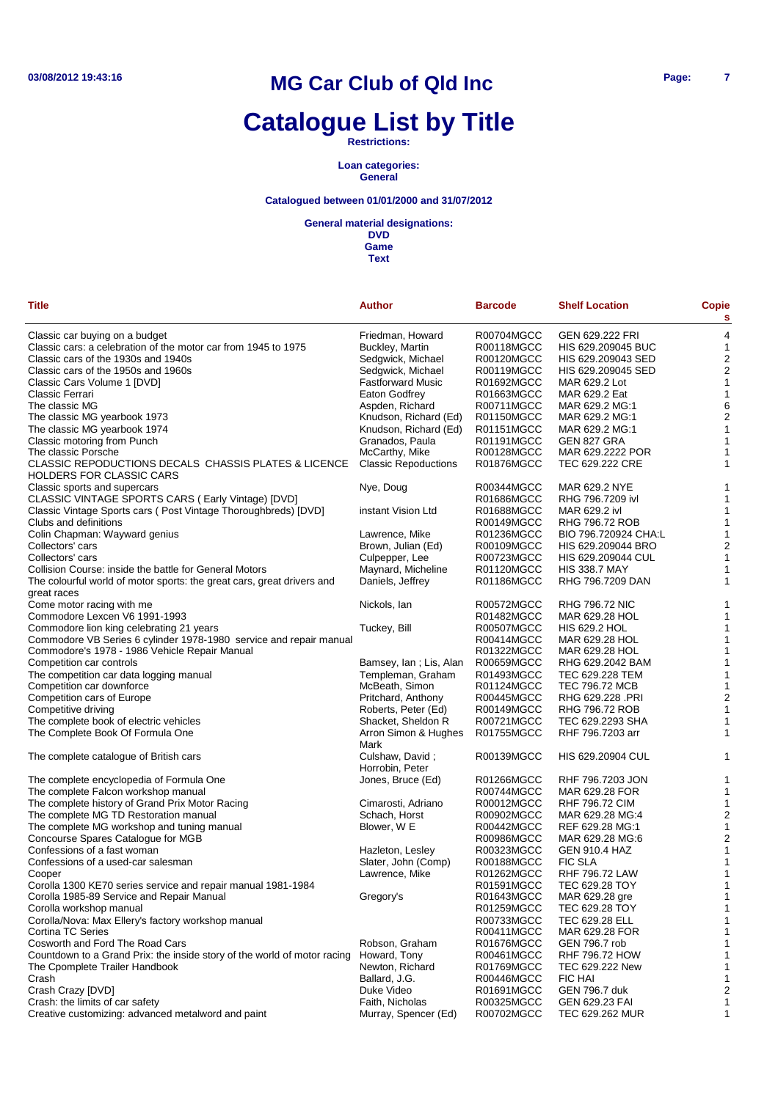# **Catalogue List by Title**

**Restrictions:**

**Loan categories: General**

### **Catalogued between 01/01/2000 and 31/07/2012**

**General material designations:**

**DVD Game**

**Text**

| <b>Title</b>                                                                            | <b>Author</b>               | <b>Barcode</b> | <b>Shelf Location</b> | <b>Copie</b><br>s |
|-----------------------------------------------------------------------------------------|-----------------------------|----------------|-----------------------|-------------------|
| Classic car buying on a budget                                                          | Friedman, Howard            | R00704MGCC     | GEN 629.222 FRI       | 4                 |
| Classic cars: a celebration of the motor car from 1945 to 1975                          | Buckley, Martin             | R00118MGCC     | HIS 629.209045 BUC    | 1                 |
| Classic cars of the 1930s and 1940s                                                     | Sedgwick, Michael           | R00120MGCC     | HIS 629.209043 SED    | 2                 |
| Classic cars of the 1950s and 1960s                                                     | Sedgwick, Michael           | R00119MGCC     | HIS 629.209045 SED    | $\overline{2}$    |
| Classic Cars Volume 1 [DVD]                                                             | <b>Fastforward Music</b>    | R01692MGCC     | MAR 629.2 Lot         | 1                 |
| Classic Ferrari                                                                         | Eaton Godfrey               | R01663MGCC     | MAR 629.2 Eat         | 1                 |
| The classic MG                                                                          | Aspden, Richard             | R00711MGCC     | MAR 629.2 MG:1        | 6                 |
| The classic MG yearbook 1973                                                            | Knudson, Richard (Ed)       | R01150MGCC     | MAR 629.2 MG:1        | 2                 |
| The classic MG yearbook 1974                                                            | Knudson, Richard (Ed)       | R01151MGCC     | MAR 629.2 MG:1        | 1                 |
| Classic motoring from Punch                                                             | Granados, Paula             | R01191MGCC     | GEN 827 GRA           | 1                 |
| The classic Porsche                                                                     | McCarthy, Mike              | R00128MGCC     | MAR 629.2222 POR      | 1                 |
| CLASSIC REPODUCTIONS DECALS CHASSIS PLATES & LICENCE<br><b>HOLDERS FOR CLASSIC CARS</b> | <b>Classic Repoductions</b> | R01876MGCC     | TEC 629.222 CRE       | 1                 |
| Classic sports and supercars                                                            | Nye, Doug                   | R00344MGCC     | MAR 629.2 NYE         |                   |
| CLASSIC VINTAGE SPORTS CARS (Early Vintage) [DVD]                                       |                             | R01686MGCC     | RHG 796.7209 ivl      | 1                 |
| Classic Vintage Sports cars ( Post Vintage Thoroughbreds) [DVD]                         | instant Vision Ltd          | R01688MGCC     | MAR 629.2 ivl         | 1                 |
| Clubs and definitions                                                                   |                             | R00149MGCC     | RHG 796.72 ROB        | 1                 |
| Colin Chapman: Wayward genius                                                           | Lawrence, Mike              | R01236MGCC     | BIO 796.720924 CHA:L  | 1                 |
| Collectors' cars                                                                        | Brown, Julian (Ed)          | R00109MGCC     | HIS 629.209044 BRO    | 2                 |
| Collectors' cars                                                                        | Culpepper, Lee              | R00723MGCC     | HIS 629.209044 CUL    | 1                 |
| Collision Course: inside the battle for General Motors                                  | Maynard, Micheline          | R01120MGCC     | <b>HIS 338.7 MAY</b>  | 1                 |
| The colourful world of motor sports: the great cars, great drivers and<br>great races   | Daniels, Jeffrey            | R01186MGCC     | RHG 796.7209 DAN      | 1                 |
| Come motor racing with me                                                               | Nickols, Ian                | R00572MGCC     | <b>RHG 796.72 NIC</b> | 1                 |
| Commodore Lexcen V6 1991-1993                                                           |                             | R01482MGCC     | MAR 629.28 HOL        | 1                 |
| Commodore lion king celebrating 21 years                                                | Tuckey, Bill                | R00507MGCC     | <b>HIS 629.2 HOL</b>  | 1                 |
| Commodore VB Series 6 cylinder 1978-1980 service and repair manual                      |                             | R00414MGCC     | MAR 629.28 HOL        | 1                 |
| Commodore's 1978 - 1986 Vehicle Repair Manual                                           |                             | R01322MGCC     | MAR 629.28 HOL        | 1                 |
| Competition car controls                                                                | Bamsey, Ian; Lis, Alan      | R00659MGCC     | RHG 629.2042 BAM      | 1                 |
| The competition car data logging manual                                                 | Templeman, Graham           | R01493MGCC     | TEC 629.228 TEM       | 1                 |
| Competition car downforce                                                               | McBeath, Simon              | R01124MGCC     | TEC 796.72 MCB        | 1                 |
| Competition cars of Europe                                                              | Pritchard, Anthony          | R00445MGCC     | RHG 629.228 .PRI      | 2                 |
| Competitive driving                                                                     | Roberts, Peter (Ed)         | R00149MGCC     | RHG 796.72 ROB        | 1                 |
| The complete book of electric vehicles                                                  | Shacket, Sheldon R          | R00721MGCC     | TEC 629.2293 SHA      | 1                 |
| The Complete Book Of Formula One                                                        | Arron Simon & Hughes        | R01755MGCC     | RHF 796.7203 arr      | 1                 |
| The complete catalogue of British cars                                                  | Mark<br>Culshaw, David;     | R00139MGCC     | HIS 629.20904 CUL     | 1                 |
|                                                                                         | Horrobin, Peter             |                |                       |                   |
| The complete encyclopedia of Formula One                                                | Jones, Bruce (Ed)           | R01266MGCC     | RHF 796.7203 JON      | 1                 |
| The complete Falcon workshop manual                                                     |                             | R00744MGCC     | MAR 629.28 FOR        | 1                 |
| The complete history of Grand Prix Motor Racing                                         | Cimarosti, Adriano          | R00012MGCC     | <b>RHF 796.72 CIM</b> | 1                 |
| The complete MG TD Restoration manual                                                   | Schach, Horst               | R00902MGCC     | MAR 629.28 MG:4       | 2                 |
| The complete MG workshop and tuning manual                                              | Blower, W E                 | R00442MGCC     | REF 629.28 MG:1       | 1                 |
| Concourse Spares Catalogue for MGB                                                      |                             | R00986MGCC     | MAR 629.28 MG:6       | 2                 |
| Confessions of a fast woman                                                             | Hazleton, Lesley            | R00323MGCC     | <b>GEN 910.4 HAZ</b>  | 1                 |
| Confessions of a used-car salesman                                                      | Slater, John (Comp)         | R00188MGCC     | <b>FIC SLA</b>        | 1                 |
| Cooper                                                                                  | Lawrence, Mike              | R01262MGCC     | <b>RHF 796.72 LAW</b> | 1                 |
| Corolla 1300 KE70 series service and repair manual 1981-1984                            |                             | R01591MGCC     | TEC 629.28 TOY        | 1                 |
| Corolla 1985-89 Service and Repair Manual                                               | Gregory's                   | R01643MGCC     | MAR 629.28 gre        | 1                 |
| Corolla workshop manual                                                                 |                             | R01259MGCC     | TEC 629.28 TOY        | 1                 |
| Corolla/Nova: Max Ellery's factory workshop manual                                      |                             | R00733MGCC     | TEC 629.28 ELL        | 1                 |
| Cortina TC Series                                                                       |                             | R00411MGCC     | MAR 629.28 FOR        | 1                 |
| Cosworth and Ford The Road Cars                                                         | Robson, Graham              | R01676MGCC     | GEN 796.7 rob         |                   |
| Countdown to a Grand Prix: the inside story of the world of motor racing                | Howard, Tony                | R00461MGCC     | <b>RHF 796.72 HOW</b> | 1                 |
| The Cpomplete Trailer Handbook                                                          | Newton, Richard             | R01769MGCC     | TEC 629.222 New       | 1                 |
| Crash                                                                                   | Ballard, J.G.               | R00446MGCC     | <b>FIC HAI</b>        | 1                 |
| Crash Crazy [DVD]                                                                       | Duke Video                  | R01691MGCC     | GEN 796.7 duk         | 2                 |
| Crash: the limits of car safety                                                         | Faith, Nicholas             | R00325MGCC     | GEN 629.23 FAI        | 1                 |

Creative customizing: advanced metalword and paint Murray, Spencer (Ed) R00702MGCC TEC 629.262 MUR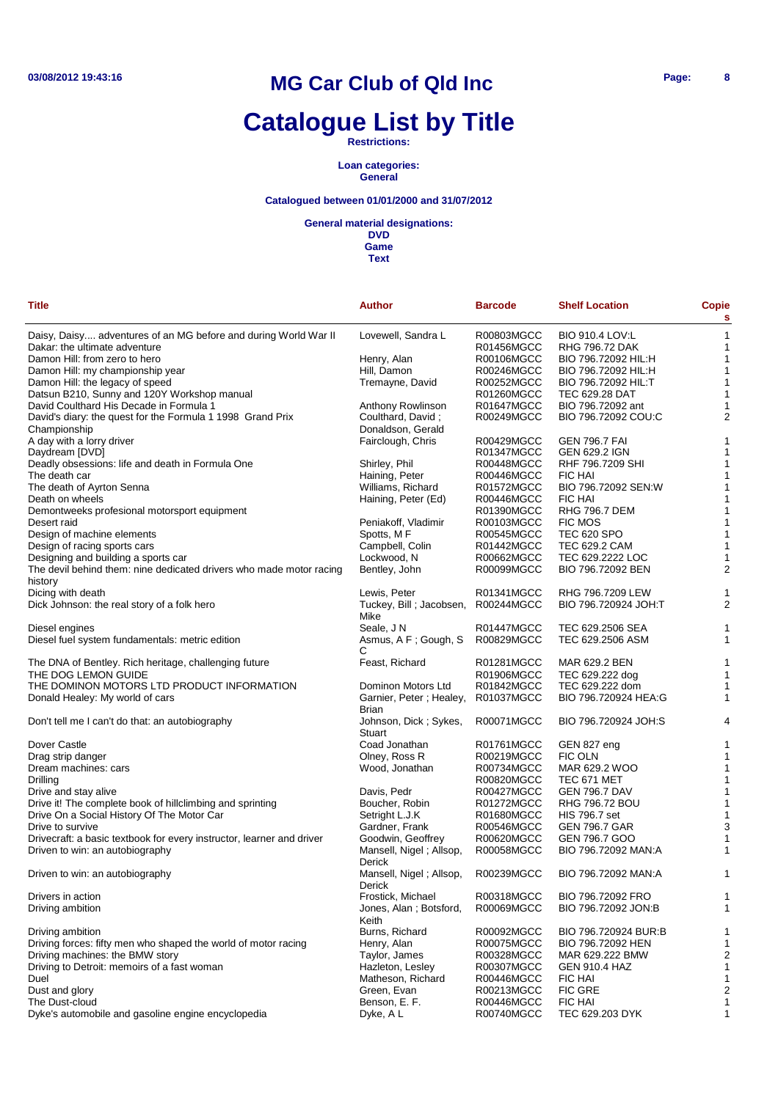# **Catalogue List by Title**

**Restrictions:**

**Loan categories: General**

### **Catalogued between 01/01/2000 and 31/07/2012**

**General material designations:**

**DVD Game**

| <b>Title</b>                                                          | <b>Author</b>                     | <b>Barcode</b> | <b>Shelf Location</b>  | <b>Copie</b><br>s |
|-----------------------------------------------------------------------|-----------------------------------|----------------|------------------------|-------------------|
| Daisy, Daisy adventures of an MG before and during World War II       | Lovewell, Sandra L                | R00803MGCC     | <b>BIO 910.4 LOV:L</b> | $\mathbf{1}$      |
| Dakar: the ultimate adventure                                         |                                   | R01456MGCC     | <b>RHG 796.72 DAK</b>  | $\mathbf{1}$      |
| Damon Hill: from zero to hero                                         | Henry, Alan                       | R00106MGCC     | BIO 796.72092 HIL:H    | $\mathbf{1}$      |
| Damon Hill: my championship year                                      | Hill, Damon                       | R00246MGCC     | BIO 796.72092 HIL:H    | $\mathbf{1}$      |
| Damon Hill: the legacy of speed                                       | Tremayne, David                   | R00252MGCC     | BIO 796.72092 HIL:T    | 1                 |
|                                                                       |                                   | R01260MGCC     | <b>TEC 629.28 DAT</b>  | $\mathbf{1}$      |
| Datsun B210, Sunny and 120Y Workshop manual                           |                                   |                |                        |                   |
| David Coulthard His Decade in Formula 1                               | Anthony Rowlinson                 | R01647MGCC     | BIO 796.72092 ant      | 1                 |
| David's diary: the quest for the Formula 1 1998 Grand Prix            | Coulthard, David;                 | R00249MGCC     | BIO 796.72092 COU:C    | $\overline{2}$    |
| Championship                                                          | Donaldson, Gerald                 |                |                        |                   |
| A day with a lorry driver                                             | Fairclough, Chris                 | R00429MGCC     | <b>GEN 796.7 FAI</b>   | 1                 |
| Daydream [DVD]                                                        |                                   | R01347MGCC     | <b>GEN 629.2 IGN</b>   | 1                 |
| Deadly obsessions: life and death in Formula One                      | Shirley, Phil                     | R00448MGCC     | RHF 796.7209 SHI       | 1                 |
| The death car                                                         | Haining, Peter                    | R00446MGCC     | <b>FIC HAI</b>         | 1                 |
| The death of Ayrton Senna                                             | Williams, Richard                 | R01572MGCC     | BIO 796.72092 SEN:W    | 1                 |
| Death on wheels                                                       | Haining, Peter (Ed)               | R00446MGCC     | <b>FIC HAI</b>         | 1                 |
| Demontweeks profesional motorsport equipment                          |                                   | R01390MGCC     | <b>RHG 796.7 DEM</b>   | $\mathbf{1}$      |
| Desert raid                                                           | Peniakoff, Vladimir               | R00103MGCC     | <b>FIC MOS</b>         | 1                 |
| Design of machine elements                                            | Spotts, MF                        | R00545MGCC     | <b>TEC 620 SPO</b>     | $\mathbf{1}$      |
| Design of racing sports cars                                          | Campbell, Colin                   | R01442MGCC     | TEC 629.2 CAM          | 1                 |
| Designing and building a sports car                                   | Lockwood, N                       | R00662MGCC     | TEC 629.2222 LOC       | 1                 |
| The devil behind them: nine dedicated drivers who made motor racing   | Bentley, John                     | R00099MGCC     | BIO 796.72092 BEN      | $\overline{2}$    |
|                                                                       |                                   |                |                        |                   |
| history                                                               |                                   |                |                        |                   |
| Dicing with death                                                     | Lewis, Peter                      | R01341MGCC     | RHG 796.7209 LEW       | 1                 |
| Dick Johnson: the real story of a folk hero                           | Tuckey, Bill; Jacobsen,<br>Mike   | R00244MGCC     | BIO 796.720924 JOH:T   | $\overline{2}$    |
| Diesel engines                                                        | Seale, J N                        | R01447MGCC     | TEC 629.2506 SEA       | 1                 |
| Diesel fuel system fundamentals: metric edition                       | Asmus, A F; Gough, S              | R00829MGCC     | TEC 629.2506 ASM       | $\mathbf{1}$      |
|                                                                       | С                                 |                |                        |                   |
| The DNA of Bentley. Rich heritage, challenging future                 | Feast, Richard                    | R01281MGCC     | MAR 629.2 BEN          | 1                 |
| THE DOG LEMON GUIDE                                                   |                                   | R01906MGCC     | TEC 629.222 dog        | $\mathbf{1}$      |
| THE DOMINON MOTORS LTD PRODUCT INFORMATION                            | Dominon Motors Ltd                | R01842MGCC     | TEC 629.222 dom        | 1                 |
| Donald Healey: My world of cars                                       | Garnier, Peter; Healey,           | R01037MGCC     | BIO 796.720924 HEA:G   | 1                 |
|                                                                       | Brian                             |                |                        |                   |
| Don't tell me I can't do that: an autobiography                       | Johnson, Dick; Sykes,             | R00071MGCC     | BIO 796.720924 JOH:S   | 4                 |
|                                                                       | Stuart                            |                |                        |                   |
| Dover Castle                                                          | Coad Jonathan                     | R01761MGCC     | GEN 827 eng            | 1                 |
| Drag strip danger                                                     | Olney, Ross R                     | R00219MGCC     | <b>FIC OLN</b>         | 1                 |
| Dream machines: cars                                                  | Wood, Jonathan                    | R00734MGCC     | MAR 629.2 WOO          | 1                 |
| Drilling                                                              |                                   | R00820MGCC     | TEC 671 MET            | $\mathbf{1}$      |
|                                                                       |                                   | R00427MGCC     | <b>GEN 796.7 DAV</b>   | 1                 |
| Drive and stay alive                                                  | Davis, Pedr                       |                |                        |                   |
| Drive it! The complete book of hillclimbing and sprinting             | Boucher, Robin                    | R01272MGCC     | <b>RHG 796.72 BOU</b>  | 1                 |
| Drive On a Social History Of The Motor Car                            | Setright L.J.K                    | R01680MGCC     | HIS 796.7 set          | $\mathbf{1}$      |
| Drive to survive                                                      | Gardner, Frank                    | R00546MGCC     | <b>GEN 796.7 GAR</b>   | 3                 |
| Drivecraft: a basic textbook for every instructor, learner and driver | Goodwin, Geoffrey                 | R00620MGCC     | GEN 796.7 GOO          | 1                 |
| Driven to win: an autobiography                                       | Mansell, Nigel; Allsop,           | R00058MGCC     | BIO 796.72092 MAN:A    | $\mathbf{1}$      |
| Driven to win: an autobiography                                       | Derick<br>Mansell, Nigel; Allsop, | R00239MGCC     | BIO 796.72092 MAN:A    | 1                 |
|                                                                       | Derick                            |                |                        |                   |
| Drivers in action                                                     | Frostick, Michael                 | R00318MGCC     | BIO 796.72092 FRO      | 1                 |
| Driving ambition                                                      | Jones, Alan; Botsford,            | R00069MGCC     | BIO 796.72092 JON:B    | 1                 |
|                                                                       | Keith                             |                |                        |                   |
| Driving ambition                                                      | Burns, Richard                    | R00092MGCC     | BIO 796.720924 BUR:B   | 1                 |
| Driving forces: fifty men who shaped the world of motor racing        | Henry, Alan                       | R00075MGCC     | BIO 796.72092 HEN      | 1                 |
| Driving machines: the BMW story                                       | Taylor, James                     | R00328MGCC     | MAR 629.222 BMW        | $\overline{c}$    |
| Driving to Detroit: memoirs of a fast woman                           | Hazleton, Lesley                  | R00307MGCC     | <b>GEN 910.4 HAZ</b>   | $\mathbf{1}$      |
| Duel                                                                  | Matheson, Richard                 | R00446MGCC     | FIC HAI                | $\mathbf{1}$      |
| Dust and glory                                                        | Green, Evan                       | R00213MGCC     | <b>FIC GRE</b>         | $\overline{2}$    |
| The Dust-cloud                                                        | Benson, E. F.                     | R00446MGCC     | FIC HAI                | $\mathbf{1}$      |
| Dyke's automobile and gasoline engine encyclopedia                    | Dyke, A L                         | R00740MGCC     | TEC 629.203 DYK        | $\mathbf{1}$      |
|                                                                       |                                   |                |                        |                   |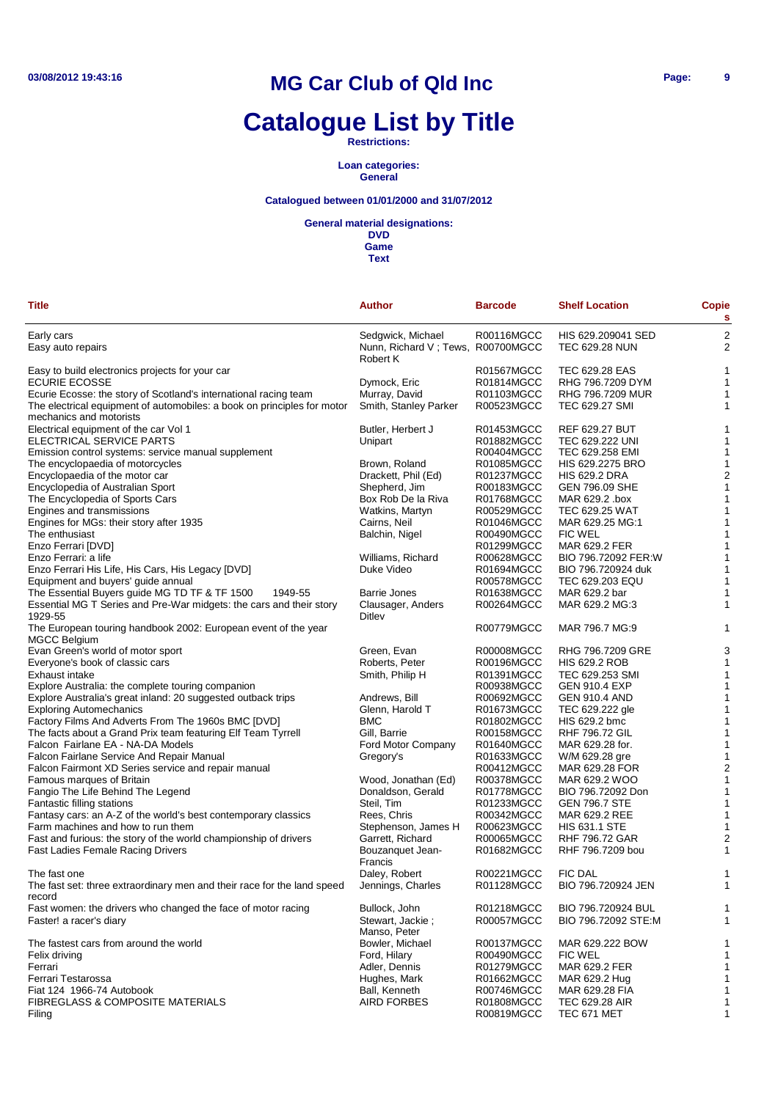# **Catalogue List by Title**

**Restrictions:**

**Loan categories: General**

### **Catalogued between 01/01/2000 and 31/07/2012**

#### **General material designations:**

**DVD Game**

| Title                                                                                               | <b>Author</b>                                 | <b>Barcode</b>           | <b>Shelf Location</b>                 | <b>Copie</b><br>s       |
|-----------------------------------------------------------------------------------------------------|-----------------------------------------------|--------------------------|---------------------------------------|-------------------------|
| Early cars                                                                                          | Sedgwick, Michael                             | R00116MGCC               | HIS 629.209041 SED                    | $\overline{\mathbf{c}}$ |
| Easy auto repairs                                                                                   | Nunn, Richard V; Tews, R00700MGCC<br>Robert K |                          | <b>TEC 629.28 NUN</b>                 | $\overline{c}$          |
| Easy to build electronics projects for your car                                                     |                                               | R01567MGCC               | TEC 629.28 EAS                        | 1                       |
| <b>ECURIE ECOSSE</b>                                                                                | Dymock, Eric                                  | R01814MGCC               | RHG 796.7209 DYM                      | 1                       |
| Ecurie Ecosse: the story of Scotland's international racing team                                    | Murray, David                                 | R01103MGCC               | RHG 796.7209 MUR                      |                         |
| The electrical equipment of automobiles: a book on principles for motor<br>mechanics and motorists  | Smith, Stanley Parker                         | R00523MGCC               | <b>TEC 629.27 SMI</b>                 | 1                       |
| Electrical equipment of the car Vol 1                                                               | Butler, Herbert J                             | R01453MGCC               | <b>REF 629.27 BUT</b>                 | 1                       |
| ELECTRICAL SERVICE PARTS                                                                            | Unipart                                       | R01882MGCC               | TEC 629.222 UNI                       | 1                       |
| Emission control systems: service manual supplement                                                 |                                               | R00404MGCC               | TEC 629.258 EMI                       | 1                       |
| The encyclopaedia of motorcycles                                                                    | Brown, Roland                                 | R01085MGCC               | HIS 629.2275 BRO                      | 1                       |
| Encyclopaedia of the motor car                                                                      | Drackett, Phil (Ed)                           | R01237MGCC               | <b>HIS 629.2 DRA</b>                  | $\overline{c}$          |
| Encyclopedia of Australian Sport                                                                    | Shepherd, Jim                                 | R00183MGCC               | GEN 796.09 SHE                        |                         |
| The Encyclopedia of Sports Cars                                                                     | Box Rob De la Riva                            | R01768MGCC               | MAR 629.2 .box                        | 1                       |
| Engines and transmissions                                                                           | Watkins, Martyn                               | R00529MGCC               | <b>TEC 629.25 WAT</b>                 |                         |
| Engines for MGs: their story after 1935                                                             | Cairns, Neil                                  | R01046MGCC               | MAR 629.25 MG:1                       | 1                       |
| The enthusiast                                                                                      | Balchin, Nigel                                | R00490MGCC               | <b>FIC WEL</b>                        |                         |
| Enzo Ferrari [DVD]<br>Enzo Ferrari: a life                                                          |                                               | R01299MGCC<br>R00628MGCC | MAR 629.2 FER<br>BIO 796.72092 FER:W  |                         |
| Enzo Ferrari His Life, His Cars, His Legacy [DVD]                                                   | Williams, Richard<br>Duke Video               | R01694MGCC               | BIO 796.720924 duk                    | 1                       |
| Equipment and buyers' guide annual                                                                  |                                               | R00578MGCC               | TEC 629.203 EQU                       |                         |
| The Essential Buyers guide MG TD TF & TF 1500<br>1949-55                                            | <b>Barrie Jones</b>                           | R01638MGCC               | MAR 629.2 bar                         | 1                       |
| Essential MG T Series and Pre-War midgets: the cars and their story<br>1929-55                      | Clausager, Anders<br>Ditlev                   | R00264MGCC               | MAR 629.2 MG:3                        | 1                       |
| The European touring handbook 2002: European event of the year<br><b>MGCC Belgium</b>               |                                               | R00779MGCC               | MAR 796.7 MG:9                        |                         |
| Evan Green's world of motor sport                                                                   | Green, Evan                                   | R00008MGCC               | RHG 796.7209 GRE                      | 3                       |
| Everyone's book of classic cars                                                                     | Roberts, Peter                                | R00196MGCC               | <b>HIS 629.2 ROB</b>                  |                         |
| Exhaust intake                                                                                      | Smith, Philip H                               | R01391MGCC               | TEC 629.253 SMI                       |                         |
| Explore Australia: the complete touring companion                                                   |                                               | R00938MGCC               | <b>GEN 910.4 EXP</b>                  | 1                       |
| Explore Australia's great inland: 20 suggested outback trips                                        | Andrews, Bill                                 | R00692MGCC               | <b>GEN 910.4 AND</b>                  | 1                       |
| <b>Exploring Automechanics</b>                                                                      | Glenn, Harold T                               | R01673MGCC               | TEC 629.222 gle                       | 1                       |
| Factory Films And Adverts From The 1960s BMC [DVD]                                                  | <b>BMC</b>                                    | R01802MGCC               | HIS 629.2 bmc                         | 1                       |
| The facts about a Grand Prix team featuring Elf Team Tyrrell                                        | Gill, Barrie                                  | R00158MGCC               | <b>RHF 796.72 GIL</b>                 | 1                       |
| Falcon Fairlane EA - NA-DA Models                                                                   | Ford Motor Company                            | R01640MGCC               | MAR 629.28 for.                       | 1                       |
| Falcon Fairlane Service And Repair Manual                                                           | Gregory's                                     | R01633MGCC               | W/M 629.28 gre                        | 1                       |
| Falcon Fairmont XD Series service and repair manual                                                 |                                               | R00412MGCC               | MAR 629.28 FOR                        | $\overline{c}$          |
| Famous marques of Britain                                                                           | Wood, Jonathan (Ed)                           | R00378MGCC               | MAR 629.2 WOO                         | 1                       |
| Fangio The Life Behind The Legend                                                                   | Donaldson, Gerald                             | R01778MGCC               | BIO 796.72092 Don                     | 1                       |
| Fantastic filling stations                                                                          | Steil, Tim                                    | R01233MGCC               | <b>GEN 796.7 STE</b>                  | 1                       |
| Fantasy cars: an A-Z of the world's best contemporary classics<br>Farm machines and how to run them | Rees, Chris<br>Stephenson, James H            | R00342MGCC<br>R00623MGCC | MAR 629.2 REE<br><b>HIS 631.1 STE</b> |                         |
| Fast and furious: the story of the world championship of drivers                                    | Garrett, Richard                              | R00065MGCC               | <b>RHF 796.72 GAR</b>                 | $\overline{c}$          |
| Fast Ladies Female Racing Drivers                                                                   | Bouzanquet Jean-<br>Francis                   | R01682MGCC               | RHF 796.7209 bou                      |                         |
| The fast one                                                                                        | Daley, Robert                                 | R00221MGCC               | <b>FIC DAL</b>                        |                         |
| The fast set: three extraordinary men and their race for the land speed<br>record                   | Jennings, Charles                             | R01128MGCC               | BIO 796.720924 JEN                    |                         |
| Fast women: the drivers who changed the face of motor racing                                        | Bullock, John                                 | R01218MGCC               | BIO 796.720924 BUL                    | 1                       |
| Faster! a racer's diary                                                                             | Stewart. Jackie:<br>Manso, Peter              | R00057MGCC               | BIO 796.72092 STE:M                   | 1                       |
| The fastest cars from around the world                                                              | Bowler, Michael                               | R00137MGCC               | MAR 629.222 BOW                       | 1                       |
| Felix driving                                                                                       | Ford, Hilary                                  | R00490MGCC               | <b>FIC WEL</b>                        | 1                       |
| Ferrari                                                                                             | Adler, Dennis                                 | R01279MGCC               | MAR 629.2 FER                         | 1                       |
| Ferrari Testarossa                                                                                  | Hughes, Mark                                  | R01662MGCC               | MAR 629.2 Hug                         | 1                       |
| Fiat 124 1966-74 Autobook                                                                           | Ball, Kenneth                                 | R00746MGCC               | MAR 629.28 FIA                        | 1                       |
| <b>FIBREGLASS &amp; COMPOSITE MATERIALS</b><br>Filing                                               | AIRD FORBES                                   | R01808MGCC<br>R00819MGCC | TEC 629.28 AIR<br>TEC 671 MET         | 1<br>1                  |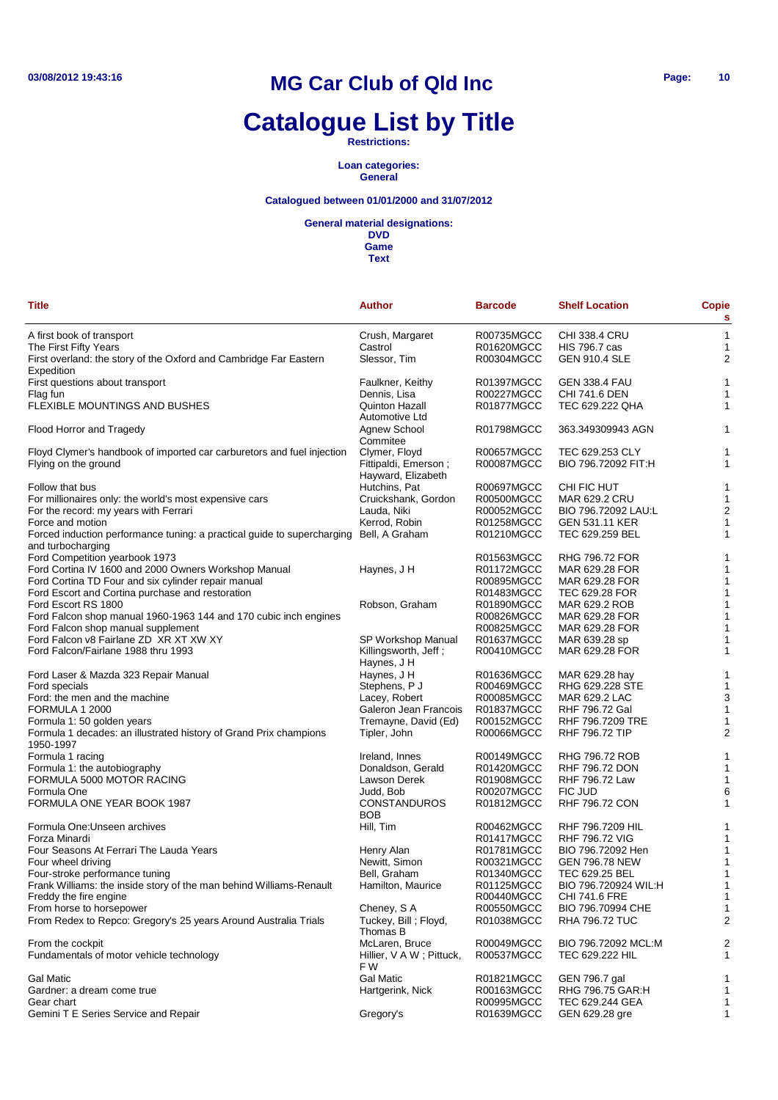# **Catalogue List by Title**

**Restrictions:**

**Loan categories: General**

### **Catalogued between 01/01/2000 and 31/07/2012**

**General material designations:**

**DVD Game**

| <b>Title</b>                                                                                                | <b>Author</b>                              | <b>Barcode</b> | <b>Shelf Location</b> | Copie<br>s     |
|-------------------------------------------------------------------------------------------------------------|--------------------------------------------|----------------|-----------------------|----------------|
| A first book of transport                                                                                   | Crush, Margaret                            | R00735MGCC     | <b>CHI 338.4 CRU</b>  | 1              |
| The First Fifty Years                                                                                       | Castrol                                    | R01620MGCC     | <b>HIS 796.7 cas</b>  | 1              |
| First overland: the story of the Oxford and Cambridge Far Eastern<br>Expedition                             | Slessor, Tim                               | R00304MGCC     | <b>GEN 910.4 SLE</b>  | 2              |
| First questions about transport                                                                             | Faulkner, Keithy                           | R01397MGCC     | <b>GEN 338.4 FAU</b>  | 1              |
| Flag fun                                                                                                    | Dennis, Lisa                               | R00227MGCC     | CHI 741.6 DEN         | 1              |
| FLEXIBLE MOUNTINGS AND BUSHES                                                                               | <b>Quinton Hazall</b><br>Automotive Ltd    | R01877MGCC     | TEC 629.222 QHA       | 1              |
| Flood Horror and Tragedy                                                                                    | Agnew School<br>Commitee                   | R01798MGCC     | 363.349309943 AGN     | 1              |
| Floyd Clymer's handbook of imported car carburetors and fuel injection                                      | Clymer, Floyd                              | R00657MGCC     | TEC 629.253 CLY       | 1              |
| Flying on the ground                                                                                        | Fittipaldi, Emerson;<br>Hayward, Elizabeth | R00087MGCC     | BIO 796.72092 FIT:H   | 1              |
| Follow that bus                                                                                             | Hutchins, Pat                              | R00697MGCC     | CHI FIC HUT           | 1              |
| For millionaires only: the world's most expensive cars                                                      | Cruickshank, Gordon                        | R00500MGCC     | MAR 629.2 CRU         | 1              |
| For the record: my years with Ferrari                                                                       | Lauda, Niki                                | R00052MGCC     | BIO 796.72092 LAU:L   | $\overline{c}$ |
| Force and motion                                                                                            | Kerrod, Robin                              | R01258MGCC     | GEN 531.11 KER        | 1              |
| Forced induction performance tuning: a practical guide to supercharging Bell, A Graham<br>and turbocharging |                                            | R01210MGCC     | TEC 629.259 BEL       | 1              |
| Ford Competition yearbook 1973                                                                              |                                            | R01563MGCC     | <b>RHG 796.72 FOR</b> | 1              |
| Ford Cortina IV 1600 and 2000 Owners Workshop Manual                                                        | Haynes, J H                                | R01172MGCC     | MAR 629.28 FOR        | 1              |
| Ford Cortina TD Four and six cylinder repair manual                                                         |                                            | R00895MGCC     | MAR 629.28 FOR        | 1              |
| Ford Escort and Cortina purchase and restoration                                                            |                                            | R01483MGCC     | TEC 629.28 FOR        | 1              |
| Ford Escort RS 1800                                                                                         | Robson, Graham                             | R01890MGCC     | MAR 629.2 ROB         | 1              |
| Ford Falcon shop manual 1960-1963 144 and 170 cubic inch engines                                            |                                            | R00826MGCC     | MAR 629.28 FOR        | 1              |
| Ford Falcon shop manual supplement                                                                          |                                            | R00825MGCC     | MAR 629.28 FOR        | 1              |
| Ford Falcon v8 Fairlane ZD XR XT XW XY                                                                      | SP Workshop Manual                         | R01637MGCC     | MAR 639.28 sp         | 1              |
| Ford Falcon/Fairlane 1988 thru 1993                                                                         | Killingsworth, Jeff;<br>Haynes, J H        | R00410MGCC     | MAR 629.28 FOR        | 1              |
| Ford Laser & Mazda 323 Repair Manual                                                                        | Haynes, J H                                | R01636MGCC     | MAR 629.28 hay        | 1              |
| Ford specials                                                                                               | Stephens, P J                              | R00469MGCC     | RHG 629.228 STE       | 1              |
| Ford: the men and the machine                                                                               | Lacey, Robert                              | R00085MGCC     | MAR 629.2 LAC         | 3              |
| FORMULA 1 2000                                                                                              | Galeron Jean Francois                      | R01837MGCC     | RHF 796.72 Gal        | 1              |
| Formula 1:50 golden years                                                                                   | Tremayne, David (Ed)                       | R00152MGCC     | RHF 796.7209 TRE      | 1              |
| Formula 1 decades: an illustrated history of Grand Prix champions<br>1950-1997                              | Tipler, John                               | R00066MGCC     | <b>RHF 796.72 TIP</b> | 2              |
| Formula 1 racing                                                                                            | Ireland, Innes                             | R00149MGCC     | <b>RHG 796.72 ROB</b> | 1              |
| Formula 1: the autobiography                                                                                | Donaldson, Gerald                          | R01420MGCC     | <b>RHF 796.72 DON</b> | 1              |
| FORMULA 5000 MOTOR RACING                                                                                   | Lawson Derek                               | R01908MGCC     | <b>RHF 796.72 Law</b> | 1              |
| Formula One                                                                                                 | Judd, Bob                                  | R00207MGCC     | FIC JUD               | 6              |
| FORMULA ONE YEAR BOOK 1987                                                                                  | <b>CONSTANDUROS</b><br>BOB                 | R01812MGCC     | <b>RHF 796.72 CON</b> | 1              |
| Formula One: Unseen archives                                                                                | Hill, Tim                                  | R00462MGCC     | RHF 796.7209 HIL      | 1              |
| Forza Minardi                                                                                               |                                            | R01417MGCC     | <b>RHF 796.72 VIG</b> | 1              |
| Four Seasons At Ferrari The Lauda Years                                                                     | Henry Alan                                 | R01781MGCC     | BIO 796.72092 Hen     | 1              |
| Four wheel driving                                                                                          | Newitt, Simon                              | R00321MGCC     | <b>GEN 796.78 NEW</b> | 1              |
| Four-stroke performance tuning                                                                              | Bell, Graham                               | R01340MGCC     | TEC 629.25 BEL        | 1              |
| Frank Williams: the inside story of the man behind Williams-Renault                                         | Hamilton, Maurice                          | R01125MGCC     | BIO 796.720924 WIL:H  | 1              |
| Freddy the fire engine                                                                                      |                                            | R00440MGCC     | CHI 741.6 FRE         | 1              |
| From horse to horsepower                                                                                    | Cheney, S A                                | R00550MGCC     | BIO 796.70994 CHE     | 1              |
| From Redex to Repco: Gregory's 25 years Around Australia Trials                                             | Tuckey, Bill; Floyd,<br>Thomas B           | R01038MGCC     | <b>RHA 796.72 TUC</b> | 2              |
| From the cockpit                                                                                            | McLaren, Bruce                             | R00049MGCC     | BIO 796.72092 MCL:M   | $\overline{c}$ |
| Fundamentals of motor vehicle technology                                                                    | Hillier, V A W; Pittuck,<br>F W            | R00537MGCC     | TEC 629.222 HIL       | 1              |
| Gal Matic                                                                                                   | <b>Gal Matic</b>                           | R01821MGCC     | GEN 796.7 gal         | 1              |
| Gardner: a dream come true                                                                                  | Hartgerink, Nick                           | R00163MGCC     | RHG 796.75 GAR:H      | 1              |
| Gear chart                                                                                                  |                                            | R00995MGCC     | TEC 629.244 GEA       | 1              |
| Gemini T E Series Service and Repair                                                                        | Gregory's                                  | R01639MGCC     | GEN 629.28 gre        | 1              |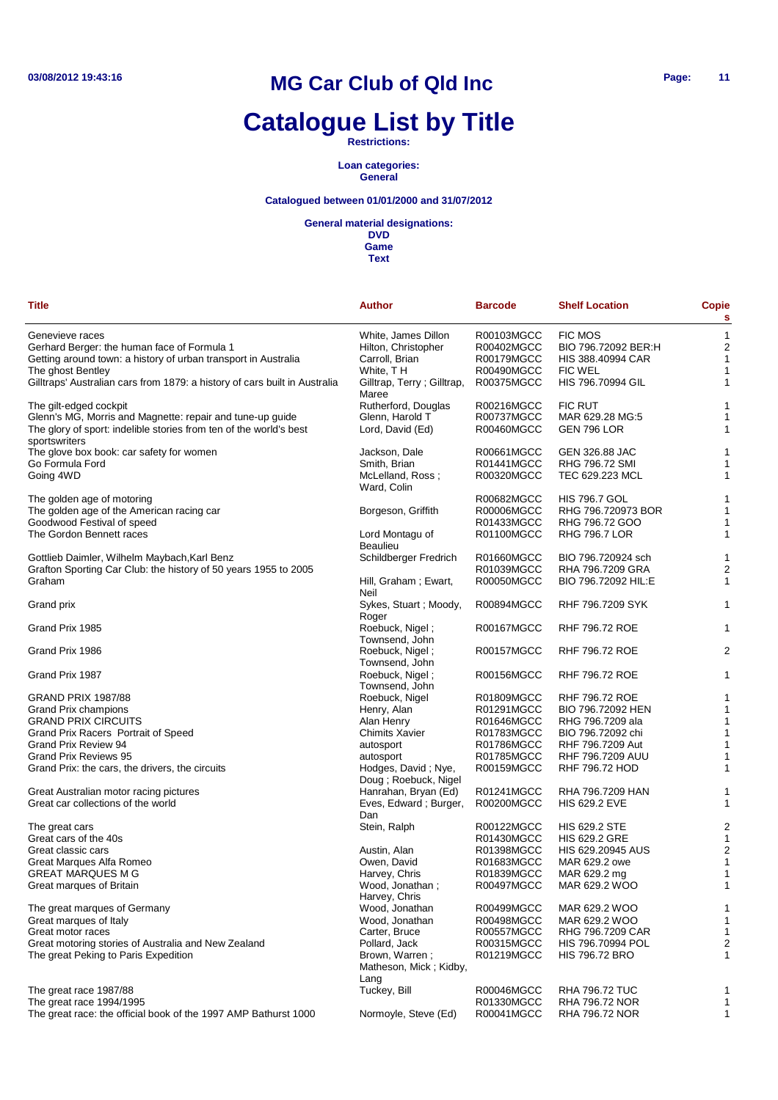# **Catalogue List by Title**

**Restrictions:**

#### **Loan categories: General**

#### **Catalogued between 01/01/2000 and 31/07/2012**

**General material designations:**

| <b>Title</b>                                                                        | <b>Author</b>                                    | <b>Barcode</b>                  | <b>Shelf Location</b>         | Copie<br>s       |
|-------------------------------------------------------------------------------------|--------------------------------------------------|---------------------------------|-------------------------------|------------------|
|                                                                                     |                                                  |                                 |                               |                  |
| Genevieve races                                                                     | White, James Dillon                              | R00103MGCC                      | <b>FIC MOS</b>                | 1                |
| Gerhard Berger: the human face of Formula 1                                         | Hilton, Christopher                              | R00402MGCC                      | BIO 796.72092 BER:H           | $\overline{c}$   |
| Getting around town: a history of urban transport in Australia                      | Carroll, Brian                                   | R00179MGCC                      | HIS 388.40994 CAR             | 1                |
| The ghost Bentley                                                                   | White, TH                                        | R00490MGCC                      | <b>FIC WEL</b>                | 1                |
| Gilltraps' Australian cars from 1879: a history of cars built in Australia          | Gilltrap, Terry; Gilltrap,<br>Maree              | R00375MGCC                      | HIS 796.70994 GIL             | 1                |
| The gilt-edged cockpit                                                              | Rutherford, Douglas                              | R00216MGCC                      | <b>FIC RUT</b>                | 1                |
| Glenn's MG, Morris and Magnette: repair and tune-up guide                           | Glenn, Harold T                                  | R00737MGCC                      | MAR 629.28 MG:5               | 1                |
| The glory of sport: indelible stories from ten of the world's best<br>sportswriters | Lord, David (Ed)                                 | R00460MGCC                      | GEN 796 LOR                   | 1                |
| The glove box book: car safety for women                                            | Jackson, Dale                                    | R00661MGCC                      | GEN 326.88 JAC                | 1                |
| Go Formula Ford                                                                     | Smith, Brian                                     | R01441MGCC                      | RHG 796.72 SMI                | 1                |
|                                                                                     | McLelland, Ross;                                 | R00320MGCC                      | TEC 629.223 MCL               | 1                |
| Going 4WD                                                                           | Ward, Colin                                      |                                 |                               |                  |
| The golden age of motoring                                                          |                                                  | R00682MGCC                      | <b>HIS 796.7 GOL</b>          | 1                |
| The golden age of the American racing car                                           | Borgeson, Griffith                               | R00006MGCC                      | RHG 796.720973 BOR            | 1                |
| Goodwood Festival of speed                                                          |                                                  | R01433MGCC                      | RHG 796.72 GOO                | 1                |
| The Gordon Bennett races                                                            | Lord Montagu of                                  | R01100MGCC                      | <b>RHG 796.7 LOR</b>          | 1                |
|                                                                                     | <b>Beaulieu</b>                                  |                                 |                               |                  |
| Gottlieb Daimler, Wilhelm Maybach, Karl Benz                                        | Schildberger Fredrich                            | R01660MGCC                      | BIO 796.720924 sch            | 1                |
| Grafton Sporting Car Club: the history of 50 years 1955 to 2005                     |                                                  | R01039MGCC                      | RHA 796.7209 GRA              | 2                |
| Graham                                                                              | Hill, Graham; Ewart,<br>Neil                     | R00050MGCC                      | BIO 796.72092 HIL:E           | 1                |
| Grand prix                                                                          | Sykes, Stuart; Moody,<br>Roger                   | R00894MGCC                      | RHF 796.7209 SYK              | 1                |
| Grand Prix 1985                                                                     | Roebuck, Nigel;<br>Townsend, John                | R00167MGCC                      | RHF 796.72 ROE                | 1                |
| Grand Prix 1986                                                                     | Roebuck, Nigel;<br>Townsend, John                | R00157MGCC                      | <b>RHF 796.72 ROE</b>         | 2                |
| Grand Prix 1987                                                                     | Roebuck, Nigel;<br>Townsend, John                | R00156MGCC                      | RHF 796.72 ROE                | 1                |
| <b>GRAND PRIX 1987/88</b>                                                           |                                                  |                                 |                               |                  |
|                                                                                     | Roebuck, Nigel                                   | R01809MGCC                      | <b>RHF 796.72 ROE</b>         | 1                |
| <b>Grand Prix champions</b>                                                         | Henry, Alan                                      | R01291MGCC                      | BIO 796.72092 HEN             | 1                |
| <b>GRAND PRIX CIRCUITS</b>                                                          | Alan Henry                                       | R01646MGCC                      | RHG 796.7209 ala              | 1                |
| Grand Prix Racers Portrait of Speed                                                 | <b>Chimits Xavier</b>                            | R01783MGCC                      | BIO 796.72092 chi             | 1                |
| Grand Prix Review 94                                                                | autosport                                        | R01786MGCC                      | RHF 796.7209 Aut              | 1                |
| <b>Grand Prix Reviews 95</b>                                                        | autosport                                        | R01785MGCC                      | RHF 796.7209 AUU              | 1                |
| Grand Prix: the cars, the drivers, the circuits                                     | Hodges, David; Nye,<br>Doug ; Roebuck, Nigel     | R00159MGCC                      | RHF 796.72 HOD                | 1                |
| Great Australian motor racing pictures                                              | Hanrahan, Bryan (Ed)                             | R01241MGCC                      | RHA 796.7209 HAN              | 1                |
| Great car collections of the world                                                  | Eves, Edward; Burger,<br>Dan                     | R00200MGCC                      | <b>HIS 629.2 EVE</b>          | 1                |
| The great cars                                                                      | Stein, Ralph                                     | R00122MGCC                      | <b>HIS 629.2 STE</b>          | 2                |
| Great cars of the 40s                                                               |                                                  | R01430MGCC                      | <b>HIS 629.2 GRE</b>          | 1                |
| Great classic cars                                                                  | Austin, Alan                                     | R01398MGCC                      | HIS 629.20945 AUS             | 2                |
| Great Marques Alfa Romeo                                                            | Owen, David                                      | R01683MGCC                      | MAR 629.2 owe                 | 1                |
|                                                                                     |                                                  |                                 |                               |                  |
| <b>GREAT MARQUES M G</b><br>Great marques of Britain                                | Harvey, Chris<br>Wood, Jonathan;                 | <b>R01839MGCC</b><br>R00497MGCC | MAR 629.2 mg<br>MAR 629.2 WOO | $\mathbf 1$<br>1 |
| The great marques of Germany                                                        | Harvey, Chris<br>Wood, Jonathan                  | R00499MGCC                      | MAR 629.2 WOO                 | 1                |
| Great marques of Italy                                                              | Wood, Jonathan                                   | R00498MGCC                      | MAR 629.2 WOO                 | 1                |
| Great motor races                                                                   | Carter, Bruce                                    | R00557MGCC                      | RHG 796.7209 CAR              | $\mathbf{1}$     |
| Great motoring stories of Australia and New Zealand                                 |                                                  |                                 |                               | 2                |
|                                                                                     | Pollard, Jack                                    | R00315MGCC                      | HIS 796.70994 POL             |                  |
| The great Peking to Paris Expedition                                                | Brown, Warren;<br>Matheson, Mick; Kidby,<br>Lang | R01219MGCC                      | <b>HIS 796.72 BRO</b>         | 1                |
| The great race 1987/88                                                              | Tuckey, Bill                                     | R00046MGCC                      | <b>RHA 796.72 TUC</b>         | 1                |
| The great race 1994/1995                                                            |                                                  | R01330MGCC                      | RHA 796.72 NOR                | 1                |
| The great race: the official book of the 1997 AMP Bathurst 1000                     | Normoyle, Steve (Ed)                             | R00041MGCC                      | RHA 796.72 NOR                | $\mathbf{1}$     |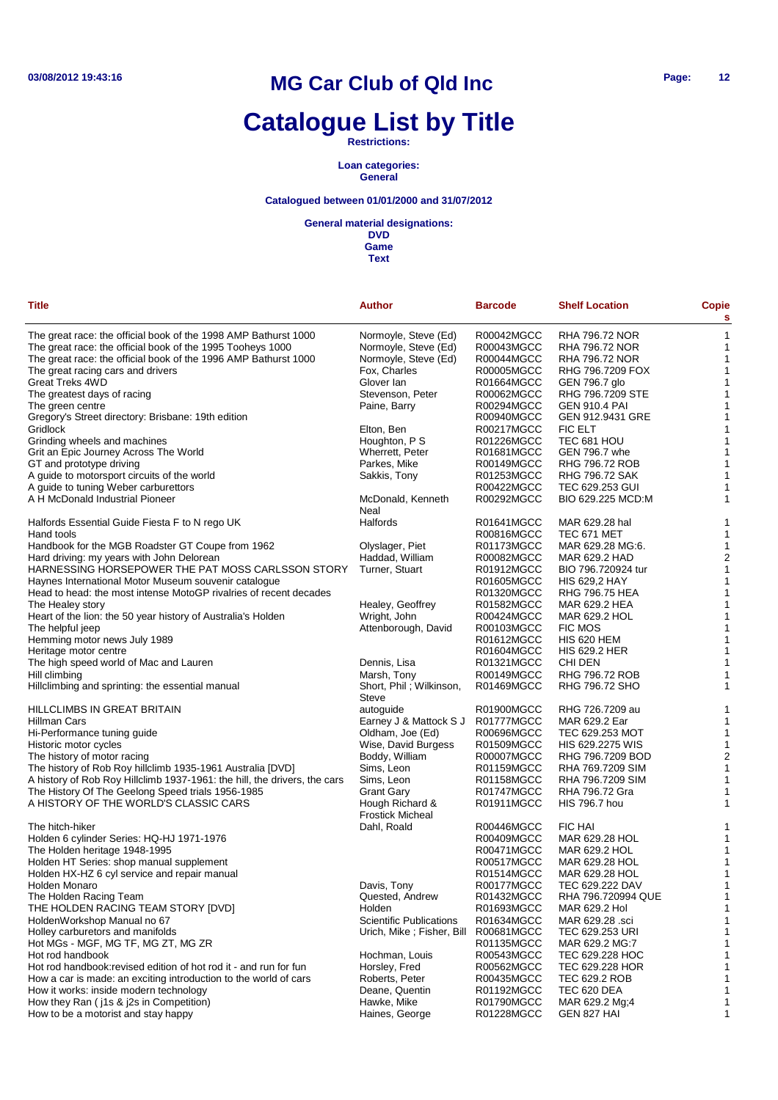# **Catalogue List by Title**

#### **Restrictions:**

#### **Loan categories: General**

### **Catalogued between 01/01/2000 and 31/07/2012**

#### **General material designations:**

**DVD Game**

| Title                                                                     | <b>Author</b>                              | <b>Barcode</b> | <b>Shelf Location</b> | <b>Copie</b><br>s       |
|---------------------------------------------------------------------------|--------------------------------------------|----------------|-----------------------|-------------------------|
| The great race: the official book of the 1998 AMP Bathurst 1000           | Normoyle, Steve (Ed)                       | R00042MGCC     | RHA 796.72 NOR        | 1                       |
| The great race: the official book of the 1995 Tooheys 1000                | Normoyle, Steve (Ed)                       | R00043MGCC     | RHA 796.72 NOR        | 1                       |
| The great race: the official book of the 1996 AMP Bathurst 1000           | Normoyle, Steve (Ed)                       | R00044MGCC     | RHA 796.72 NOR        | 1                       |
| The great racing cars and drivers                                         | Fox, Charles                               | R00005MGCC     | RHG 796.7209 FOX      | $\mathbf 1$             |
| Great Treks 4WD                                                           | Glover lan                                 | R01664MGCC     | GEN 796.7 glo         | 1                       |
| The greatest days of racing                                               | Stevenson, Peter                           | R00062MGCC     | RHG 796.7209 STE      | $\mathbf 1$             |
| The green centre                                                          | Paine, Barry                               | R00294MGCC     | <b>GEN 910.4 PAI</b>  | 1                       |
| Gregory's Street directory: Brisbane: 19th edition                        |                                            | R00940MGCC     | GEN 912.9431 GRE      | $\mathbf 1$             |
| Gridlock                                                                  | Elton, Ben                                 | R00217MGCC     | <b>FIC ELT</b>        | 1                       |
| Grinding wheels and machines                                              | Houghton, P S                              | R01226MGCC     | TEC 681 HOU           | $\mathbf 1$             |
| Grit an Epic Journey Across The World                                     | Wherrett, Peter                            | R01681MGCC     | GEN 796.7 whe         | $\mathbf 1$             |
| GT and prototype driving                                                  | Parkes, Mike                               | R00149MGCC     | RHG 796.72 ROB        | $\mathbf 1$             |
| A guide to motorsport circuits of the world                               | Sakkis, Tony                               | R01253MGCC     | RHG 796.72 SAK        | 1                       |
|                                                                           |                                            | R00422MGCC     |                       |                         |
| A guide to tuning Weber carburettors                                      |                                            |                | TEC 629.253 GUI       | 1                       |
| A H McDonald Industrial Pioneer                                           | McDonald, Kenneth<br>Neal                  | R00292MGCC     | BIO 629.225 MCD:M     | 1                       |
| Halfords Essential Guide Fiesta F to N rego UK                            | Halfords                                   | R01641MGCC     | MAR 629.28 hal        | 1                       |
| Hand tools                                                                |                                            | R00816MGCC     | TEC 671 MET           | 1                       |
| Handbook for the MGB Roadster GT Coupe from 1962                          | Olyslager, Piet                            | R01173MGCC     | MAR 629.28 MG:6.      | 1                       |
| Hard driving: my years with John Delorean                                 | Haddad, William                            | R00082MGCC     | MAR 629.2 HAD         | $\overline{a}$          |
| HARNESSING HORSEPOWER THE PAT MOSS CARLSSON STORY                         | Turner, Stuart                             | R01912MGCC     | BIO 796.720924 tur    | 1                       |
| Haynes International Motor Museum souvenir catalogue                      |                                            | R01605MGCC     | <b>HIS 629,2 HAY</b>  | 1                       |
| Head to head: the most intense MotoGP rivalries of recent decades         |                                            | R01320MGCC     | <b>RHG 796.75 HEA</b> | 1                       |
| The Healey story                                                          | Healey, Geoffrey                           | R01582MGCC     | MAR 629.2 HEA         | 1                       |
| Heart of the lion: the 50 year history of Australia's Holden              | Wright, John                               | R00424MGCC     | MAR 629.2 HOL         | 1                       |
| The helpful jeep                                                          | Attenborough, David                        | R00103MGCC     | <b>FIC MOS</b>        | 1                       |
| Hemming motor news July 1989                                              |                                            | R01612MGCC     | <b>HIS 620 HEM</b>    | 1                       |
|                                                                           |                                            |                |                       | 1                       |
| Heritage motor centre                                                     |                                            | R01604MGCC     | <b>HIS 629.2 HER</b>  |                         |
| The high speed world of Mac and Lauren                                    | Dennis, Lisa                               | R01321MGCC     | CHI DEN               | 1                       |
| Hill climbing                                                             | Marsh, Tony                                | R00149MGCC     | RHG 796.72 ROB        | 1                       |
| Hillclimbing and sprinting: the essential manual                          | Short, Phil; Wilkinson,<br><b>Steve</b>    | R01469MGCC     | RHG 796.72 SHO        | 1                       |
| HILLCLIMBS IN GREAT BRITAIN                                               | autoguide                                  | R01900MGCC     | RHG 726.7209 au       | 1                       |
| Hillman Cars                                                              | Earney J & Mattock S J                     | R01777MGCC     | MAR 629.2 Ear         | 1                       |
| Hi-Performance tuning guide                                               | Oldham, Joe (Ed)                           | R00696MGCC     | TEC 629.253 MOT       | 1                       |
| Historic motor cycles                                                     | Wise, David Burgess                        | R01509MGCC     | HIS 629.2275 WIS      | 1                       |
| The history of motor racing                                               | Boddy, William                             | R00007MGCC     | RHG 796.7209 BOD      | $\overline{\mathbf{c}}$ |
| The history of Rob Roy hillclimb 1935-1961 Australia [DVD]                | Sims, Leon                                 | R01159MGCC     | RHA 769.7209 SIM      | 1                       |
| A history of Rob Roy Hillclimb 1937-1961: the hill, the drivers, the cars | Sims, Leon                                 | R01158MGCC     | RHA 796.7209 SIM      | 1                       |
| The History Of The Geelong Speed trials 1956-1985                         | <b>Grant Gary</b>                          | R01747MGCC     | RHA 796.72 Gra        | 1                       |
| A HISTORY OF THE WORLD'S CLASSIC CARS                                     | Hough Richard &<br><b>Frostick Micheal</b> | R01911MGCC     | <b>HIS 796.7 hou</b>  | 1                       |
| The hitch-hiker                                                           | Dahl, Roald                                | R00446MGCC     | FIC HAI               | 1                       |
| Holden 6 cylinder Series: HQ-HJ 1971-1976                                 |                                            | R00409MGCC     | MAR 629.28 HOL        | 1                       |
|                                                                           |                                            |                | MAR 629.2 HOL         |                         |
| The Holden heritage 1948-1995                                             |                                            | R00471MGCC     |                       | 1                       |
| Holden HT Series: shop manual supplement                                  |                                            | R00517MGCC     | MAR 629.28 HOL        | 1                       |
| Holden HX-HZ 6 cyl service and repair manual                              |                                            | R01514MGCC     | MAR 629.28 HOL        | 1                       |
| Holden Monaro                                                             | Davis, Tony                                | R00177MGCC     | TEC 629.222 DAV       | 1                       |
| The Holden Racing Team                                                    | Quested, Andrew                            | R01432MGCC     | RHA 796.720994 QUE    |                         |
| THE HOLDEN RACING TEAM STORY [DVD]                                        | Holden                                     | R01693MGCC     | MAR 629.2 Hol         | 1                       |
| HoldenWorkshop Manual no 67                                               | <b>Scientific Publications</b>             | R01634MGCC     | MAR 629.28 .sci       | 1                       |
| Holley carburetors and manifolds                                          | Urich, Mike; Fisher, Bill                  | R00681MGCC     | TEC 629.253 URI       | 1                       |
| Hot MGs - MGF, MG TF, MG ZT, MG ZR                                        |                                            | R01135MGCC     | MAR 629.2 MG:7        |                         |
| Hot rod handbook                                                          | Hochman, Louis                             | R00543MGCC     | TEC 629.228 HOC       | 1                       |
| Hot rod handbook: revised edition of hot rod it - and run for fun         | Horsley, Fred                              | R00562MGCC     | TEC 629.228 HOR       |                         |
| How a car is made: an exciting introduction to the world of cars          | Roberts, Peter                             | R00435MGCC     | TEC 629.2 ROB         | 1                       |
| How it works: inside modern technology                                    | Deane, Quentin                             | R01192MGCC     | TEC 620 DEA           | 1                       |
| How they Ran (j1s & j2s in Competition)                                   | Hawke, Mike                                | R01790MGCC     | MAR 629.2 Mg;4        | 1                       |
| How to be a motorist and stay happy                                       | Haines, George                             | R01228MGCC     | GEN 827 HAI           | 1                       |
|                                                                           |                                            |                |                       |                         |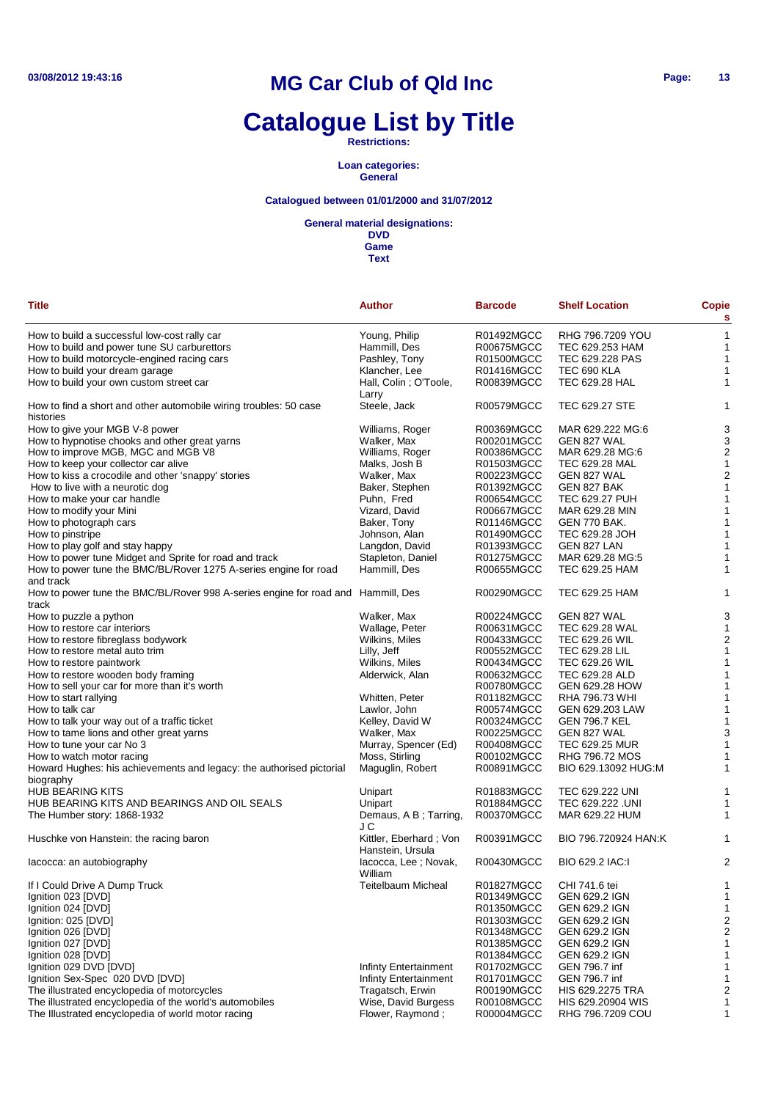# **Catalogue List by Title**

**Restrictions:**

#### **Loan categories: General**

#### **Catalogued between 01/01/2000 and 31/07/2012**

#### **General material designations:**

**DVD Game Text**

| <b>Title</b>                                                                              | <b>Author</b>                              | <b>Barcode</b>           | <b>Shelf Location</b>              | Copie<br>s              |
|-------------------------------------------------------------------------------------------|--------------------------------------------|--------------------------|------------------------------------|-------------------------|
| How to build a successful low-cost rally car                                              | Young, Philip                              | R01492MGCC               | RHG 796.7209 YOU                   | 1                       |
| How to build and power tune SU carburettors                                               | Hammill, Des                               | R00675MGCC               | TEC 629.253 HAM                    | 1                       |
| How to build motorcycle-engined racing cars                                               | Pashley, Tony                              | R01500MGCC               | TEC 629.228 PAS                    | $\mathbf{1}$            |
| How to build your dream garage                                                            | Klancher, Lee                              | R01416MGCC               | <b>TEC 690 KLA</b>                 | $\mathbf 1$             |
| How to build your own custom street car                                                   | Hall, Colin; O'Toole,<br>Larry             | R00839MGCC               | TEC 629.28 HAL                     | 1                       |
| How to find a short and other automobile wiring troubles: 50 case<br>histories            | Steele, Jack                               | R00579MGCC               | TEC 629.27 STE                     | 1                       |
| How to give your MGB V-8 power                                                            | Williams, Roger                            | R00369MGCC               | MAR 629.222 MG:6                   | 3                       |
| How to hypnotise chooks and other great yarns                                             | Walker, Max                                | R00201MGCC               | GEN 827 WAL                        | 3                       |
| How to improve MGB, MGC and MGB V8                                                        | Williams, Roger                            | R00386MGCC               | MAR 629.28 MG:6                    | $\overline{\mathbf{c}}$ |
| How to keep your collector car alive                                                      | Malks, Josh B                              | R01503MGCC               | TEC 629.28 MAL                     | 1                       |
| How to kiss a crocodile and other 'snappy' stories                                        | Walker, Max                                | R00223MGCC               | GEN 827 WAL                        | $\overline{2}$          |
| How to live with a neurotic dog                                                           | Baker, Stephen                             | R01392MGCC               | GEN 827 BAK                        | 1                       |
| How to make your car handle                                                               | Puhn, Fred                                 | R00654MGCC               | <b>TEC 629.27 PUH</b>              | 1                       |
| How to modify your Mini                                                                   | Vizard, David                              | R00667MGCC               | MAR 629.28 MIN                     | 1                       |
| How to photograph cars                                                                    | Baker, Tony                                | R01146MGCC               | GEN 770 BAK.                       | 1                       |
| How to pinstripe                                                                          | Johnson, Alan                              | R01490MGCC               | TEC 629.28 JOH                     | 1                       |
|                                                                                           |                                            |                          |                                    |                         |
| How to play golf and stay happy                                                           | Langdon, David                             | R01393MGCC               | GEN 827 LAN                        | 1                       |
| How to power tune Midget and Sprite for road and track                                    | Stapleton, Daniel                          | R01275MGCC               | MAR 629.28 MG:5                    | 1                       |
| How to power tune the BMC/BL/Rover 1275 A-series engine for road<br>and track             | Hammill, Des                               | R00655MGCC               | TEC 629.25 HAM                     | 1                       |
| How to power tune the BMC/BL/Rover 998 A-series engine for road and Hammill, Des<br>track |                                            | R00290MGCC               | TEC 629.25 HAM                     | 1                       |
| How to puzzle a python                                                                    | Walker, Max                                | R00224MGCC               | GEN 827 WAL                        | 3                       |
| How to restore car interiors                                                              | Wallage, Peter                             | R00631MGCC               | TEC 629.28 WAL                     | 1                       |
| How to restore fibreglass bodywork                                                        | Wilkins, Miles                             | R00433MGCC               | <b>TEC 629.26 WIL</b>              | $\overline{\mathbf{c}}$ |
| How to restore metal auto trim                                                            | Lilly, Jeff                                | R00552MGCC               | TEC 629.28 LIL                     | 1                       |
| How to restore paintwork                                                                  | Wilkins, Miles                             | R00434MGCC               | <b>TEC 629.26 WIL</b>              | $\mathbf{1}$            |
| How to restore wooden body framing                                                        | Alderwick, Alan                            | R00632MGCC               | TEC 629.28 ALD                     | 1                       |
| How to sell your car for more than it's worth                                             |                                            | R00780MGCC               | GEN 629.28 HOW                     | 1                       |
| How to start rallying                                                                     | Whitten, Peter                             | R01182MGCC               | RHA 796.73 WHI                     | 1                       |
| How to talk car                                                                           | Lawlor, John                               | R00574MGCC               | GEN 629.203 LAW                    | $\mathbf{1}$            |
| How to talk your way out of a traffic ticket                                              | Kelley, David W                            | R00324MGCC               | <b>GEN 796.7 KEL</b>               | 1                       |
| How to tame lions and other great yarns                                                   | Walker, Max                                | R00225MGCC               | GEN 827 WAL                        | 3                       |
| How to tune your car No 3                                                                 | Murray, Spencer (Ed)                       | R00408MGCC               | <b>TEC 629.25 MUR</b>              | 1                       |
| How to watch motor racing                                                                 | Moss, Stirling                             | R00102MGCC               | RHG 796.72 MOS                     | 1                       |
| Howard Hughes: his achievements and legacy: the authorised pictorial                      | Maguglin, Robert                           | R00891MGCC               | BIO 629.13092 HUG:M                | 1                       |
| biography                                                                                 |                                            | R01883MGCC               |                                    |                         |
| <b>HUB BEARING KITS</b>                                                                   | Unipart                                    |                          | TEC 629.222 UNI                    | 1                       |
| HUB BEARING KITS AND BEARINGS AND OIL SEALS<br>The Humber story: 1868-1932                | Unipart<br>Demaus, A B; Tarring,<br>J C    | R01884MGCC<br>R00370MGCC | TEC 629.222 .UNI<br>MAR 629.22 HUM | 1<br>1                  |
| Huschke von Hanstein: the racing baron                                                    | Kittler, Eberhard; Von<br>Hanstein, Ursula | R00391MGCC               | BIO 796.720924 HAN:K               | 1                       |
| lacocca: an autobiography                                                                 | lacocca, Lee; Novak,<br>William            | R00430MGCC               | BIO 629.2 IAC:I                    | 2                       |
| If I Could Drive A Dump Truck                                                             | <b>Teitelbaum Micheal</b>                  | R01827MGCC               | CHI 741.6 tei                      | 1                       |
| Ignition 023 [DVD]                                                                        |                                            | R01349MGCC               | <b>GEN 629.2 IGN</b>               | 1                       |
| Ignition 024 [DVD]                                                                        |                                            | R01350MGCC               | <b>GEN 629.2 IGN</b>               |                         |
| Ignition: 025 [DVD]                                                                       |                                            |                          |                                    | 1                       |
|                                                                                           |                                            | R01303MGCC               | <b>GEN 629.2 IGN</b>               | 2                       |
| Ignition 026 [DVD]                                                                        |                                            | R01348MGCC               | GEN 629.2 IGN                      | $\overline{c}$          |
| Ignition 027 [DVD]                                                                        |                                            | R01385MGCC               | GEN 629.2 IGN                      | 1                       |
| Ignition 028 [DVD]                                                                        |                                            | R01384MGCC               | <b>GEN 629.2 IGN</b>               | 1                       |
| Ignition 029 DVD [DVD]                                                                    | Infinty Entertainment                      | R01702MGCC               | GEN 796.7 inf                      | 1                       |

Ignition 029 DVD [DVD] R01702MGCC GEN 796.7 inf 1 1<br>Ignition Sex-Spec 020 DVD [DVD] Infinty Entertainment R01701MGCC GEN 796.7 inf 1 1 Ignition Sex-Spec 020 DVD [DVD]<br>
Infinty Entertainment R01701MGCC GEN 796.7 inf 1<br>
Tragatsch, Erwin R00190MGCC HIS 629.2275 TRA 2 The illustrated encyclopedia of motorcycles Tragatsch, Erwin R00190MGCC HIS 629.2275 TRA<br>The illustrated encyclopedia of the world's automobiles Wise, David Burgess R00108MGCC HIS 629.20904 WIS The illustrated encyclopedia of the world's automobiles Wise, David Burgess R00108MGCC HIS 629.20904 WIS 1<br>The Illustrated encyclopedia of world motor racing Flower, Raymond; R00004MGCC RHG 796.7209 COU 1

The Illustrated encyclopedia of world motor racing Flower, Raymond ; R00004MGCC RHG 796.7209 COU 1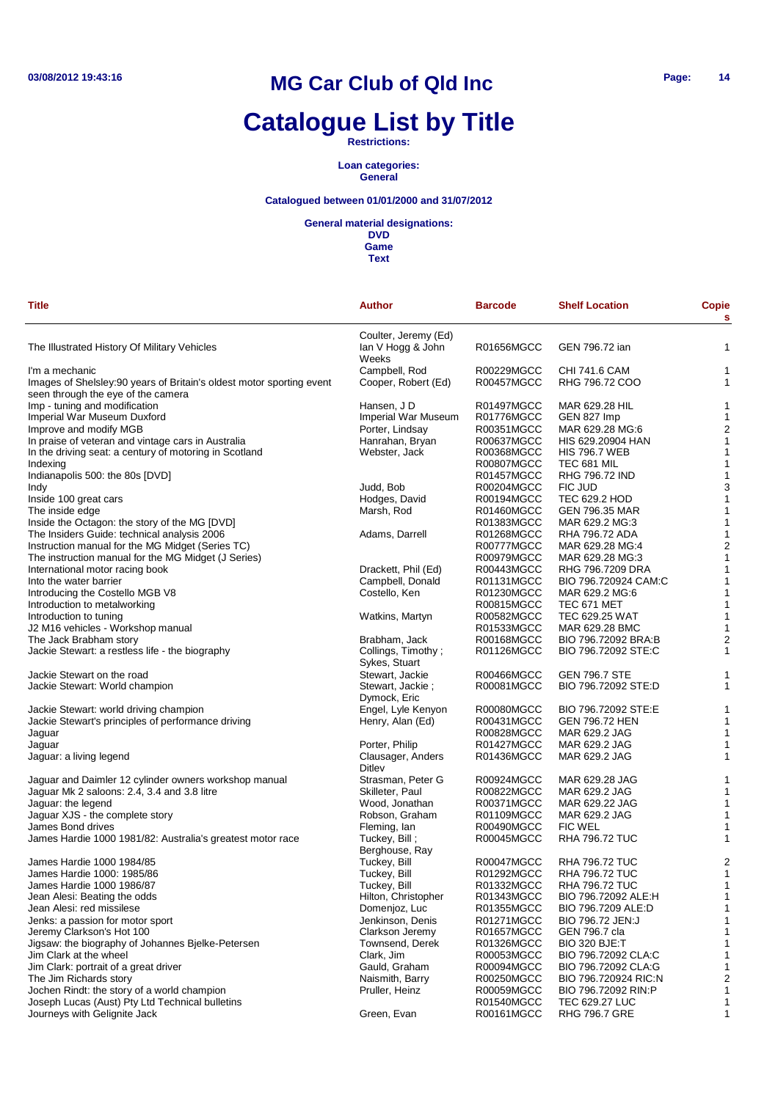# **Catalogue List by Title**

**Restrictions:**

**Loan categories: General**

### **Catalogued between 01/01/2000 and 31/07/2012**

**General material designations:**

| <b>Title</b>                                                          | <b>Author</b>                                      | <b>Barcode</b>           | <b>Shelf Location</b>                       | Copie                        |
|-----------------------------------------------------------------------|----------------------------------------------------|--------------------------|---------------------------------------------|------------------------------|
|                                                                       |                                                    |                          |                                             | s                            |
| The Illustrated History Of Military Vehicles                          | Coulter, Jeremy (Ed)<br>Ian V Hogg & John<br>Weeks | R01656MGCC               | GEN 796.72 ian                              | 1                            |
| I'm a mechanic                                                        | Campbell, Rod                                      | R00229MGCC               | <b>CHI 741.6 CAM</b>                        | 1                            |
| Images of Shelsley: 90 years of Britain's oldest motor sporting event | Cooper, Robert (Ed)                                | R00457MGCC               | RHG 796.72 COO                              | 1                            |
| seen through the eye of the camera                                    |                                                    |                          |                                             |                              |
| Imp - tuning and modification                                         | Hansen, J D                                        | R01497MGCC               | MAR 629.28 HIL                              | 1                            |
| Imperial War Museum Duxford                                           | <b>Imperial War Museum</b>                         | R01776MGCC               | GEN 827 Imp                                 | 1                            |
| Improve and modify MGB                                                | Porter, Lindsay                                    | R00351MGCC               | MAR 629.28 MG:6                             | $\boldsymbol{2}$             |
| In praise of veteran and vintage cars in Australia                    | Hanrahan, Bryan                                    | R00637MGCC               | HIS 629.20904 HAN                           | $\mathbf{1}$                 |
| In the driving seat: a century of motoring in Scotland                | Webster, Jack                                      | R00368MGCC<br>R00807MGCC | <b>HIS 796.7 WEB</b><br><b>TEC 681 MIL</b>  | 1<br>$\mathbf{1}$            |
| Indexing<br>Indianapolis 500: the 80s [DVD]                           |                                                    | <b>R01457MGCC</b>        | RHG 796.72 IND                              | 1                            |
| Indy                                                                  | Judd, Bob                                          | R00204MGCC               | FIC JUD                                     | 3                            |
| Inside 100 great cars                                                 | Hodges, David                                      | R00194MGCC               | TEC 629.2 HOD                               | 1                            |
| The inside edge                                                       | Marsh, Rod                                         | R01460MGCC               | <b>GEN 796.35 MAR</b>                       | 1                            |
| Inside the Octagon: the story of the MG [DVD]                         |                                                    | R01383MGCC               | MAR 629.2 MG:3                              | 1                            |
| The Insiders Guide: technical analysis 2006                           | Adams, Darrell                                     | R01268MGCC               | RHA 796.72 ADA                              | $\mathbf{1}$                 |
| Instruction manual for the MG Midget (Series TC)                      |                                                    | R00777MGCC               | MAR 629.28 MG:4                             | $\boldsymbol{2}$             |
| The instruction manual for the MG Midget (J Series)                   |                                                    | R00979MGCC               | MAR 629.28 MG:3                             | $\mathbf{1}$                 |
| International motor racing book                                       | Drackett, Phil (Ed)                                | R00443MGCC               | RHG 796.7209 DRA                            | 1                            |
| Into the water barrier                                                | Campbell, Donald                                   | R01131MGCC               | BIO 796.720924 CAM:C                        | $\mathbf{1}$                 |
| Introducing the Costello MGB V8                                       | Costello, Ken                                      | R01230MGCC               | MAR 629.2 MG:6                              | 1                            |
| Introduction to metalworking                                          |                                                    | R00815MGCC               | TEC 671 MET                                 | 1                            |
| Introduction to tuning                                                | Watkins, Martyn                                    | R00582MGCC               | TEC 629.25 WAT                              | 1                            |
| J2 M16 vehicles - Workshop manual                                     |                                                    | R01533MGCC               | MAR 629.28 BMC                              | 1                            |
| The Jack Brabham story                                                | Brabham, Jack                                      | R00168MGCC               | BIO 796.72092 BRA:B<br>BIO 796.72092 STE:C  | $\overline{\mathbf{c}}$<br>1 |
| Jackie Stewart: a restless life - the biography                       | Collings, Timothy;<br>Sykes, Stuart                | R01126MGCC               |                                             |                              |
| Jackie Stewart on the road                                            | Stewart, Jackie                                    | R00466MGCC               | <b>GEN 796.7 STE</b>                        | 1                            |
| Jackie Stewart: World champion                                        | Stewart, Jackie;                                   | R00081MGCC               | BIO 796.72092 STE:D                         | 1                            |
|                                                                       | Dymock, Eric                                       |                          |                                             |                              |
| Jackie Stewart: world driving champion                                | Engel, Lyle Kenyon                                 | R00080MGCC               | BIO 796.72092 STE:E                         | 1                            |
| Jackie Stewart's principles of performance driving                    | Henry, Alan (Ed)                                   | R00431MGCC               | GEN 796.72 HEN                              | 1                            |
| Jaguar                                                                |                                                    | R00828MGCC               | MAR 629.2 JAG                               | 1                            |
| Jaguar                                                                | Porter, Philip                                     | R01427MGCC               | MAR 629.2 JAG                               | 1                            |
| Jaguar: a living legend                                               | Clausager, Anders<br>Ditley                        | R01436MGCC               | MAR 629.2 JAG                               | $\mathbf{1}$                 |
| Jaguar and Daimler 12 cylinder owners workshop manual                 | Strasman, Peter G                                  | R00924MGCC               | MAR 629.28 JAG                              | 1                            |
| Jaguar Mk 2 saloons: 2.4, 3.4 and 3.8 litre                           | Skilleter, Paul                                    | R00822MGCC               | MAR 629.2 JAG                               | 1                            |
| Jaguar: the legend                                                    | Wood, Jonathan                                     | R00371MGCC               | MAR 629.22 JAG                              | 1                            |
| Jaguar XJS - the complete story                                       | Robson, Graham                                     | R01109MGCC               | MAR 629.2 JAG                               | 1                            |
| James Bond drives                                                     | Fleming, lan                                       | R00490MGCC               | <b>FIC WEL</b><br><b>RHA 796.72 TUC</b>     | 1<br>1                       |
| James Hardie 1000 1981/82: Australia's greatest motor race            | Tuckey, Bill;<br>Berghouse, Ray                    | R00045MGCC               |                                             |                              |
| James Hardie 1000 1984/85                                             | Tuckey, Bill                                       | R00047MGCC               | <b>RHA 796.72 TUC</b>                       | $\overline{c}$               |
| James Hardie 1000: 1985/86                                            | I uckey, Bill                                      | R01292MGCC               | <b>RHA 796.72 TUC</b>                       | 1                            |
| James Hardie 1000 1986/87                                             | Tuckey, Bill                                       | R01332MGCC               | <b>RHA 796.72 TUC</b>                       | 1                            |
| Jean Alesi: Beating the odds                                          | Hilton, Christopher                                | R01343MGCC               | BIO 796.72092 ALE:H                         | 1                            |
| Jean Alesi: red missilese                                             | Domenjoz, Luc                                      | R01355MGCC               | BIO 796.7209 ALE:D                          | 1                            |
| Jenks: a passion for motor sport                                      | Jenkinson, Denis                                   | R01271MGCC               | BIO 796.72 JEN:J                            | 1                            |
| Jeremy Clarkson's Hot 100                                             | Clarkson Jeremy                                    | R01657MGCC               | GEN 796.7 cla                               | 1                            |
| Jigsaw: the biography of Johannes Bjelke-Petersen                     | Townsend, Derek                                    | R01326MGCC               | <b>BIO 320 BJE:T</b>                        | 1                            |
| Jim Clark at the wheel                                                | Clark, Jim                                         | R00053MGCC               | BIO 796.72092 CLA:C                         | 1                            |
| Jim Clark: portrait of a great driver                                 | Gauld, Graham                                      | R00094MGCC               | BIO 796.72092 CLA:G                         | 1                            |
| The Jim Richards story<br>Jochen Rindt: the story of a world champion | Naismith, Barry<br>Pruller, Heinz                  | R00250MGCC<br>R00059MGCC | BIO 796.720924 RIC:N<br>BIO 796.72092 RIN:P | 2<br>1                       |
| Joseph Lucas (Aust) Pty Ltd Technical bulletins                       |                                                    | R01540MGCC               | TEC 629.27 LUC                              | 1                            |
| Journeys with Gelignite Jack                                          | Green, Evan                                        | R00161MGCC               | <b>RHG 796.7 GRE</b>                        | 1                            |
|                                                                       |                                                    |                          |                                             |                              |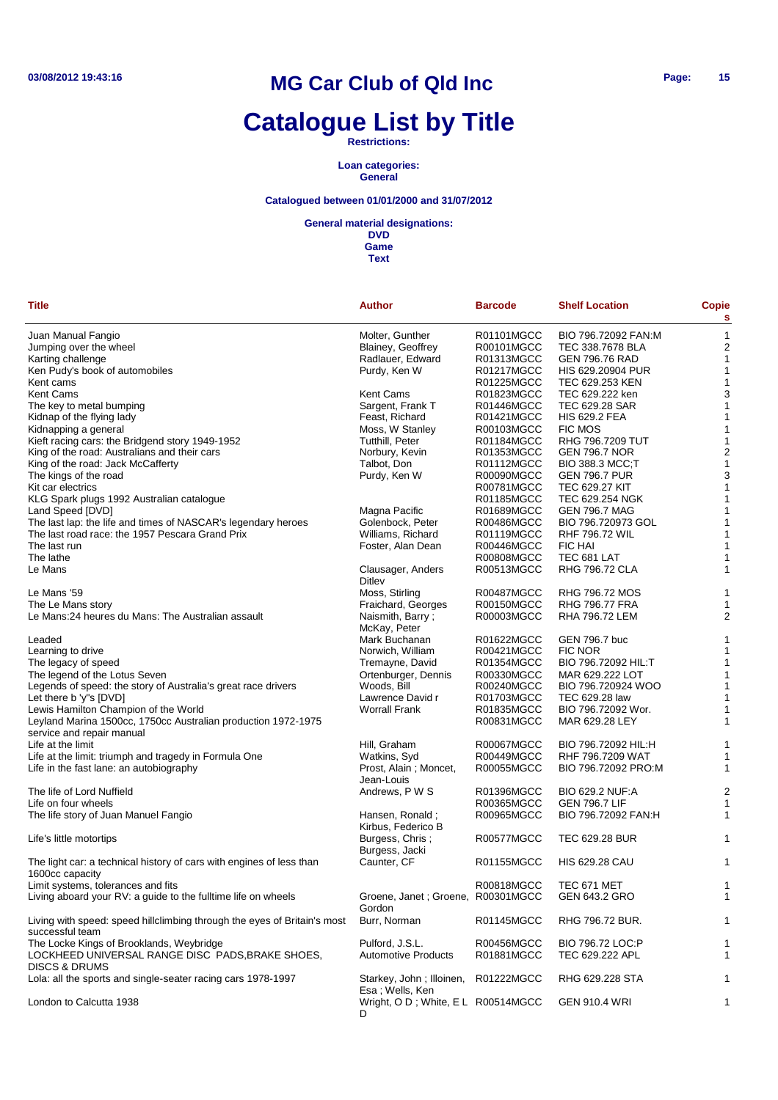# **Catalogue List by Title**

#### **Restrictions:**

#### **Loan categories: General**

### **Catalogued between 01/01/2000 and 31/07/2012**

#### **General material designations:**

| Title                                                                                       | <b>Author</b>                               | <b>Barcode</b> | <b>Shelf Location</b>  | Copie<br>s              |
|---------------------------------------------------------------------------------------------|---------------------------------------------|----------------|------------------------|-------------------------|
| Juan Manual Fangio                                                                          | Molter, Gunther                             | R01101MGCC     | BIO 796.72092 FAN:M    | $\mathbf 1$             |
| Jumping over the wheel                                                                      | Blainey, Geoffrey                           | R00101MGCC     | TEC 338.7678 BLA       | $\overline{c}$          |
| Karting challenge                                                                           | Radlauer, Edward                            | R01313MGCC     | <b>GEN 796.76 RAD</b>  | 1                       |
| Ken Pudy's book of automobiles                                                              | Purdy, Ken W                                | R01217MGCC     | HIS 629.20904 PUR      | 1                       |
| Kent cams                                                                                   |                                             | R01225MGCC     | TEC 629.253 KEN        | 1                       |
| Kent Cams                                                                                   | <b>Kent Cams</b>                            | R01823MGCC     | TEC 629.222 ken        | 3                       |
| The key to metal bumping                                                                    | Sargent, Frank T                            | R01446MGCC     | TEC 629.28 SAR         | 1                       |
| Kidnap of the flying lady                                                                   | Feast, Richard                              | R01421MGCC     | <b>HIS 629.2 FEA</b>   | 1                       |
| Kidnapping a general                                                                        | Moss, W Stanley                             | R00103MGCC     | <b>FIC MOS</b>         | 1                       |
| Kieft racing cars: the Bridgend story 1949-1952                                             | Tutthill, Peter                             | R01184MGCC     | RHG 796,7209 TUT       | 1                       |
| King of the road: Australians and their cars                                                | Norbury, Kevin                              | R01353MGCC     | <b>GEN 796.7 NOR</b>   | $\overline{c}$          |
| King of the road: Jack McCafferty                                                           | Talbot, Don                                 | R01112MGCC     | <b>BIO 388.3 MCC;T</b> | 1                       |
|                                                                                             |                                             |                |                        | 3                       |
| The kings of the road                                                                       | Purdy, Ken W                                | R00090MGCC     | <b>GEN 796.7 PUR</b>   |                         |
| Kit car electrics                                                                           |                                             | R00781MGCC     | <b>TEC 629.27 KIT</b>  | 1                       |
| KLG Spark plugs 1992 Australian catalogue                                                   |                                             | R01185MGCC     | TEC 629.254 NGK        | 1                       |
| Land Speed [DVD]                                                                            | Magna Pacific                               | R01689MGCC     | <b>GEN 796.7 MAG</b>   | 1                       |
| The last lap: the life and times of NASCAR's legendary heroes                               | Golenbock, Peter                            | R00486MGCC     | BIO 796.720973 GOL     | 1                       |
| The last road race: the 1957 Pescara Grand Prix                                             | Williams, Richard                           | R01119MGCC     | <b>RHF 796.72 WIL</b>  | 1                       |
| The last run                                                                                | Foster, Alan Dean                           | R00446MGCC     | <b>FIC HAI</b>         | 1                       |
| The lathe                                                                                   |                                             | R00808MGCC     | TEC 681 LAT            | 1                       |
| Le Mans                                                                                     | Clausager, Anders<br>Ditley                 | R00513MGCC     | RHG 796.72 CLA         | 1                       |
| Le Mans '59                                                                                 | Moss, Stirling                              | R00487MGCC     | RHG 796.72 MOS         | 1                       |
| The Le Mans story                                                                           | Fraichard, Georges                          | R00150MGCC     | <b>RHG 796.77 FRA</b>  | 1                       |
| Le Mans:24 heures du Mans: The Australian assault                                           | Naismith, Barry;<br>McKay, Peter            | R00003MGCC     | RHA 796.72 LEM         | $\overline{a}$          |
| Leaded                                                                                      | Mark Buchanan                               | R01622MGCC     | GEN 796.7 buc          | 1                       |
| Learning to drive                                                                           | Norwich, William                            | R00421MGCC     | <b>FIC NOR</b>         | 1                       |
| The legacy of speed                                                                         | Tremayne, David                             | R01354MGCC     | BIO 796.72092 HIL:T    | 1                       |
| The legend of the Lotus Seven                                                               | Ortenburger, Dennis                         | R00330MGCC     | MAR 629.222 LOT        | 1                       |
| Legends of speed: the story of Australia's great race drivers                               | Woods, Bill                                 | R00240MGCC     | BIO 796.720924 WOO     | 1                       |
| Let there b 'y"s [DVD]                                                                      | Lawrence David r                            | R01703MGCC     | TEC 629.28 law         | 1                       |
| Lewis Hamilton Champion of the World                                                        | <b>Worrall Frank</b>                        | R01835MGCC     | BIO 796.72092 Wor.     | 1                       |
| Leyland Marina 1500cc, 1750cc Australian production 1972-1975                               |                                             | R00831MGCC     | MAR 629.28 LEY         | 1                       |
| service and repair manual                                                                   |                                             |                |                        |                         |
| Life at the limit                                                                           | Hill, Graham                                | R00067MGCC     | BIO 796.72092 HIL:H    | 1                       |
| Life at the limit: triumph and tragedy in Formula One                                       | Watkins, Syd                                | R00449MGCC     | RHF 796.7209 WAT       | 1                       |
| Life in the fast lane: an autobiography                                                     | Prost, Alain; Moncet,<br>Jean-Louis         | R00055MGCC     | BIO 796.72092 PRO:M    | 1                       |
| The life of Lord Nuffield                                                                   | Andrews, P W S                              | R01396MGCC     | <b>BIO 629.2 NUF:A</b> | $\overline{\mathbf{c}}$ |
| Life on four wheels                                                                         |                                             | R00365MGCC     | <b>GEN 796.7 LIF</b>   | 1                       |
| The life story of Juan Manuel Fangio                                                        | Hansen, Ronald;<br>Kirbus, Federico B       | R00965MGCC     | BIO 796.72092 FAN:H    | 1                       |
| Life's little motortips                                                                     | Burgess, Chris;<br>Burgess, Jacki           | R00577MGCC     | TEC 629.28 BUR         | 1                       |
| The light car: a technical history of cars with engines of less than<br>1600cc capacity     | Caunter, CF                                 | R01155MGCC     | <b>HIS 629.28 CAU</b>  | 1                       |
| Limit systems, tolerances and fits                                                          |                                             | R00818MGCC     | <b>TEC 671 MET</b>     | 1                       |
| Living aboard your RV: a guide to the fulltime life on wheels                               | Groene, Janet; Groene,<br>Gordon            | R00301MGCC     | GEN 643.2 GRO          | 1                       |
| Living with speed: speed hillclimbing through the eyes of Britain's most<br>successful team | Burr, Norman                                | R01145MGCC     | RHG 796.72 BUR.        | $\mathbf 1$             |
| The Locke Kings of Brooklands, Weybridge                                                    | Pulford, J.S.L.                             | R00456MGCC     | BIO 796.72 LOC:P       | 1                       |
| LOCKHEED UNIVERSAL RANGE DISC PADS,BRAKE SHOES,                                             | Automotive Products                         | R01881MGCC     | TEC 629.222 APL        | 1                       |
| <b>DISCS &amp; DRUMS</b>                                                                    |                                             |                |                        |                         |
| Lola: all the sports and single-seater racing cars 1978-1997                                | Starkey, John; Illoinen,<br>Esa; Wells, Ken | R01222MGCC     | RHG 629.228 STA        | 1                       |
| London to Calcutta 1938                                                                     | Wright, O D; White, E L R00514MGCC<br>D     |                | <b>GEN 910.4 WRI</b>   | 1                       |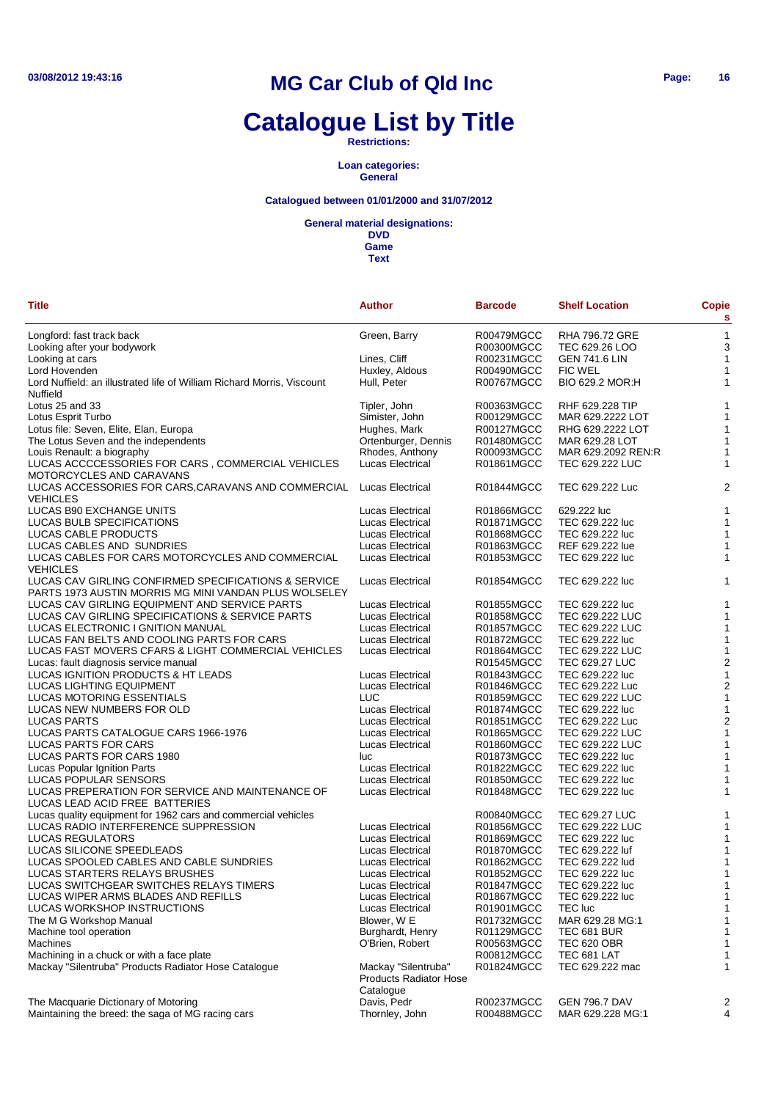# **Catalogue List by Title**

**Restrictions:**

**Loan categories: General**

### **Catalogued between 01/01/2000 and 31/07/2012**

#### **General material designations:**

| <b>Title</b>                                                                                      | Author                        | <b>Barcode</b> | <b>Shelf Location</b> | <b>Copie</b><br>s       |
|---------------------------------------------------------------------------------------------------|-------------------------------|----------------|-----------------------|-------------------------|
| Longford: fast track back                                                                         | Green, Barry                  | R00479MGCC     | <b>RHA 796.72 GRE</b> | $\mathbf{1}$            |
| Looking after your bodywork                                                                       |                               | R00300MGCC     | TEC 629.26 LOO        | 3                       |
| Looking at cars                                                                                   | Lines, Cliff                  | R00231MGCC     | <b>GEN 741.6 LIN</b>  | 1                       |
| Lord Hovenden                                                                                     | Huxley, Aldous                | R00490MGCC     | <b>FIC WEL</b>        | 1                       |
| Lord Nuffield: an illustrated life of William Richard Morris, Viscount<br>Nuffield                | Hull, Peter                   | R00767MGCC     | BIO 629.2 MOR:H       | 1                       |
| Lotus 25 and 33                                                                                   | Tipler, John                  | R00363MGCC     | RHF 629.228 TIP       | 1                       |
| Lotus Esprit Turbo                                                                                | Simister, John                | R00129MGCC     | MAR 629.2222 LOT      | 1                       |
| Lotus file: Seven, Elite, Elan, Europa                                                            | Hughes, Mark                  | R00127MGCC     | RHG 629.2222 LOT      | 1                       |
| The Lotus Seven and the independents                                                              | Ortenburger, Dennis           | R01480MGCC     | MAR 629.28 LOT        | 1                       |
| Louis Renault: a biography                                                                        | Rhodes, Anthony               | R00093MGCC     | MAR 629.2092 REN:R    | 1                       |
| LUCAS ACCCCESSORIES FOR CARS, COMMERCIAL VEHICLES                                                 | Lucas Electrical              | R01861MGCC     | TEC 629.222 LUC       | 1                       |
| MOTORCYCLES AND CARAVANS                                                                          |                               |                |                       |                         |
| LUCAS ACCESSORIES FOR CARS, CARAVANS AND COMMERCIAL Lucas Electrical                              |                               | R01844MGCC     | TEC 629.222 Luc       | $\overline{2}$          |
| <b>VEHICLES</b>                                                                                   |                               |                |                       |                         |
| LUCAS B90 EXCHANGE UNITS                                                                          | Lucas Electrical              | R01866MGCC     | 629.222 luc           | 1                       |
| LUCAS BULB SPECIFICATIONS                                                                         | Lucas Electrical              | R01871MGCC     | TEC 629.222 luc       | $\mathbf{1}$            |
| LUCAS CABLE PRODUCTS                                                                              | Lucas Electrical              | R01868MGCC     | TEC 629.222 luc       | 1                       |
| LUCAS CABLES AND SUNDRIES                                                                         | Lucas Electrical              | R01863MGCC     | REF 629.222 lue       | 1                       |
| LUCAS CABLES FOR CARS MOTORCYCLES AND COMMERCIAL                                                  | Lucas Electrical              | R01853MGCC     | TEC 629.222 luc       | 1                       |
| <b>VEHICLES</b>                                                                                   |                               |                |                       |                         |
| LUCAS CAV GIRLING CONFIRMED SPECIFICATIONS & SERVICE                                              | <b>Lucas Electrical</b>       | R01854MGCC     | TEC 629.222 luc       | 1                       |
| PARTS 1973 AUSTIN MORRIS MG MINI VANDAN PLUS WOLSELEY                                             | Lucas Electrical              | R01855MGCC     | TEC 629.222 luc       | 1                       |
| LUCAS CAV GIRLING EQUIPMENT AND SERVICE PARTS<br>LUCAS CAV GIRLING SPECIFICATIONS & SERVICE PARTS | Lucas Electrical              | R01858MGCC     | TEC 629.222 LUC       | 1                       |
| LUCAS ELECTRONIC I GNITION MANUAL                                                                 | Lucas Electrical              | R01857MGCC     | TEC 629.222 LUC       | $\mathbf{1}$            |
| LUCAS FAN BELTS AND COOLING PARTS FOR CARS                                                        | <b>Lucas Electrical</b>       | R01872MGCC     | TEC 629.222 luc       | $\mathbf{1}$            |
| LUCAS FAST MOVERS CFARS & LIGHT COMMERCIAL VEHICLES                                               | <b>Lucas Electrical</b>       | R01864MGCC     | TEC 629.222 LUC       | $\mathbf{1}$            |
|                                                                                                   |                               | R01545MGCC     | TEC 629.27 LUC        | $\boldsymbol{2}$        |
| Lucas: fault diagnosis service manual<br>LUCAS IGNITION PRODUCTS & HT LEADS                       | <b>Lucas Electrical</b>       | R01843MGCC     | TEC 629.222 luc       | $\mathbf{1}$            |
| LUCAS LIGHTING EQUIPMENT                                                                          | <b>Lucas Electrical</b>       | R01846MGCC     | TEC 629.222 Luc       | $\boldsymbol{2}$        |
| LUCAS MOTORING ESSENTIALS                                                                         | LUC                           | R01859MGCC     | TEC 629.222 LUC       | $\mathbf{1}$            |
| LUCAS NEW NUMBERS FOR OLD                                                                         | Lucas Electrical              | R01874MGCC     | TEC 629.222 luc       | 1                       |
| <b>LUCAS PARTS</b>                                                                                | <b>Lucas Electrical</b>       | R01851MGCC     | TEC 629.222 Luc       | $\overline{\mathbf{c}}$ |
| LUCAS PARTS CATALOGUE CARS 1966-1976                                                              | Lucas Electrical              | R01865MGCC     | TEC 629.222 LUC       | $\mathbf{1}$            |
| LUCAS PARTS FOR CARS                                                                              | <b>Lucas Electrical</b>       | R01860MGCC     | TEC 629.222 LUC       | $\mathbf{1}$            |
| LUCAS PARTS FOR CARS 1980                                                                         | luc                           | R01873MGCC     | TEC 629.222 luc       | 1                       |
| Lucas Popular Ignition Parts                                                                      | <b>Lucas Electrical</b>       | R01822MGCC     | TEC 629.222 luc       | $\mathbf{1}$            |
| LUCAS POPULAR SENSORS                                                                             | <b>Lucas Electrical</b>       | R01850MGCC     | TEC 629.222 luc       | 1                       |
| LUCAS PREPERATION FOR SERVICE AND MAINTENANCE OF                                                  | Lucas Electrical              | R01848MGCC     | TEC 629.222 luc       | 1                       |
| LUCAS LEAD ACID FREE BATTERIES                                                                    |                               |                |                       |                         |
| Lucas quality equipment for 1962 cars and commercial vehicles                                     |                               | R00840MGCC     | <b>TEC 629.27 LUC</b> | 1                       |
| LUCAS RADIO INTERFERENCE SUPPRESSION                                                              | Lucas Electrical              | R01856MGCC     | TEC 629.222 LUC       | 1                       |
| LUCAS REGULATORS                                                                                  | <b>Lucas Electrical</b>       | R01869MGCC     | TEC 629.222 luc       | $\mathbf{1}$            |
| LUCAS SILICONE SPEEDLEADS                                                                         | Lucas Electrical              | R01870MGCC     | TEC 629.222 luf       | $\mathbf{1}$            |
| LUCAS SPOOLED CABLES AND CABLE SUNDRIES                                                           | <b>Lucas Electrical</b>       | R01862MGCC     | TEC 629.222 lud       | $\mathbf{1}$            |
| LUCAS STARTERS RELAYS BRUSHES                                                                     | Lucas Electrical              | R01852MGCC     | TEC 629.222 luc       | 1                       |
| LUCAS SWITCHGEAR SWITCHES RELAYS TIMERS                                                           | Lucas Electrical              | R01847MGCC     | TEC 629.222 luc       | $\mathbf{1}$            |
| LUCAS WIPER ARMS BLADES AND REFILLS                                                               | Lucas Electrical              | R01867MGCC     | TEC 629.222 luc       | 1                       |
| LUCAS WORKSHOP INSTRUCTIONS                                                                       | Lucas Electrical              | R01901MGCC     | <b>TEC</b> luc        | $\mathbf{1}$            |
| The M G Workshop Manual                                                                           | Blower, W E                   | R01732MGCC     | MAR 629.28 MG:1       | 1                       |
| Machine tool operation                                                                            | Burghardt, Henry              | R01129MGCC     | TEC 681 BUR           | 1                       |
| Machines                                                                                          | O'Brien, Robert               | R00563MGCC     | <b>TEC 620 OBR</b>    | 1                       |
| Machining in a chuck or with a face plate                                                         |                               | R00812MGCC     | TEC 681 LAT           | $\mathbf{1}$            |
| Mackay "Silentruba" Products Radiator Hose Catalogue                                              | Mackay "Silentruba"           | R01824MGCC     | TEC 629.222 mac       | 1                       |
|                                                                                                   | <b>Products Radiator Hose</b> |                |                       |                         |
|                                                                                                   | Catalogue                     |                |                       |                         |
| The Macquarie Dictionary of Motoring                                                              | Davis, Pedr                   | R00237MGCC     | <b>GEN 796.7 DAV</b>  | 2                       |
| Maintaining the breed: the saga of MG racing cars                                                 | Thornley, John                | R00488MGCC     | MAR 629.228 MG:1      | 4                       |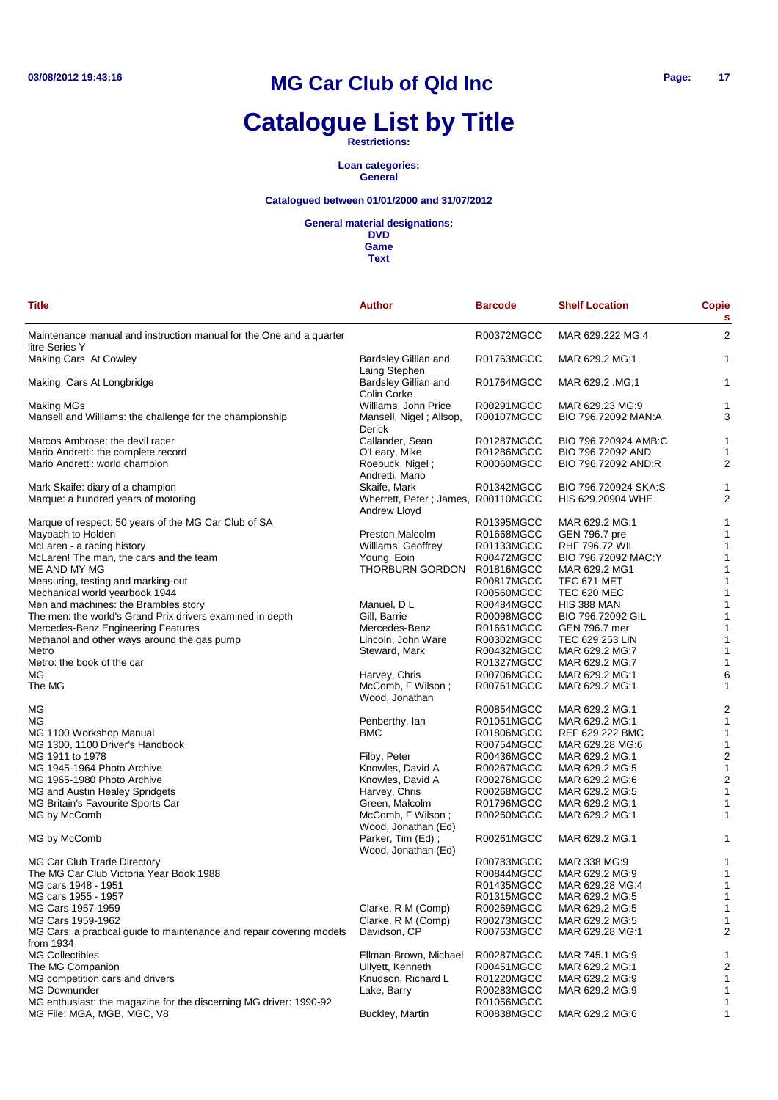# **Catalogue List by Title**

**Restrictions:**

**Loan categories: General**

### **Catalogued between 01/01/2000 and 31/07/2012**

**General material designations:**

**DVD Game**

| Title                                                                                 | <b>Author</b>                                      | <b>Barcode</b>    | <b>Shelf Location</b> | Copie<br>s     |
|---------------------------------------------------------------------------------------|----------------------------------------------------|-------------------|-----------------------|----------------|
| Maintenance manual and instruction manual for the One and a quarter<br>litre Series Y |                                                    | R00372MGCC        | MAR 629.222 MG:4      | $\overline{2}$ |
| Making Cars At Cowley                                                                 | Bardsley Gillian and<br>Laing Stephen              | R01763MGCC        | MAR 629.2 MG;1        | 1              |
| Making Cars At Longbridge                                                             | <b>Bardsley Gillian and</b><br>Colin Corke         | R01764MGCC        | MAR 629.2 .MG;1       | 1              |
| Making MGs                                                                            | Williams, John Price                               | R00291MGCC        | MAR 629.23 MG:9       | 1              |
| Mansell and Williams: the challenge for the championship                              | Mansell, Nigel; Allsop,<br>Derick                  | R00107MGCC        | BIO 796.72092 MAN:A   | 3              |
| Marcos Ambrose: the devil racer                                                       | Callander, Sean                                    | <b>R01287MGCC</b> | BIO 796.720924 AMB:C  | 1              |
| Mario Andretti: the complete record                                                   | O'Leary, Mike                                      | R01286MGCC        | BIO 796.72092 AND     |                |
| Mario Andretti: world champion                                                        | Roebuck, Nigel;<br>Andretti, Mario                 | R00060MGCC        | BIO 796.72092 AND:R   | 2              |
| Mark Skaife: diary of a champion                                                      | Skaife, Mark                                       | R01342MGCC        | BIO 796.720924 SKA:S  | 1              |
| Marque: a hundred years of motoring                                                   | Wherrett, Peter; James, R00110MGCC<br>Andrew Lloyd |                   | HIS 629.20904 WHE     | 2              |
| Marque of respect: 50 years of the MG Car Club of SA                                  |                                                    | R01395MGCC        | MAR 629.2 MG:1        | 1              |
| Maybach to Holden                                                                     | Preston Malcolm                                    | R01668MGCC        | GEN 796.7 pre         | 1              |
| McLaren - a racing history                                                            | Williams, Geoffrey                                 | R01133MGCC        | <b>RHF 796.72 WIL</b> | 1              |
| McLaren! The man, the cars and the team                                               | Young, Eoin                                        | R00472MGCC        | BIO 796.72092 MAC:Y   | 1              |
| ME AND MY MG                                                                          | THORBURN GORDON                                    | R01816MGCC        | MAR 629.2 MG1         | 1              |
| Measuring, testing and marking-out                                                    |                                                    | R00817MGCC        | TEC 671 MET           | 1              |
| Mechanical world yearbook 1944                                                        |                                                    | R00560MGCC        | TEC 620 MEC           | 1              |
| Men and machines: the Brambles story                                                  | Manuel, D L                                        | R00484MGCC        | HIS 388 MAN           | 1              |
| The men: the world's Grand Prix drivers examined in depth                             | Gill, Barrie                                       | R00098MGCC        | BIO 796.72092 GIL     | 1              |
| Mercedes-Benz Engineering Features                                                    | Mercedes-Benz                                      | R01661MGCC        | GEN 796.7 mer         | 1              |
| Methanol and other ways around the gas pump                                           | Lincoln, John Ware                                 | R00302MGCC        | TEC 629.253 LIN       | 1              |
| Metro                                                                                 | Steward, Mark                                      | R00432MGCC        | MAR 629.2 MG:7        | 1              |
| Metro: the book of the car                                                            |                                                    | R01327MGCC        | MAR 629.2 MG:7        |                |
| ΜG                                                                                    | Harvey, Chris                                      | R00706MGCC        | MAR 629.2 MG:1        | 6              |
| The MG                                                                                | McComb, F Wilson;<br>Wood, Jonathan                | R00761MGCC        | MAR 629.2 MG:1        | 1              |
| ΜG                                                                                    |                                                    | R00854MGCC        | MAR 629.2 MG:1        | $\overline{c}$ |
| ΜG                                                                                    | Penberthy, lan                                     | R01051MGCC        | MAR 629.2 MG:1        | 1              |
| MG 1100 Workshop Manual                                                               | <b>BMC</b>                                         | R01806MGCC        | REF 629.222 BMC       | 1              |
| MG 1300, 1100 Driver's Handbook                                                       |                                                    | R00754MGCC        | MAR 629.28 MG:6       | 1              |
| MG 1911 to 1978                                                                       | Filby, Peter                                       | R00436MGCC        | MAR 629.2 MG:1        | $\overline{c}$ |
| MG 1945-1964 Photo Archive                                                            | Knowles, David A                                   | R00267MGCC        | MAR 629.2 MG:5        | 1              |
| MG 1965-1980 Photo Archive                                                            | Knowles, David A                                   | R00276MGCC        | MAR 629.2 MG:6        | $\overline{2}$ |
| MG and Austin Healey Spridgets                                                        | Harvey, Chris                                      | R00268MGCC        | MAR 629.2 MG:5        | 1              |
| MG Britain's Favourite Sports Car                                                     | Green, Malcolm                                     | R01796MGCC        | MAR 629.2 MG;1        |                |
| MG by McComb                                                                          | McComb, F Wilson;<br>Wood, Jonathan (Ed)           | R00260MGCC        | MAR 629.2 MG:1        | 1              |
| MG by McComb                                                                          | Parker, Tim (Ed);<br>Wood, Jonathan (Ed)           | R00261MGCC        | MAR 629.2 MG:1        | 1              |
| MG Car Club Trade Directory                                                           |                                                    | R00783MGCC        | MAR 338 MG:9          | 1              |
| The MG Car Club Victoria Year Book 1988                                               |                                                    | R00844MGCC        | MAR 629.2 MG:9        | 1              |
| MG cars 1948 - 1951                                                                   |                                                    | R01435MGCC        | MAR 629.28 MG:4       | 1              |
| MG cars 1955 - 1957                                                                   |                                                    | R01315MGCC        | MAR 629.2 MG:5        | 1              |
| MG Cars 1957-1959                                                                     | Clarke, R M (Comp)                                 | R00269MGCC        | MAR 629.2 MG:5        | 1              |
| MG Cars 1959-1962                                                                     | Clarke, R M (Comp)                                 | R00273MGCC        | MAR 629.2 MG:5        |                |
| MG Cars: a practical guide to maintenance and repair covering models<br>from 1934     | Davidson, CP                                       | R00763MGCC        | MAR 629.28 MG:1       | 2              |
| <b>MG Collectibles</b>                                                                | Ellman-Brown, Michael                              | R00287MGCC        | MAR 745.1 MG:9        |                |
| The MG Companion                                                                      | Ullyett, Kenneth                                   | R00451MGCC        | MAR 629.2 MG:1        | 2              |
| MG competition cars and drivers                                                       | Knudson, Richard L                                 | R01220MGCC        | MAR 629.2 MG:9        | 1              |
| <b>MG Downunder</b>                                                                   | Lake, Barry                                        | R00283MGCC        | MAR 629.2 MG:9        |                |
| MG enthusiast: the magazine for the discerning MG driver: 1990-92                     |                                                    | R01056MGCC        |                       | 1              |
| MG File: MGA, MGB, MGC, V8                                                            | Buckley, Martin                                    | R00838MGCC        | MAR 629.2 MG:6        | 1              |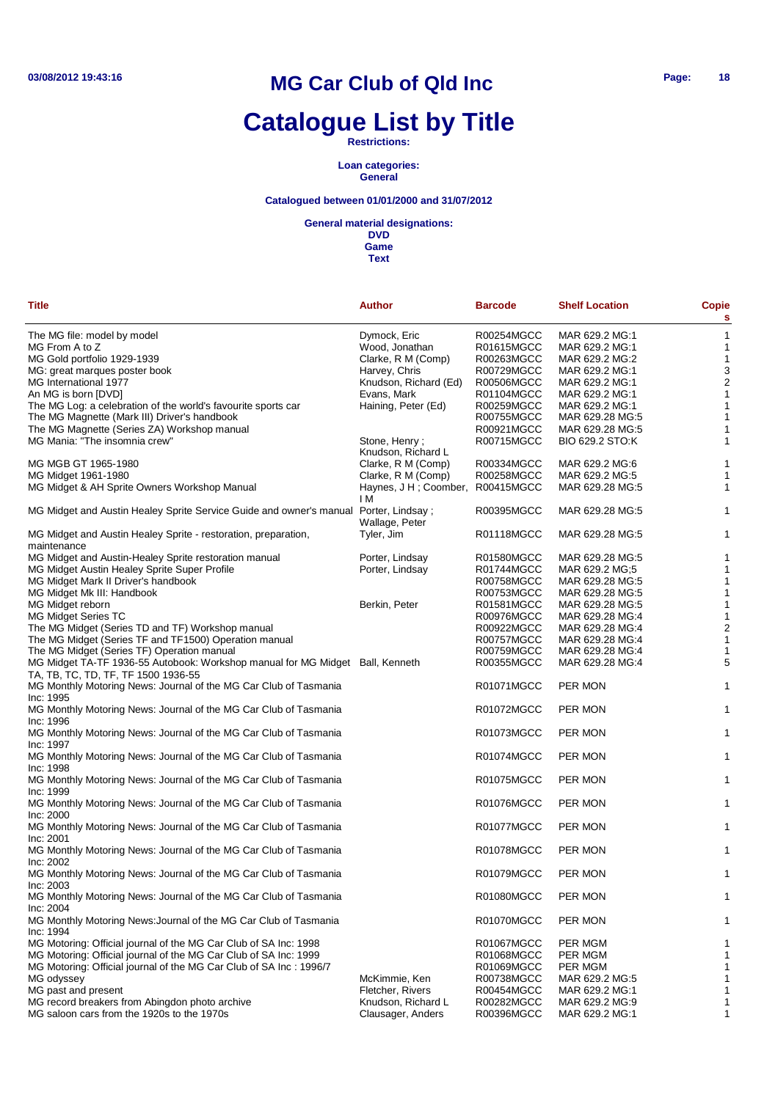# **Catalogue List by Title**

#### **Restrictions:**

**Loan categories: General**

### **Catalogued between 01/01/2000 and 31/07/2012**

#### **General material designations:**

| <b>Title</b>                                                                                                         | Author                              | <b>Barcode</b> | <b>Shelf Location</b> | Copie<br>s       |
|----------------------------------------------------------------------------------------------------------------------|-------------------------------------|----------------|-----------------------|------------------|
| The MG file: model by model                                                                                          | Dymock, Eric                        | R00254MGCC     | MAR 629.2 MG:1        | $\mathbf{1}$     |
| MG From A to Z                                                                                                       | Wood, Jonathan                      | R01615MGCC     | MAR 629.2 MG:1        | $\mathbf{1}$     |
| MG Gold portfolio 1929-1939                                                                                          | Clarke, R M (Comp)                  | R00263MGCC     | MAR 629.2 MG:2        | $\mathbf{1}$     |
|                                                                                                                      | Harvey, Chris                       | R00729MGCC     | MAR 629.2 MG:1        | 3                |
| MG: great marques poster book                                                                                        |                                     |                |                       |                  |
| MG International 1977                                                                                                | Knudson, Richard (Ed)               | R00506MGCC     | MAR 629.2 MG:1        | $\boldsymbol{2}$ |
| An MG is born [DVD]                                                                                                  | Evans, Mark                         | R01104MGCC     | MAR 629.2 MG:1        | $\mathbf{1}$     |
| The MG Log: a celebration of the world's favourite sports car                                                        | Haining, Peter (Ed)                 | R00259MGCC     | MAR 629.2 MG:1        | $\mathbf{1}$     |
| The MG Magnette (Mark III) Driver's handbook                                                                         |                                     | R00755MGCC     | MAR 629.28 MG:5       | $\mathbf{1}$     |
| The MG Magnette (Series ZA) Workshop manual                                                                          |                                     | R00921MGCC     | MAR 629.28 MG:5       | 1                |
| MG Mania: "The insomnia crew"                                                                                        | Stone, Henry;<br>Knudson, Richard L | R00715MGCC     | BIO 629.2 STO:K       | 1                |
| MG MGB GT 1965-1980                                                                                                  | Clarke, R M (Comp)                  | R00334MGCC     | MAR 629.2 MG:6        | 1                |
| MG Midget 1961-1980                                                                                                  | Clarke, R M (Comp)                  | R00258MGCC     | MAR 629.2 MG:5        | 1                |
|                                                                                                                      |                                     |                |                       |                  |
| MG Midget & AH Sprite Owners Workshop Manual                                                                         | Haynes, J H; Coomber,<br>I M        | R00415MGCC     | MAR 629.28 MG:5       | 1                |
| MG Midget and Austin Healey Sprite Service Guide and owner's manual Porter, Lindsay;                                 | Wallage, Peter                      | R00395MGCC     | MAR 629.28 MG:5       | 1                |
| MG Midget and Austin Healey Sprite - restoration, preparation,<br>maintenance                                        | Tyler, Jim                          | R01118MGCC     | MAR 629.28 MG:5       | 1                |
| MG Midget and Austin-Healey Sprite restoration manual                                                                | Porter, Lindsay                     | R01580MGCC     | MAR 629.28 MG:5       | 1                |
| MG Midget Austin Healey Sprite Super Profile                                                                         | Porter, Lindsay                     | R01744MGCC     | MAR 629.2 MG;5        | 1                |
| MG Midget Mark II Driver's handbook                                                                                  |                                     | R00758MGCC     | MAR 629.28 MG:5       | $\mathbf{1}$     |
| MG Midget Mk III: Handbook                                                                                           |                                     |                |                       |                  |
|                                                                                                                      |                                     | R00753MGCC     | MAR 629.28 MG:5       | $\mathbf{1}$     |
| MG Midget reborn                                                                                                     | Berkin, Peter                       | R01581MGCC     | MAR 629.28 MG:5       | $\mathbf{1}$     |
| MG Midget Series TC                                                                                                  |                                     | R00976MGCC     | MAR 629.28 MG:4       | $\mathbf{1}$     |
| The MG Midget (Series TD and TF) Workshop manual                                                                     |                                     | R00922MGCC     | MAR 629.28 MG:4       | $\boldsymbol{2}$ |
| The MG Midget (Series TF and TF1500) Operation manual                                                                |                                     | R00757MGCC     | MAR 629.28 MG:4       | $\mathbf{1}$     |
| The MG Midget (Series TF) Operation manual                                                                           |                                     | R00759MGCC     | MAR 629.28 MG:4       | $\mathbf{1}$     |
| MG Midget TA-TF 1936-55 Autobook: Workshop manual for MG Midget Ball, Kenneth<br>TA, TB, TC, TD, TF, TF 1500 1936-55 |                                     | R00355MGCC     | MAR 629.28 MG:4       | 5                |
| MG Monthly Motoring News: Journal of the MG Car Club of Tasmania<br>Inc: 1995                                        |                                     | R01071MGCC     | PER MON               | 1                |
| MG Monthly Motoring News: Journal of the MG Car Club of Tasmania<br>Inc: 1996                                        |                                     | R01072MGCC     | PER MON               | 1                |
| MG Monthly Motoring News: Journal of the MG Car Club of Tasmania<br>Inc: 1997                                        |                                     | R01073MGCC     | PER MON               | 1                |
| MG Monthly Motoring News: Journal of the MG Car Club of Tasmania<br>Inc: 1998                                        |                                     | R01074MGCC     | PER MON               | 1                |
| MG Monthly Motoring News: Journal of the MG Car Club of Tasmania<br>Inc: 1999                                        |                                     | R01075MGCC     | PER MON               | 1                |
| MG Monthly Motoring News: Journal of the MG Car Club of Tasmania<br>Inc: 2000                                        |                                     | R01076MGCC     | PER MON               | 1                |
| MG Monthly Motoring News: Journal of the MG Car Club of Tasmania<br>Inc: 2001                                        |                                     | R01077MGCC     | PER MON               | 1                |
| MG Monthly Motoring News: Journal of the MG Car Club of Tasmania<br>Inc: 2002                                        |                                     | R01078MGCC     | PER MON               | 1                |
| MG Monthly Motoring News: Journal of the MG Car Club of Tasmania<br>Inc: 2003                                        |                                     | R01079MGCC     | PER MON               | 1                |
| MG Monthly Motoring News: Journal of the MG Car Club of Tasmania<br>Inc: 2004                                        |                                     | R01080MGCC     | PER MON               | 1                |
| MG Monthly Motoring News: Journal of the MG Car Club of Tasmania<br>Inc: 1994                                        |                                     | R01070MGCC     | PER MON               | 1                |
| MG Motoring: Official journal of the MG Car Club of SA Inc: 1998                                                     |                                     | R01067MGCC     | PER MGM               | 1                |
| MG Motoring: Official journal of the MG Car Club of SA Inc: 1999                                                     |                                     |                |                       | $\mathbf{1}$     |
|                                                                                                                      |                                     | R01068MGCC     | PER MGM               |                  |
| MG Motoring: Official journal of the MG Car Club of SA Inc: 1996/7                                                   |                                     | R01069MGCC     | PER MGM               | $\mathbf{1}$     |
| MG odyssey                                                                                                           | McKimmie, Ken                       | R00738MGCC     | MAR 629.2 MG:5        | $\mathbf{1}$     |
| MG past and present                                                                                                  | Fletcher, Rivers                    | R00454MGCC     | MAR 629.2 MG:1        | $\mathbf{1}$     |
| MG record breakers from Abingdon photo archive                                                                       | Knudson, Richard L                  | R00282MGCC     | MAR 629.2 MG:9        | 1                |
| MG saloon cars from the 1920s to the 1970s                                                                           | Clausager, Anders                   | R00396MGCC     | MAR 629.2 MG:1        | $\mathbf{1}$     |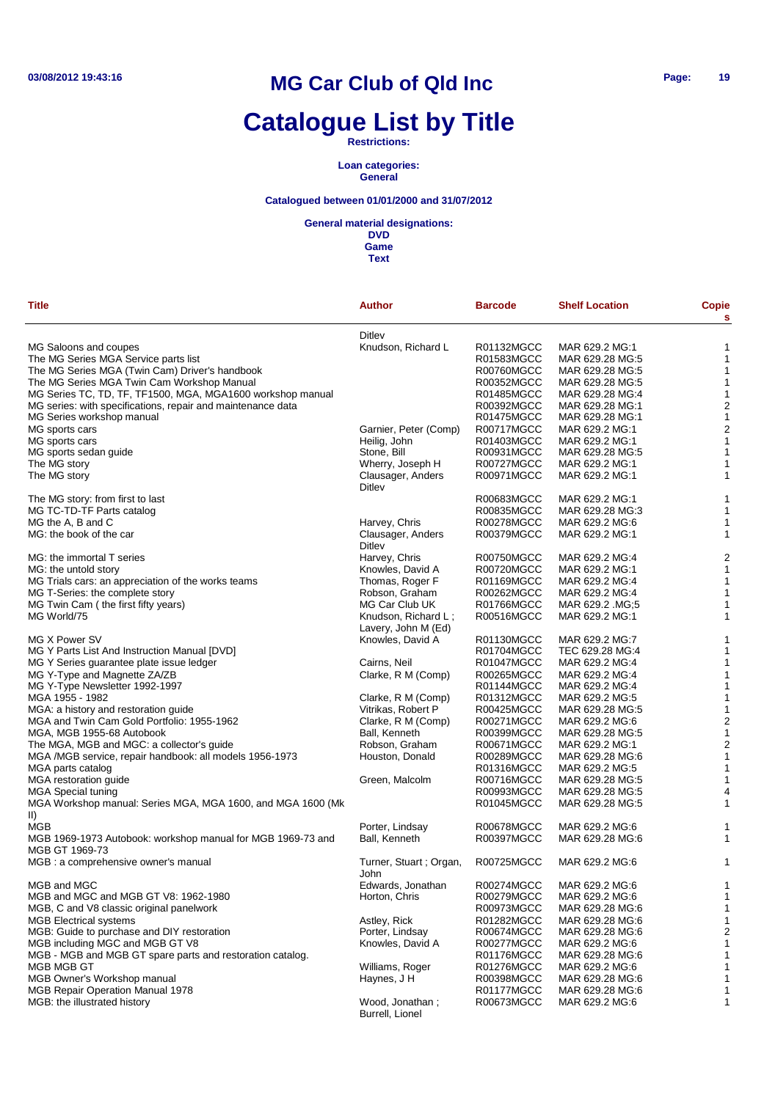# **Catalogue List by Title**

**Restrictions:**

**Loan categories: General**

### **Catalogued between 01/01/2000 and 31/07/2012**

#### **General material designations:**

**DVD Game**

| Title                                                                      | <b>Author</b>                            | <b>Barcode</b> | <b>Shelf Location</b> | <b>Copie</b><br>s       |
|----------------------------------------------------------------------------|------------------------------------------|----------------|-----------------------|-------------------------|
|                                                                            | <b>Ditley</b>                            |                |                       |                         |
| MG Saloons and coupes                                                      | Knudson, Richard L                       | R01132MGCC     | MAR 629.2 MG:1        | 1                       |
| The MG Series MGA Service parts list                                       |                                          | R01583MGCC     | MAR 629.28 MG:5       | $\mathbf{1}$            |
| The MG Series MGA (Twin Cam) Driver's handbook                             |                                          | R00760MGCC     | MAR 629.28 MG:5       | $\mathbf{1}$            |
| The MG Series MGA Twin Cam Workshop Manual                                 |                                          | R00352MGCC     | MAR 629.28 MG:5       | $\mathbf{1}$            |
| MG Series TC, TD, TF, TF1500, MGA, MGA1600 workshop manual                 |                                          | R01485MGCC     | MAR 629.28 MG:4       | 1                       |
| MG series: with specifications, repair and maintenance data                |                                          | R00392MGCC     | MAR 629.28 MG:1       | $\boldsymbol{2}$        |
| MG Series workshop manual                                                  |                                          | R01475MGCC     | MAR 629.28 MG:1       | $\mathbf{1}$            |
| MG sports cars                                                             | Garnier, Peter (Comp)                    | R00717MGCC     | MAR 629.2 MG:1        | $\boldsymbol{2}$        |
| MG sports cars                                                             | Heilig, John                             | R01403MGCC     | MAR 629.2 MG:1        | $\mathbf{1}$            |
| MG sports sedan guide                                                      | Stone, Bill                              | R00931MGCC     | MAR 629.28 MG:5       | $\mathbf{1}$            |
|                                                                            |                                          | R00727MGCC     | MAR 629.2 MG:1        |                         |
| The MG story                                                               | Wherry, Joseph H                         |                |                       | 1                       |
| The MG story                                                               | Clausager, Anders<br>Ditley              | R00971MGCC     | MAR 629.2 MG:1        | 1                       |
| The MG story: from first to last                                           |                                          | R00683MGCC     | MAR 629.2 MG:1        | 1                       |
| MG TC-TD-TF Parts catalog                                                  |                                          | R00835MGCC     | MAR 629.28 MG:3       | 1                       |
| MG the A, B and C                                                          | Harvey, Chris                            | R00278MGCC     | MAR 629.2 MG:6        | 1                       |
| MG: the book of the car                                                    | Clausager, Anders                        | R00379MGCC     | MAR 629.2 MG:1        | 1                       |
|                                                                            | Ditlev                                   |                |                       |                         |
| MG: the immortal T series                                                  | Harvey, Chris                            | R00750MGCC     | MAR 629.2 MG:4        | 2                       |
| MG: the untold story                                                       | Knowles, David A                         | R00720MGCC     | MAR 629.2 MG:1        | $\mathbf{1}$            |
| MG Trials cars: an appreciation of the works teams                         | Thomas, Roger F                          | R01169MGCC     | MAR 629.2 MG:4        | $\mathbf{1}$            |
| MG T-Series: the complete story                                            | Robson, Graham                           | R00262MGCC     | MAR 629.2 MG:4        | $\mathbf{1}$            |
| MG Twin Cam (the first fifty years)                                        | MG Car Club UK                           | R01766MGCC     | MAR 629.2 .MG;5       | 1                       |
| MG World/75                                                                | Knudson, Richard L;                      | R00516MGCC     | MAR 629.2 MG:1        | 1                       |
|                                                                            | Lavery, John M (Ed)                      |                |                       |                         |
| MG X Power SV                                                              | Knowles, David A                         | R01130MGCC     | MAR 629.2 MG:7        | 1                       |
| MG Y Parts List And Instruction Manual [DVD]                               |                                          | R01704MGCC     | TEC 629.28 MG:4       | 1                       |
| MG Y Series guarantee plate issue ledger                                   | Cairns, Neil                             | R01047MGCC     | MAR 629.2 MG:4        | 1                       |
| MG Y-Type and Magnette ZA/ZB                                               | Clarke, R M (Comp)                       | R00265MGCC     | MAR 629.2 MG:4        | 1                       |
| MG Y-Type Newsletter 1992-1997                                             |                                          | R01144MGCC     | MAR 629.2 MG:4        | 1                       |
|                                                                            |                                          | R01312MGCC     |                       | 1                       |
| MGA 1955 - 1982                                                            | Clarke, R M (Comp)<br>Vitrikas, Robert P |                | MAR 629.2 MG:5        | 1                       |
| MGA: a history and restoration guide                                       |                                          | R00425MGCC     | MAR 629.28 MG:5       | $\overline{\mathbf{c}}$ |
| MGA and Twin Cam Gold Portfolio: 1955-1962                                 | Clarke, R M (Comp)                       | R00271MGCC     | MAR 629.2 MG:6        |                         |
| MGA, MGB 1955-68 Autobook                                                  | Ball, Kenneth                            | R00399MGCC     | MAR 629.28 MG:5       | $\mathbf{1}$            |
| The MGA, MGB and MGC: a collector's guide                                  | Robson, Graham                           | R00671MGCC     | MAR 629.2 MG:1        | $\boldsymbol{2}$        |
| MGA /MGB service, repair handbook: all models 1956-1973                    | Houston, Donald                          | R00289MGCC     | MAR 629.28 MG:6       | $\mathbf{1}$            |
| MGA parts catalog                                                          |                                          | R01316MGCC     | MAR 629.2 MG:5        | $\mathbf{1}$            |
| MGA restoration guide                                                      | Green, Malcolm                           | R00716MGCC     | MAR 629.28 MG:5       | 1                       |
| <b>MGA Special tuning</b>                                                  |                                          | R00993MGCC     | MAR 629.28 MG:5       | 4                       |
| MGA Workshop manual: Series MGA, MGA 1600, and MGA 1600 (Mk<br>$\parallel$ |                                          | R01045MGCC     | MAR 629.28 MG:5       | 1                       |
| MGB                                                                        | Porter, Lindsay                          | R00678MGCC     | MAR 629.2 MG:6        | 1                       |
| MGB 1969-1973 Autobook: workshop manual for MGB 1969-73 and                | Ball, Kenneth                            | R00397MGCC     | MAR 629.28 MG:6       | 1                       |
| MGB GT 1969-73                                                             |                                          |                |                       |                         |
| MGB : a comprehensive owner's manual                                       | Turner, Stuart; Organ,<br>John           | R00725MGCC     | MAR 629.2 MG:6        | 1                       |
| MGB and MGC                                                                | Edwards, Jonathan                        | R00274MGCC     | MAR 629.2 MG:6        | 1                       |
| MGB and MGC and MGB GT V8: 1962-1980                                       | Horton, Chris                            | R00279MGCC     | MAR 629.2 MG:6        | 1                       |
| MGB, C and V8 classic original panelwork                                   |                                          | R00973MGCC     | MAR 629.28 MG:6       | $\mathbf{1}$            |
| <b>MGB Electrical systems</b>                                              | Astley, Rick                             | R01282MGCC     | MAR 629.28 MG:6       | 1                       |
| MGB: Guide to purchase and DIY restoration                                 | Porter, Lindsay                          | R00674MGCC     | MAR 629.28 MG:6       | $\overline{\mathbf{c}}$ |
| MGB including MGC and MGB GT V8                                            | Knowles, David A                         | R00277MGCC     | MAR 629.2 MG:6        | $\mathbf{1}$            |
| MGB - MGB and MGB GT spare parts and restoration catalog.                  |                                          | R01176MGCC     | MAR 629.28 MG:6       | $\mathbf{1}$            |
| MGB MGB GT                                                                 | Williams, Roger                          | R01276MGCC     | MAR 629.2 MG:6        | 1                       |
| <b>MGB Owner's Workshop manual</b>                                         | Haynes, J H                              | R00398MGCC     | MAR 629.28 MG:6       | $\mathbf{1}$            |
| <b>MGB Repair Operation Manual 1978</b>                                    |                                          | R01177MGCC     | MAR 629.28 MG:6       | 1                       |
| MGB: the illustrated history                                               | Wood, Jonathan;                          | R00673MGCC     | MAR 629.2 MG:6        | 1                       |
|                                                                            | Burrell, Lionel                          |                |                       |                         |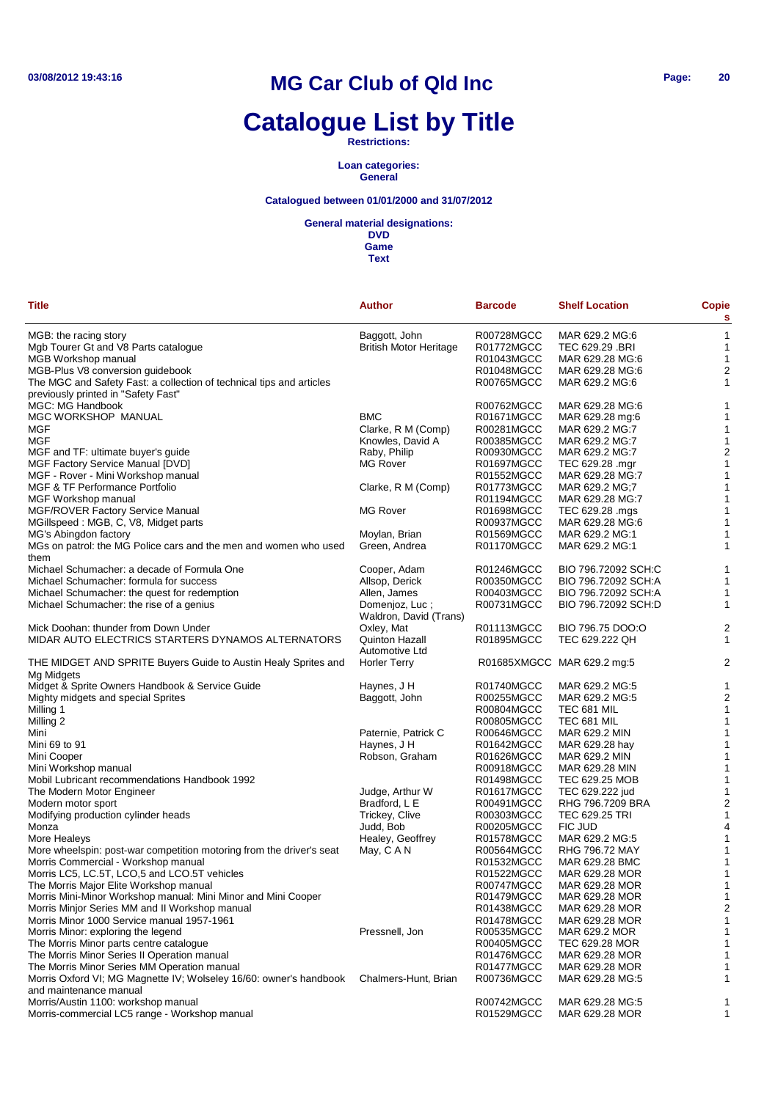# **Catalogue List by Title**

**Restrictions:**

**Loan categories: General**

### **Catalogued between 01/01/2000 and 31/07/2012**

#### **General material designations:**

| <b>Title</b>                                                                                 | Author                                   | <b>Barcode</b> | <b>Shelf Location</b>      | Copie<br>s              |
|----------------------------------------------------------------------------------------------|------------------------------------------|----------------|----------------------------|-------------------------|
| MGB: the racing story                                                                        | Baggott, John                            | R00728MGCC     | MAR 629.2 MG:6             | 1                       |
| Mgb Tourer Gt and V8 Parts catalogue                                                         | <b>British Motor Heritage</b>            | R01772MGCC     | TEC 629.29 .BRI            | 1                       |
| MGB Workshop manual                                                                          |                                          | R01043MGCC     | MAR 629.28 MG:6            | $\mathbf 1$             |
|                                                                                              |                                          | R01048MGCC     | MAR 629.28 MG:6            |                         |
| MGB-Plus V8 conversion guidebook                                                             |                                          |                |                            | $\overline{\mathbf{c}}$ |
| The MGC and Safety Fast: a collection of technical tips and articles                         |                                          | R00765MGCC     | MAR 629.2 MG:6             | 1                       |
| previously printed in "Safety Fast"                                                          |                                          |                |                            |                         |
| MGC: MG Handbook                                                                             |                                          | R00762MGCC     | MAR 629.28 MG:6            | 1                       |
| MGC WORKSHOP MANUAL                                                                          | <b>BMC</b>                               | R01671MGCC     | MAR 629.28 mg:6            | 1                       |
| MGF                                                                                          | Clarke, R M (Comp)                       | R00281MGCC     | MAR 629.2 MG:7             | 1                       |
| MGF                                                                                          | Knowles, David A                         | R00385MGCC     | MAR 629.2 MG:7             | $\mathbf 1$             |
| MGF and TF: ultimate buyer's guide                                                           | Raby, Philip                             | R00930MGCC     | MAR 629.2 MG:7             | $\overline{\mathbf{c}}$ |
| <b>MGF Factory Service Manual [DVD]</b>                                                      | <b>MG Rover</b>                          | R01697MGCC     | TEC 629.28 .mgr            | 1                       |
| MGF - Rover - Mini Workshop manual                                                           |                                          | R01552MGCC     | MAR 629.28 MG:7            | 1                       |
| MGF & TF Performance Portfolio                                                               | Clarke, R M (Comp)                       | R01773MGCC     | MAR 629.2 MG;7             | 1                       |
| <b>MGF Workshop manual</b>                                                                   |                                          | R01194MGCC     | MAR 629.28 MG:7            | $\mathbf 1$             |
| MGF/ROVER Factory Service Manual                                                             | <b>MG Rover</b>                          | R01698MGCC     | TEC 629.28 .mgs            | 1                       |
| MGillspeed: MGB, C, V8, Midget parts                                                         |                                          | R00937MGCC     | MAR 629.28 MG:6            | 1                       |
| MG's Abingdon factory                                                                        | Moylan, Brian                            | R01569MGCC     | MAR 629.2 MG:1             | 1                       |
| MGs on patrol: the MG Police cars and the men and women who used                             | Green, Andrea                            | R01170MGCC     | MAR 629.2 MG:1             | 1                       |
| them                                                                                         |                                          |                |                            |                         |
| Michael Schumacher: a decade of Formula One                                                  | Cooper, Adam                             | R01246MGCC     | BIO 796.72092 SCH:C        | 1                       |
| Michael Schumacher: formula for success                                                      | Allsop, Derick                           | R00350MGCC     | BIO 796.72092 SCH:A        | 1                       |
| Michael Schumacher: the quest for redemption                                                 | Allen, James                             | R00403MGCC     | BIO 796.72092 SCH:A        | $\mathbf 1$             |
| Michael Schumacher: the rise of a genius                                                     | Domenjoz, Luc;<br>Waldron, David (Trans) | R00731MGCC     | BIO 796.72092 SCH:D        | 1                       |
| Mick Doohan: thunder from Down Under                                                         | Oxley, Mat                               | R01113MGCC     | BIO 796.75 DOO:O           | $\overline{\mathbf{c}}$ |
| MIDAR AUTO ELECTRICS STARTERS DYNAMOS ALTERNATORS                                            | Quinton Hazall<br>Automotive Ltd         | R01895MGCC     | TEC 629.222 QH             | 1                       |
| THE MIDGET AND SPRITE Buyers Guide to Austin Healy Sprites and<br>Mg Midgets                 | <b>Horler Terry</b>                      |                | R01685XMGCC MAR 629.2 mg:5 | $\overline{c}$          |
| Midget & Sprite Owners Handbook & Service Guide                                              | Haynes, J H                              | R01740MGCC     | MAR 629.2 MG:5             | 1                       |
| Mighty midgets and special Sprites                                                           | Baggott, John                            | R00255MGCC     | MAR 629.2 MG:5             | $\overline{\mathbf{c}}$ |
| Milling 1                                                                                    |                                          | R00804MGCC     | TEC 681 MIL                | 1                       |
| Milling 2                                                                                    |                                          | R00805MGCC     | TEC 681 MIL                | 1                       |
| Mini                                                                                         | Paternie, Patrick C                      | R00646MGCC     | MAR 629.2 MIN              | 1                       |
| Mini 69 to 91                                                                                | Haynes, J H                              | R01642MGCC     | MAR 629.28 hay             | 1                       |
| Mini Cooper                                                                                  | Robson, Graham                           | R01626MGCC     | MAR 629.2 MIN              | 1                       |
|                                                                                              |                                          | R00918MGCC     | MAR 629.28 MIN             |                         |
| Mini Workshop manual                                                                         |                                          |                |                            | 1                       |
| Mobil Lubricant recommendations Handbook 1992                                                |                                          | R01498MGCC     | TEC 629.25 MOB             | 1                       |
| The Modern Motor Engineer                                                                    | Judge, Arthur W                          | R01617MGCC     | TEC 629.222 jud            | 1                       |
| Modern motor sport                                                                           | Bradford, L E                            | R00491MGCC     | RHG 796.7209 BRA           | $\overline{\mathbf{c}}$ |
| Modifying production cylinder heads                                                          | Trickey, Clive                           | R00303MGCC     | <b>TEC 629.25 TRI</b>      | 1                       |
| Monza                                                                                        | Judd, Bob                                | R00205MGCC     | FIC JUD                    | 4                       |
| More Healeys                                                                                 | Healey, Geoffrey                         | R01578MGCC     | MAR 629.2 MG:5             | 1                       |
| More wheelspin: post-war competition motoring from the driver's seat                         | May, C A N                               | R00564MGCC     | RHG 796.72 MAY             | 1                       |
| Morris Commercial - Workshop manual                                                          |                                          | R01532MGCC     | MAR 629.28 BMC             | 1                       |
| Morris LC5, LC.5T, LCO,5 and LCO.5T vehicles                                                 |                                          | R01522MGCC     | MAR 629.28 MOR             | 1                       |
| The Morris Major Elite Workshop manual                                                       |                                          | R00747MGCC     | MAR 629.28 MOR             | 1                       |
| Morris Mini-Minor Workshop manual: Mini Minor and Mini Cooper                                |                                          | R01479MGCC     | MAR 629.28 MOR             | 1                       |
| Morris Minjor Series MM and II Workshop manual                                               |                                          | R01438MGCC     | MAR 629.28 MOR             | 2                       |
| Morris Minor 1000 Service manual 1957-1961                                                   |                                          | R01478MGCC     | MAR 629.28 MOR             |                         |
| Morris Minor: exploring the legend                                                           | Pressnell, Jon                           | R00535MGCC     | MAR 629.2 MOR              |                         |
| The Morris Minor parts centre catalogue                                                      |                                          | R00405MGCC     | TEC 629.28 MOR             |                         |
| The Morris Minor Series II Operation manual                                                  |                                          | R01476MGCC     | MAR 629.28 MOR             |                         |
| The Morris Minor Series MM Operation manual                                                  |                                          | R01477MGCC     | MAR 629.28 MOR             |                         |
| Morris Oxford VI; MG Magnette IV; Wolseley 16/60: owner's handbook<br>and maintenance manual | Chalmers-Hunt, Brian                     | R00736MGCC     | MAR 629.28 MG:5            | 1                       |
| Morris/Austin 1100: workshop manual                                                          |                                          | R00742MGCC     | MAR 629.28 MG:5            |                         |
| Morris-commercial LC5 range - Workshop manual                                                |                                          | R01529MGCC     | MAR 629.28 MOR             | 1                       |
|                                                                                              |                                          |                |                            | 1                       |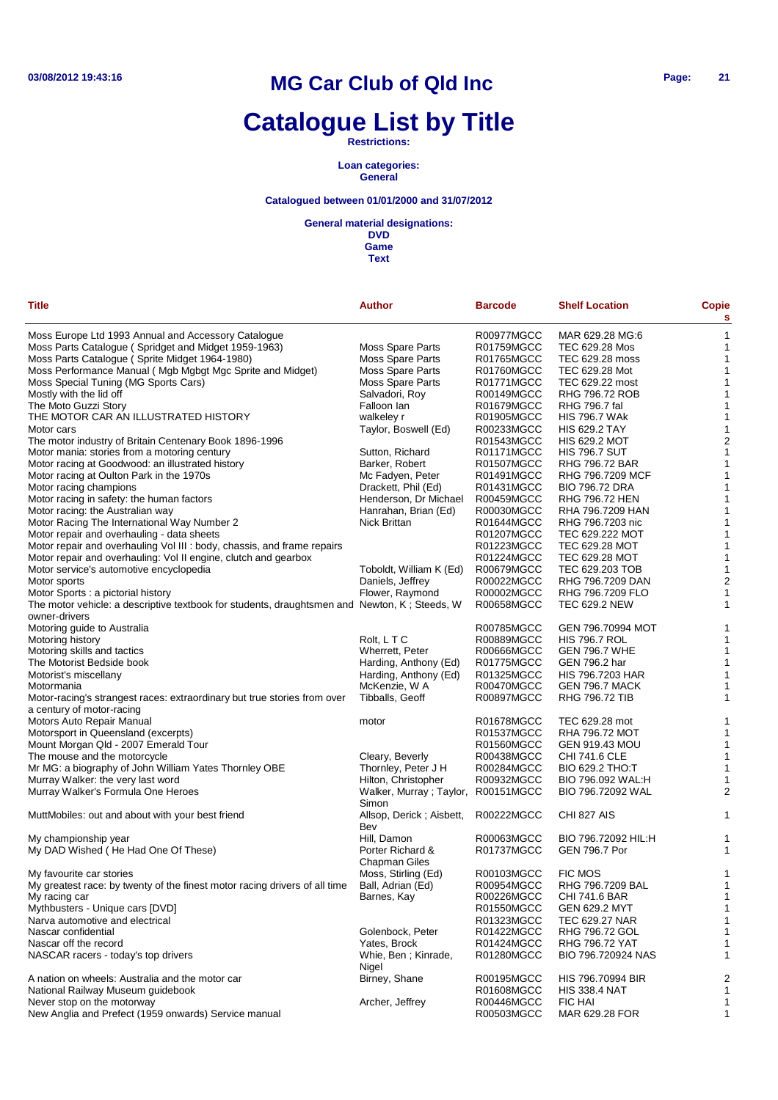# **Catalogue List by Title**

**Restrictions:**

**Loan categories: General**

### **Catalogued between 01/01/2000 and 31/07/2012**

**General material designations:**

| <b>Title</b>                                                                                 | Author                            | <b>Barcode</b> | <b>Shelf Location</b>   | Copie<br>s     |
|----------------------------------------------------------------------------------------------|-----------------------------------|----------------|-------------------------|----------------|
| Moss Europe Ltd 1993 Annual and Accessory Catalogue                                          |                                   | R00977MGCC     | MAR 629.28 MG:6         | $\mathbf{1}$   |
| Moss Parts Catalogue (Spridget and Midget 1959-1963)                                         | <b>Moss Spare Parts</b>           | R01759MGCC     | TEC 629.28 Mos          | 1              |
| Moss Parts Catalogue (Sprite Midget 1964-1980)                                               | <b>Moss Spare Parts</b>           | R01765MGCC     | TEC 629.28 moss         | 1              |
| Moss Performance Manual (Mgb Mgbgt Mgc Sprite and Midget)                                    | <b>Moss Spare Parts</b>           | R01760MGCC     | TEC 629.28 Mot          | 1              |
| Moss Special Tuning (MG Sports Cars)                                                         | <b>Moss Spare Parts</b>           | R01771MGCC     | TEC 629.22 most         | 1              |
| Mostly with the lid off                                                                      | Salvadori, Roy                    | R00149MGCC     | RHG 796.72 ROB          | 1              |
| The Moto Guzzi Story                                                                         | Falloon lan                       | R01679MGCC     | RHG 796.7 fal           | 1              |
| THE MOTOR CAR AN ILLUSTRATED HISTORY                                                         | walkeley r                        | R01905MGCC     | <b>HIS 796.7 WAK</b>    | 1              |
| Motor cars                                                                                   | Taylor, Boswell (Ed)              | R00233MGCC     | <b>HIS 629.2 TAY</b>    | 1              |
| The motor industry of Britain Centenary Book 1896-1996                                       |                                   | R01543MGCC     | <b>HIS 629.2 MOT</b>    | $\overline{2}$ |
| Motor mania: stories from a motoring century                                                 | Sutton, Richard                   | R01171MGCC     | <b>HIS 796.7 SUT</b>    | $\mathbf{1}$   |
| Motor racing at Goodwood: an illustrated history                                             | Barker, Robert                    | R01507MGCC     | <b>RHG 796.72 BAR</b>   | 1              |
| Motor racing at Oulton Park in the 1970s                                                     | Mc Fadyen, Peter                  | R01491MGCC     | RHG 796.7209 MCF        | 1              |
| Motor racing champions                                                                       | Drackett, Phil (Ed)               | R01431MGCC     | <b>BIO 796.72 DRA</b>   | 1              |
| Motor racing in safety: the human factors                                                    | Henderson, Dr Michael             | R00459MGCC     | <b>RHG 796.72 HEN</b>   | 1              |
| Motor racing: the Australian way                                                             | Hanrahan, Brian (Ed)              | R00030MGCC     | RHA 796.7209 HAN        | 1              |
| Motor Racing The International Way Number 2                                                  | Nick Brittan                      | R01644MGCC     | RHG 796.7203 nic        | 1              |
| Motor repair and overhauling - data sheets                                                   |                                   | R01207MGCC     | TEC 629.222 MOT         | 1              |
| Motor repair and overhauling Vol III : body, chassis, and frame repairs                      |                                   | R01223MGCC     | TEC 629.28 MOT          | 1              |
| Motor repair and overhauling: Vol II engine, clutch and gearbox                              |                                   | R01224MGCC     | <b>TEC 629.28 MOT</b>   | 1              |
| Motor service's automotive encyclopedia                                                      | Toboldt, William K (Ed)           | R00679MGCC     | TEC 629.203 TOB         | 1              |
| Motor sports                                                                                 | Daniels, Jeffrey                  | R00022MGCC     | RHG 796.7209 DAN        | $\overline{c}$ |
| Motor Sports : a pictorial history                                                           | Flower, Raymond                   | R00002MGCC     | RHG 796.7209 FLO        | 1              |
| The motor vehicle: a descriptive textbook for students, draughtsmen and Newton, K; Steeds, W |                                   | R00658MGCC     | <b>TEC 629.2 NEW</b>    | 1              |
| owner-drivers                                                                                |                                   |                |                         |                |
| Motoring guide to Australia                                                                  |                                   | R00785MGCC     | GEN 796.70994 MOT       | 1              |
| Motoring history                                                                             | Rolt, LTC                         | R00889MGCC     | <b>HIS 796.7 ROL</b>    | $\mathbf{1}$   |
| Motoring skills and tactics                                                                  | Wherrett, Peter                   | R00666MGCC     | <b>GEN 796.7 WHE</b>    | -1             |
| The Motorist Bedside book                                                                    | Harding, Anthony (Ed)             | R01775MGCC     | GEN 796.2 har           | 1              |
| Motorist's miscellany                                                                        | Harding, Anthony (Ed)             | R01325MGCC     | <b>HIS 796.7203 HAR</b> | 1              |
| Motormania                                                                                   | McKenzie, W A                     | R00470MGCC     | GEN 796.7 MACK          | 1              |
| Motor-racing's strangest races: extraordinary but true stories from over                     | Tibballs, Geoff                   | R00897MGCC     | <b>RHG 796.72 TIB</b>   | 1              |
| a century of motor-racing                                                                    |                                   |                |                         |                |
| Motors Auto Repair Manual                                                                    | motor                             | R01678MGCC     | TEC 629.28 mot          | 1              |
| Motorsport in Queensland (excerpts)                                                          |                                   | R01537MGCC     | RHA 796.72 MOT          | 1              |
| Mount Morgan Qld - 2007 Emerald Tour                                                         |                                   | R01560MGCC     | <b>GEN 919.43 MOU</b>   | -1             |
| The mouse and the motorcycle                                                                 | Cleary, Beverly                   | R00438MGCC     | <b>CHI 741.6 CLE</b>    | -1             |
| Mr MG: a biography of John William Yates Thornley OBE                                        | Thornley, Peter J H               | R00284MGCC     | <b>BIO 629.2 THO:T</b>  | 1              |
| Murray Walker: the very last word                                                            | Hilton, Christopher               | R00932MGCC     | BIO 796.092 WAL:H       | 1              |
| Murray Walker's Formula One Heroes                                                           | Walker, Murray; Taylor,<br>Simon  | R00151MGCC     | BIO 796.72092 WAL       | 2              |
| MuttMobiles: out and about with your best friend                                             | Allsop, Derick; Aisbett,<br>Bev   | R00222MGCC     | CHI 827 AIS             | 1              |
| My championship year                                                                         | Hill, Damon                       | R00063MGCC     | BIO 796.72092 HIL:H     | 1              |
| My DAD Wished (He Had One Of These)                                                          | Porter Richard &<br>Chapman Giles | R01737MGCC     | <b>GEN 796.7 Por</b>    | 1              |
| My favourite car stories                                                                     | Moss, Stirling (Ed)               | R00103MGCC     | <b>FIC MOS</b>          |                |
| My greatest race: by twenty of the finest motor racing drivers of all time                   | Ball, Adrian (Ed)                 | R00954MGCC     | RHG 796.7209 BAL        | -1             |
| My racing car                                                                                | Barnes, Kay                       | R00226MGCC     | CHI 741.6 BAR           | 1              |
| Mythbusters - Unique cars [DVD]                                                              |                                   | R01550MGCC     | <b>GEN 629.2 MYT</b>    | -1             |
| Narva automotive and electrical                                                              |                                   | R01323MGCC     | TEC 629.27 NAR          | 1              |
| Nascar confidential                                                                          | Golenbock, Peter                  | R01422MGCC     | RHG 796.72 GOL          | 1              |
| Nascar off the record                                                                        | Yates, Brock                      | R01424MGCC     | RHG 796.72 YAT          | 1              |
| NASCAR racers - today's top drivers                                                          | Whie, Ben ; Kinrade,<br>Nigel     | R01280MGCC     | BIO 796.720924 NAS      | 1              |
| A nation on wheels: Australia and the motor car                                              | Birney, Shane                     | R00195MGCC     | HIS 796.70994 BIR       | $\overline{c}$ |
| National Railway Museum guidebook                                                            |                                   | R01608MGCC     | <b>HIS 338.4 NAT</b>    | 1              |
| Never stop on the motorway                                                                   | Archer, Jeffrey                   | R00446MGCC     | <b>FIC HAI</b>          | 1              |
| New Anglia and Prefect (1959 onwards) Service manual                                         |                                   | R00503MGCC     | MAR 629.28 FOR          | 1              |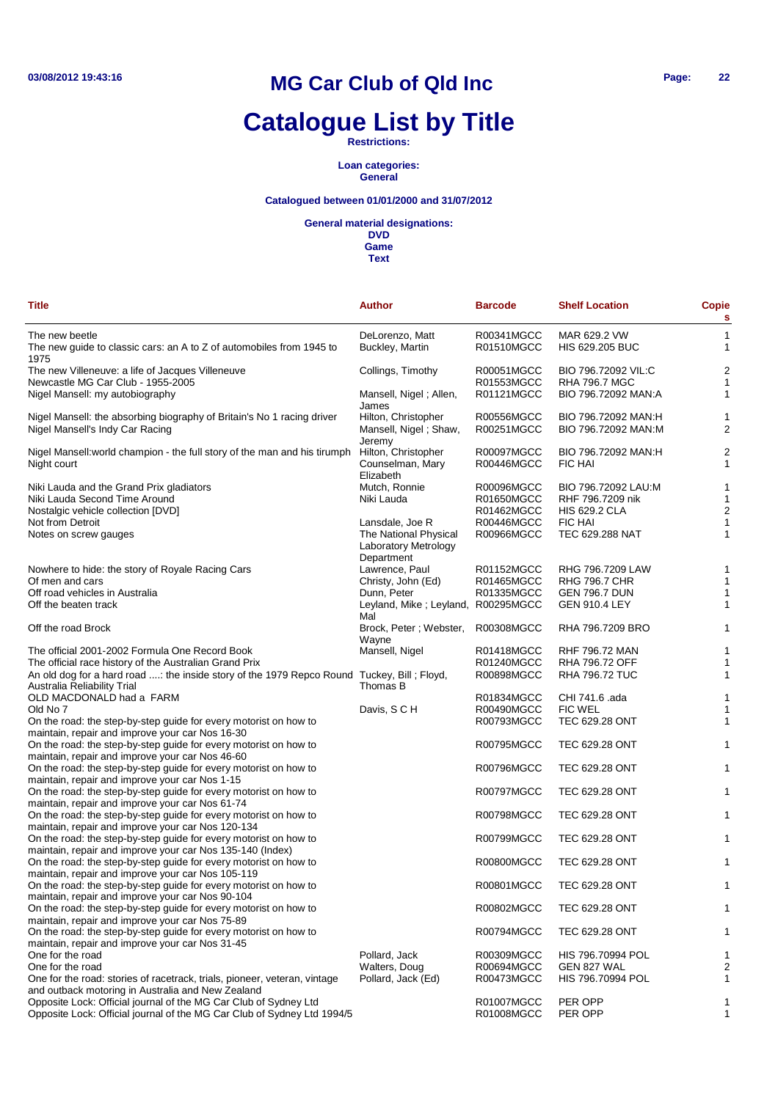# **Catalogue List by Title**

**Restrictions:**

**Loan categories: General**

### **Catalogued between 01/01/2000 and 31/07/2012**

**General material designations:**

**DVD Game**

| <b>Title</b>                                                                                                                  | <b>Author</b>                                 | <b>Barcode</b>           | <b>Shelf Location</b>                        | <b>Copie</b><br>s       |
|-------------------------------------------------------------------------------------------------------------------------------|-----------------------------------------------|--------------------------|----------------------------------------------|-------------------------|
| The new beetle                                                                                                                | DeLorenzo, Matt                               | R00341MGCC               | MAR 629.2 VW                                 | 1                       |
| The new guide to classic cars: an A to Z of automobiles from 1945 to<br>1975                                                  | Buckley, Martin                               | R01510MGCC               | <b>HIS 629.205 BUC</b>                       | 1                       |
| The new Villeneuve: a life of Jacques Villeneuve<br>Newcastle MG Car Club - 1955-2005                                         | Collings, Timothy                             | R00051MGCC<br>R01553MGCC | BIO 796.72092 VIL:C<br><b>RHA 796.7 MGC</b>  | $\overline{c}$<br>1     |
| Nigel Mansell: my autobiography                                                                                               | Mansell, Nigel; Allen,<br>James               | R01121MGCC               | BIO 796.72092 MAN:A                          | 1                       |
| Nigel Mansell: the absorbing biography of Britain's No 1 racing driver                                                        | Hilton, Christopher                           | R00556MGCC               | BIO 796.72092 MAN:H                          | 1                       |
| Nigel Mansell's Indy Car Racing                                                                                               | Mansell, Nigel; Shaw,<br>Jeremy               | R00251MGCC               | BIO 796.72092 MAN:M                          | 2                       |
| Nigel Mansell: world champion - the full story of the man and his tirumph                                                     | Hilton, Christopher                           | R00097MGCC               | BIO 796.72092 MAN:H                          | $\overline{\mathbf{c}}$ |
| Night court                                                                                                                   | Counselman, Mary<br>Elizabeth                 | R00446MGCC               | <b>FIC HAI</b>                               | 1                       |
| Niki Lauda and the Grand Prix gladiators                                                                                      | Mutch, Ronnie                                 | R00096MGCC               | BIO 796.72092 LAU:M                          | 1                       |
| Niki Lauda Second Time Around                                                                                                 | Niki Lauda                                    | R01650MGCC               | RHF 796.7209 nik                             | 1                       |
| Nostalgic vehicle collection [DVD]                                                                                            |                                               | R01462MGCC               | <b>HIS 629.2 CLA</b>                         | $\overline{c}$          |
| Not from Detroit                                                                                                              | Lansdale, Joe R                               | R00446MGCC               | <b>FIC HAI</b>                               | 1                       |
| Notes on screw gauges                                                                                                         | The National Physical<br>Laboratory Metrology | R00966MGCC               | TEC 629.288 NAT                              | 1                       |
|                                                                                                                               | Department                                    |                          |                                              |                         |
| Nowhere to hide: the story of Royale Racing Cars                                                                              | Lawrence, Paul                                | R01152MGCC               | RHG 796.7209 LAW                             | 1                       |
| Of men and cars                                                                                                               | Christy, John (Ed)                            | R01465MGCC               | <b>RHG 796.7 CHR</b>                         | 1                       |
| Off road vehicles in Australia<br>Off the beaten track                                                                        | Dunn, Peter                                   | R01335MGCC               | <b>GEN 796.7 DUN</b><br><b>GEN 910.4 LEY</b> | 1                       |
|                                                                                                                               | Leyland, Mike; Leyland, R00295MGCC<br>Mal     |                          |                                              | 1                       |
| Off the road Brock                                                                                                            | Brock, Peter; Webster,<br>Wayne               | R00308MGCC               | RHA 796.7209 BRO                             | 1                       |
| The official 2001-2002 Formula One Record Book                                                                                | Mansell, Nigel                                | R01418MGCC               | <b>RHF 796.72 MAN</b>                        | 1                       |
| The official race history of the Australian Grand Prix                                                                        |                                               | R01240MGCC               | RHA 796.72 OFF                               | 1                       |
| An old dog for a hard road : the inside story of the 1979 Repco Round Tuckey, Bill; Floyd,<br>Australia Reliability Trial     | Thomas B                                      | R00898MGCC               | <b>RHA 796.72 TUC</b>                        | 1                       |
| OLD MACDONALD had a FARM                                                                                                      |                                               | R01834MGCC               | CHI 741.6 .ada                               | 1                       |
| Old No 7                                                                                                                      | Davis, S C H                                  | R00490MGCC               | <b>FIC WEL</b>                               | 1                       |
| On the road: the step-by-step guide for every motorist on how to                                                              |                                               | R00793MGCC               | TEC 629.28 ONT                               | 1                       |
| maintain, repair and improve your car Nos 16-30<br>On the road: the step-by-step guide for every motorist on how to           |                                               | R00795MGCC               | TEC 629.28 ONT                               | 1                       |
| maintain, repair and improve your car Nos 46-60<br>On the road: the step-by-step guide for every motorist on how to           |                                               | R00796MGCC               | TEC 629.28 ONT                               | 1                       |
| maintain, repair and improve your car Nos 1-15<br>On the road: the step-by-step guide for every motorist on how to            |                                               | R00797MGCC               | TEC 629.28 ONT                               | 1                       |
| maintain, repair and improve your car Nos 61-74                                                                               |                                               |                          |                                              |                         |
| On the road: the step-by-step guide for every motorist on how to<br>maintain, repair and improve your car Nos 120-134         |                                               | R00798MGCC               | TEC 629.28 ONT                               |                         |
| On the road: the step-by-step guide for every motorist on how to<br>maintain, repair and improve your car Nos 135-140 (Index) |                                               | R00799MGCC               | TEC 629.28 ONT                               | 1                       |
| On the road: the step-by-step guide for every motorist on how to<br>maintain, repair and improve your car Nos 105-119         |                                               | R00800MGCC               | TEC 629.28 ONT                               | 1                       |
| On the road: the step-by-step guide for every motorist on how to                                                              |                                               | R00801MGCC               | TEC 629.28 ONT                               |                         |
| maintain, repair and improve your car Nos 90-104<br>On the road: the step-by-step guide for every motorist on how to          |                                               | R00802MGCC               | TEC 629.28 ONT                               |                         |
| maintain, repair and improve your car Nos 75-89<br>On the road: the step-by-step guide for every motorist on how to           |                                               | R00794MGCC               | TEC 629.28 ONT                               | 1                       |
| maintain, repair and improve your car Nos 31-45                                                                               |                                               |                          |                                              |                         |
| One for the road                                                                                                              | Pollard, Jack                                 | R00309MGCC               | HIS 796.70994 POL                            | 1                       |
| One for the road                                                                                                              | Walters, Doug                                 | R00694MGCC               | GEN 827 WAL                                  | 2                       |
| One for the road: stories of racetrack, trials, pioneer, veteran, vintage                                                     | Pollard, Jack (Ed)                            | R00473MGCC               | HIS 796.70994 POL                            | 1                       |
| and outback motoring in Australia and New Zealand                                                                             |                                               |                          |                                              |                         |
| Opposite Lock: Official journal of the MG Car Club of Sydney Ltd                                                              |                                               | R01007MGCC               | PER OPP                                      | 1                       |
| Opposite Lock: Official journal of the MG Car Club of Sydney Ltd 1994/5                                                       |                                               | R01008MGCC               | PER OPP                                      | 1                       |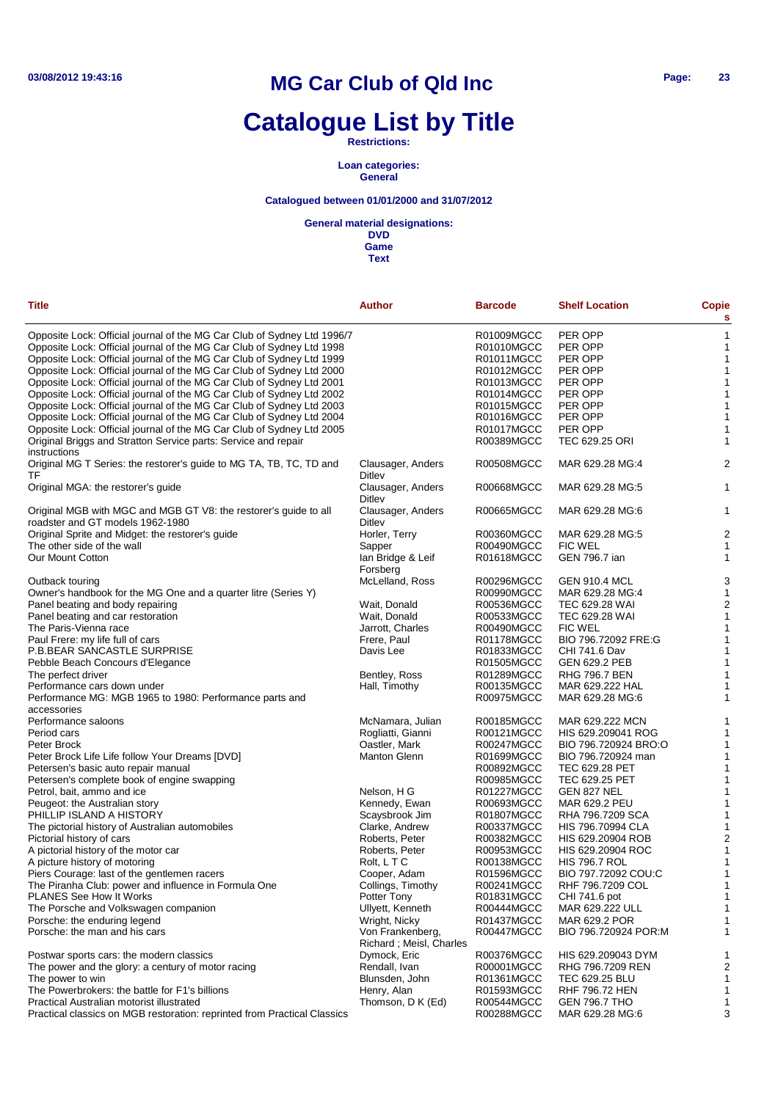# **Catalogue List by Title**

#### **Restrictions:**

#### **Loan categories: General**

### **Catalogued between 01/01/2000 and 31/07/2012**

#### **General material designations:**

**DVD Game**

| Title                                                                                                | <b>Author</b>                                | <b>Barcode</b> | <b>Shelf Location</b> | <b>Copie</b><br>s       |
|------------------------------------------------------------------------------------------------------|----------------------------------------------|----------------|-----------------------|-------------------------|
| Opposite Lock: Official journal of the MG Car Club of Sydney Ltd 1996/7                              |                                              | R01009MGCC     | PER OPP               |                         |
| Opposite Lock: Official journal of the MG Car Club of Sydney Ltd 1998                                |                                              | R01010MGCC     | PER OPP               | 1                       |
| Opposite Lock: Official journal of the MG Car Club of Sydney Ltd 1999                                |                                              | R01011MGCC     | PER OPP               | 1                       |
| Opposite Lock: Official journal of the MG Car Club of Sydney Ltd 2000                                |                                              | R01012MGCC     | PER OPP               | 1                       |
| Opposite Lock: Official journal of the MG Car Club of Sydney Ltd 2001                                |                                              | R01013MGCC     | PER OPP               |                         |
| Opposite Lock: Official journal of the MG Car Club of Sydney Ltd 2002                                |                                              | R01014MGCC     | PER OPP               | 1                       |
| Opposite Lock: Official journal of the MG Car Club of Sydney Ltd 2003                                |                                              | R01015MGCC     | PER OPP               |                         |
| Opposite Lock: Official journal of the MG Car Club of Sydney Ltd 2004                                |                                              | R01016MGCC     | PER OPP               | 1                       |
| Opposite Lock: Official journal of the MG Car Club of Sydney Ltd 2005                                |                                              | R01017MGCC     | PER OPP               | 1                       |
| Original Briggs and Stratton Service parts: Service and repair<br>instructions                       |                                              | R00389MGCC     | TEC 629.25 ORI        | 1                       |
| Original MG T Series: the restorer's guide to MG TA, TB, TC, TD and<br>TF                            | Clausager, Anders<br>Ditley                  | R00508MGCC     | MAR 629.28 MG:4       | 2                       |
| Original MGA: the restorer's guide                                                                   | Clausager, Anders<br>Ditley                  | R00668MGCC     | MAR 629.28 MG:5       | 1                       |
| Original MGB with MGC and MGB GT V8: the restorer's guide to all<br>roadster and GT models 1962-1980 | Clausager, Anders<br>Ditley                  | R00665MGCC     | MAR 629.28 MG:6       | 1                       |
| Original Sprite and Midget: the restorer's guide                                                     | Horler, Terry                                | R00360MGCC     | MAR 629.28 MG:5       | $\overline{c}$          |
| The other side of the wall                                                                           | Sapper                                       | R00490MGCC     | <b>FIC WEL</b>        | 1                       |
| Our Mount Cotton                                                                                     | lan Bridge & Leif<br>Forsberg                | R01618MGCC     | <b>GEN 796.7 ian</b>  | 1                       |
| Outback touring                                                                                      | McLelland, Ross                              | R00296MGCC     | <b>GEN 910.4 MCL</b>  | 3                       |
| Owner's handbook for the MG One and a quarter litre (Series Y)                                       |                                              | R00990MGCC     | MAR 629.28 MG:4       | 1                       |
| Panel beating and body repairing                                                                     | Wait, Donald                                 | R00536MGCC     | <b>TEC 629.28 WAI</b> | $\overline{\mathbf{c}}$ |
| Panel beating and car restoration                                                                    | Wait, Donald                                 | R00533MGCC     | TEC 629.28 WAI        | 1                       |
| The Paris-Vienna race                                                                                | Jarrott, Charles                             | R00490MGCC     | <b>FIC WEL</b>        | 1                       |
| Paul Frere: my life full of cars                                                                     | Frere, Paul                                  | R01178MGCC     | BIO 796.72092 FRE:G   |                         |
| P.B.BEAR SANCASTLE SURPRISE                                                                          | Davis Lee                                    | R01833MGCC     | CHI 741.6 Dav         | 1                       |
| Pebble Beach Concours d'Elegance                                                                     |                                              | R01505MGCC     | <b>GEN 629.2 PEB</b>  | 1                       |
| The perfect driver                                                                                   | Bentley, Ross                                | R01289MGCC     | <b>RHG 796.7 BEN</b>  | 1                       |
| Performance cars down under                                                                          | Hall, Timothy                                | R00135MGCC     | MAR 629.222 HAL       |                         |
| Performance MG: MGB 1965 to 1980: Performance parts and                                              |                                              | R00975MGCC     | MAR 629.28 MG:6       | 1                       |
| accessories                                                                                          |                                              |                |                       |                         |
| Performance saloons                                                                                  | McNamara, Julian                             | R00185MGCC     | MAR 629.222 MCN       |                         |
| Period cars                                                                                          | Rogliatti, Gianni                            | R00121MGCC     | HIS 629.209041 ROG    |                         |
| Peter Brock                                                                                          | Oastler, Mark                                | R00247MGCC     | BIO 796.720924 BRO:O  | 1                       |
| Peter Brock Life Life follow Your Dreams [DVD]                                                       | <b>Manton Glenn</b>                          | R01699MGCC     | BIO 796.720924 man    |                         |
| Petersen's basic auto repair manual                                                                  |                                              | R00892MGCC     | TEC 629.28 PET        | 1                       |
| Petersen's complete book of engine swapping                                                          |                                              | R00985MGCC     | TEC 629.25 PET        |                         |
| Petrol, bait, ammo and ice                                                                           | Nelson, H G                                  | R01227MGCC     | GEN 827 NEL           | 1                       |
| Peugeot: the Australian story                                                                        | Kennedy, Ewan                                | R00693MGCC     | MAR 629.2 PEU         | 1                       |
| PHILLIP ISLAND A HISTORY                                                                             | Scaysbrook Jim                               | R01807MGCC     | RHA 796.7209 SCA      | 1                       |
| The pictorial history of Australian automobiles                                                      | Clarke, Andrew                               | R00337MGCC     | HIS 796.70994 CLA     | 1                       |
| Pictorial history of cars                                                                            | Roberts, Peter                               | R00382MGCC     | HIS 629.20904 ROB     | 2                       |
| A pictorial history of the motor car                                                                 | Roberts, Peter                               | R00953MGCC     | HIS 629.20904 ROC     | 1                       |
|                                                                                                      |                                              |                |                       |                         |
| A picture history of motoring                                                                        | Rolt, LTC                                    | R00138MGCC     | <b>HIS 796.7 ROL</b>  |                         |
| Piers Courage: last of the gentlemen racers                                                          | Cooper, Adam                                 | R01596MGCC     | BIO 797.72092 COU:C   | 1                       |
| The Piranha Club: power and influence in Formula One                                                 | Collings, Timothy                            | R00241MGCC     | RHF 796.7209 COL      |                         |
| PLANES See How It Works                                                                              | Potter Tony                                  | R01831MGCC     | CHI 741.6 pot         | 1                       |
| The Porsche and Volkswagen companion                                                                 | Ullyett, Kenneth                             | R00444MGCC     | MAR 629.222 ULL       | 1                       |
| Porsche: the enduring legend                                                                         | Wright, Nicky                                | R01437MGCC     | MAR 629.2 POR         | 1                       |
| Porsche: the man and his cars                                                                        | Von Frankenberg,<br>Richard ; Meisl, Charles | R00447MGCC     | BIO 796.720924 POR:M  | 1                       |
| Postwar sports cars: the modern classics                                                             | Dymock, Eric                                 | R00376MGCC     | HIS 629.209043 DYM    | 1                       |
| The power and the glory: a century of motor racing                                                   | Rendall, Ivan                                | R00001MGCC     | RHG 796.7209 REN      | $\overline{c}$          |
| The power to win                                                                                     | Blunsden, John                               | R01361MGCC     | TEC 629.25 BLU        | 1                       |
| The Powerbrokers: the battle for F1's billions                                                       | Henry, Alan                                  | R01593MGCC     | <b>RHF 796.72 HEN</b> | 1                       |
| Practical Australian motorist illustrated                                                            | Thomson, D K (Ed)                            | R00544MGCC     | <b>GEN 796.7 THO</b>  | 1                       |
| Practical classics on MGB restoration: reprinted from Practical Classics                             |                                              | R00288MGCC     | MAR 629.28 MG:6       | 3                       |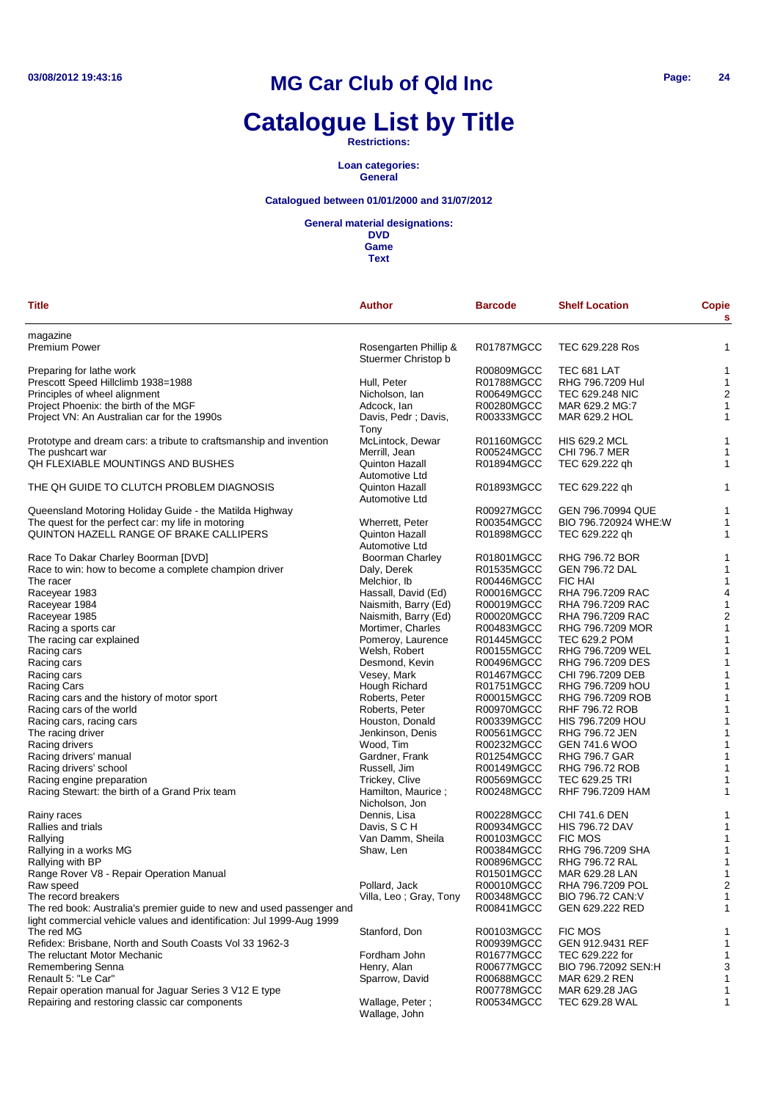# **Catalogue List by Title**

**Restrictions:**

**Loan categories: General**

### **Catalogued between 01/01/2000 and 31/07/2012**

**General material designations:**

**DVD Game**

| Title                                                                                                                                          | <b>Author</b>                                | <b>Barcode</b>    | <b>Shelf Location</b> | <b>Copie</b><br>s       |
|------------------------------------------------------------------------------------------------------------------------------------------------|----------------------------------------------|-------------------|-----------------------|-------------------------|
| magazine                                                                                                                                       |                                              |                   |                       |                         |
| Premium Power                                                                                                                                  | Rosengarten Phillip &<br>Stuermer Christop b | R01787MGCC        | TEC 629.228 Ros       | 1                       |
| Preparing for lathe work                                                                                                                       |                                              | R00809MGCC        | TEC 681 LAT           | 1                       |
| Prescott Speed Hillclimb 1938=1988                                                                                                             | Hull, Peter                                  | R01788MGCC        | RHG 796.7209 Hul      | 1                       |
| Principles of wheel alignment                                                                                                                  | Nicholson, Ian                               | R00649MGCC        | TEC 629.248 NIC       | $\overline{a}$          |
| Project Phoenix: the birth of the MGF                                                                                                          | Adcock, lan                                  | R00280MGCC        | MAR 629.2 MG:7        | 1                       |
| Project VN: An Australian car for the 1990s                                                                                                    | Davis, Pedr; Davis,<br>Tony                  | R00333MGCC        | MAR 629.2 HOL         | 1                       |
| Prototype and dream cars: a tribute to craftsmanship and invention                                                                             | McLintock, Dewar                             | R01160MGCC        | <b>HIS 629.2 MCL</b>  | 1                       |
| The pushcart war                                                                                                                               | Merrill, Jean                                | R00524MGCC        | <b>CHI 796.7 MER</b>  | 1                       |
| QH FLEXIABLE MOUNTINGS AND BUSHES                                                                                                              | Quinton Hazall<br>Automotive Ltd             | R01894MGCC        | TEC 629.222 qh        | 1                       |
| THE QH GUIDE TO CLUTCH PROBLEM DIAGNOSIS                                                                                                       | Quinton Hazall<br>Automotive Ltd             | R01893MGCC        | TEC 629.222 qh        | 1                       |
| Queensland Motoring Holiday Guide - the Matilda Highway                                                                                        |                                              | R00927MGCC        | GEN 796.70994 QUE     | 1                       |
| The quest for the perfect car: my life in motoring                                                                                             | Wherrett, Peter                              | R00354MGCC        | BIO 796.720924 WHE:W  | 1                       |
| QUINTON HAZELL RANGE OF BRAKE CALLIPERS                                                                                                        | <b>Quinton Hazall</b>                        | R01898MGCC        | TEC 629.222 qh        | 1                       |
|                                                                                                                                                | <b>Automotive Ltd</b>                        |                   |                       |                         |
| Race To Dakar Charley Boorman [DVD]                                                                                                            | <b>Boorman Charley</b>                       | R01801MGCC        | RHG 796.72 BOR        | 1                       |
| Race to win: how to become a complete champion driver                                                                                          | Daly, Derek                                  | R01535MGCC        | <b>GEN 796.72 DAL</b> | 1                       |
| The racer                                                                                                                                      | Melchior, Ib                                 | R00446MGCC        | <b>FIC HAI</b>        | 1                       |
| Raceyear 1983                                                                                                                                  | Hassall, David (Ed)                          | R00016MGCC        | RHA 796.7209 RAC      | 4                       |
| Raceyear 1984                                                                                                                                  | Naismith, Barry (Ed)                         | R00019MGCC        | RHA 796.7209 RAC      | 1                       |
| Raceyear 1985                                                                                                                                  | Naismith, Barry (Ed)                         | R00020MGCC        | RHA 796.7209 RAC      | $\overline{\mathbf{c}}$ |
| Racing a sports car                                                                                                                            | Mortimer, Charles                            | R00483MGCC        | RHG 796.7209 MOR      | 1                       |
| The racing car explained                                                                                                                       | Pomeroy, Laurence                            | R01445MGCC        | TEC 629.2 POM         | 1                       |
| Racing cars                                                                                                                                    | Welsh, Robert                                | R00155MGCC        | RHG 796.7209 WEL      | 1                       |
| Racing cars                                                                                                                                    | Desmond, Kevin                               | R00496MGCC        | RHG 796.7209 DES      | 1                       |
| Racing cars                                                                                                                                    | Vesey, Mark                                  | <b>R01467MGCC</b> | CHI 796.7209 DEB      | 1                       |
| Racing Cars                                                                                                                                    | Hough Richard                                | R01751MGCC        | RHG 796.7209 hOU      | 1                       |
| Racing cars and the history of motor sport                                                                                                     | Roberts, Peter                               | R00015MGCC        | RHG 796.7209 ROB      | 1                       |
| Racing cars of the world                                                                                                                       | Roberts, Peter                               | R00970MGCC        | RHF 796.72 ROB        | 1                       |
| Racing cars, racing cars                                                                                                                       | Houston, Donald                              | R00339MGCC        | HIS 796.7209 HOU      | 1                       |
| The racing driver                                                                                                                              | Jenkinson, Denis                             | R00561MGCC        | RHG 796.72 JEN        | 1                       |
| Racing drivers                                                                                                                                 | Wood, Tim                                    | R00232MGCC        | GEN 741.6 WOO         | 1                       |
| Racing drivers' manual                                                                                                                         | Gardner, Frank                               | R01254MGCC        | RHG 796.7 GAR         | 1                       |
| Racing drivers' school                                                                                                                         | Russell, Jim                                 | R00149MGCC        | RHG 796.72 ROB        | 1                       |
| Racing engine preparation                                                                                                                      | Trickey, Clive                               | R00569MGCC        | TEC 629.25 TRI        | 1                       |
| Racing Stewart: the birth of a Grand Prix team                                                                                                 | Hamilton, Maurice;<br>Nicholson, Jon         | R00248MGCC        | RHF 796.7209 HAM      | 1                       |
| Rainy races                                                                                                                                    | Dennis, Lisa                                 | R00228MGCC        | CHI 741.6 DEN         | 1                       |
| Rallies and trials                                                                                                                             | Davis, S C H                                 | R00934MGCC        | <b>HIS 796.72 DAV</b> | 1                       |
| Rallying                                                                                                                                       | Van Damm, Sheila                             | R00103MGCC        | <b>FIC MOS</b>        | 1                       |
| Rallying in a works MG                                                                                                                         | Shaw, Len                                    | R00384MGCC        | RHG 796.7209 SHA      | 1                       |
| Rallying with BP                                                                                                                               |                                              | R00896MGCC        | RHG 796.72 RAL        | 1                       |
| Range Rover V8 - Repair Operation Manual                                                                                                       |                                              | R01501MGCC        | MAR 629.28 LAN        | 1                       |
| Raw speed                                                                                                                                      | Pollard, Jack                                | R00010MGCC        | RHA 796.7209 POL      | 2                       |
| The record breakers                                                                                                                            | Villa, Leo; Gray, Tony                       | R00348MGCC        | BIO 796.72 CAN:V      | 1                       |
| The red book: Australia's premier guide to new and used passenger and<br>light commercial vehicle values and identification: Jul 1999-Aug 1999 |                                              | R00841MGCC        | GEN 629.222 RED       | 1                       |
| The red MG                                                                                                                                     | Stanford, Don                                | R00103MGCC        | FIC MOS               | 1                       |
| Refidex: Brisbane, North and South Coasts Vol 33 1962-3                                                                                        |                                              | R00939MGCC        | GEN 912.9431 REF      | 1                       |
| The reluctant Motor Mechanic                                                                                                                   | Fordham John                                 | R01677MGCC        | TEC 629.222 for       | 1                       |
| Remembering Senna                                                                                                                              | Henry, Alan                                  | R00677MGCC        | BIO 796.72092 SEN:H   | 3                       |
| Renault 5: "Le Car"                                                                                                                            | Sparrow, David                               | R00688MGCC        | MAR 629.2 REN         | 1                       |
| Repair operation manual for Jaguar Series 3 V12 E type                                                                                         |                                              | R00778MGCC        | MAR 629.28 JAG        | 1                       |
| Repairing and restoring classic car components                                                                                                 | Wallage, Peter;<br>Wallage, John             | R00534MGCC        | TEC 629.28 WAL        | 1                       |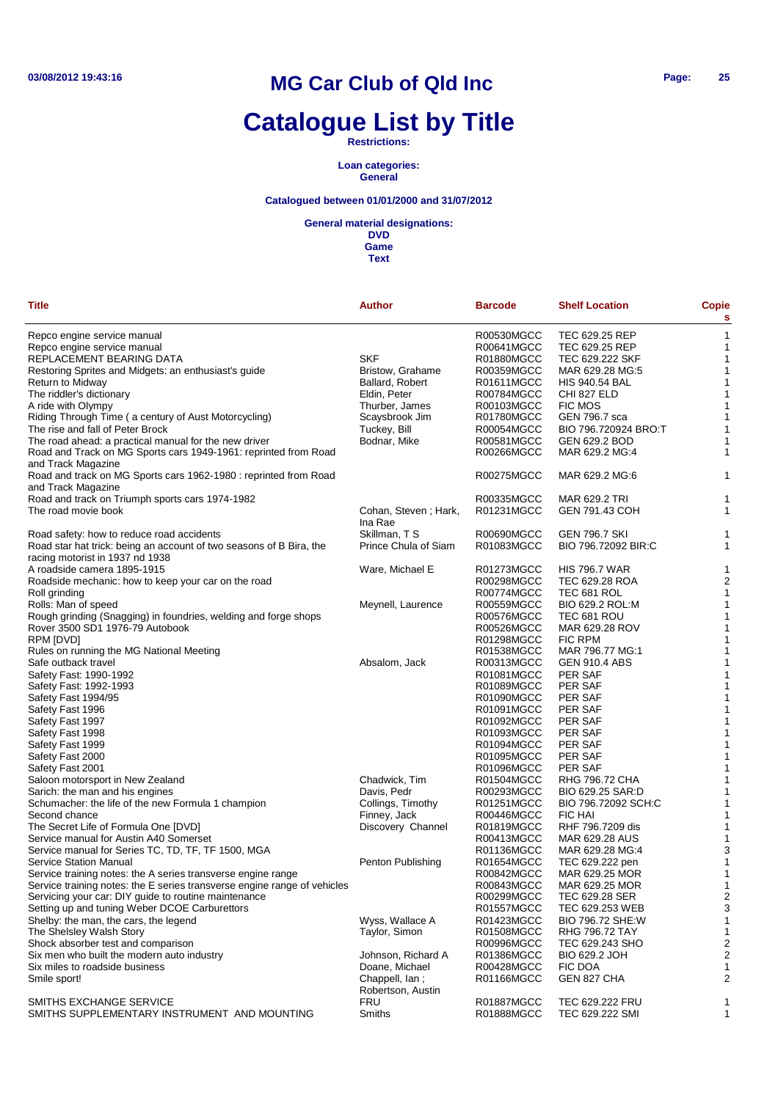# **Catalogue List by Title**

**Restrictions:**

**Loan categories: General**

### **Catalogued between 01/01/2000 and 31/07/2012**

#### **General material designations:**

| <b>Title</b>                                                             | <b>Author</b>        | <b>Barcode</b>           | <b>Shelf Location</b> | <b>Copie</b><br>s |
|--------------------------------------------------------------------------|----------------------|--------------------------|-----------------------|-------------------|
| Repco engine service manual                                              |                      | R00530MGCC               | TEC 629.25 REP        | $\mathbf{1}$      |
| Repco engine service manual                                              |                      | R00641MGCC               | TEC 629.25 REP        | 1                 |
| REPLACEMENT BEARING DATA                                                 | <b>SKF</b>           | R01880MGCC               | TEC 629.222 SKF       | 1                 |
| Restoring Sprites and Midgets: an enthusiast's guide                     | Bristow, Grahame     | R00359MGCC               | MAR 629.28 MG:5       | 1                 |
| Return to Midway                                                         | Ballard, Robert      | R01611MGCC               | <b>HIS 940.54 BAL</b> | 1                 |
| The riddler's dictionary                                                 | Eldin, Peter         | R00784MGCC               | CHI 827 ELD           | 1                 |
| A ride with Olympy                                                       | Thurber, James       | R00103MGCC               | <b>FIC MOS</b>        | 1                 |
| Riding Through Time (a century of Aust Motorcycling)                     | Scaysbrook Jim       | R01780MGCC               | GEN 796.7 sca         | 1                 |
| The rise and fall of Peter Brock                                         | Tuckey, Bill         | R00054MGCC               | BIO 796.720924 BRO:T  | 1                 |
| The road ahead: a practical manual for the new driver                    | Bodnar, Mike         | R00581MGCC               | GEN 629.2 BOD         | 1                 |
| Road and Track on MG Sports cars 1949-1961: reprinted from Road          |                      | R00266MGCC               | MAR 629.2 MG:4        | 1                 |
| and Track Magazine                                                       |                      |                          |                       |                   |
| Road and track on MG Sports cars 1962-1980 : reprinted from Road         |                      | R00275MGCC               | MAR 629.2 MG:6        | 1                 |
| and Track Magazine                                                       |                      |                          |                       |                   |
| Road and track on Triumph sports cars 1974-1982                          |                      | R00335MGCC               | MAR 629.2 TRI         | 1                 |
| The road movie book                                                      | Cohan, Steven; Hark, | R01231MGCC               | GEN 791.43 COH        | 1                 |
|                                                                          | Ina Rae              |                          |                       |                   |
| Road safety: how to reduce road accidents                                | Skillman, T S        | R00690MGCC               | <b>GEN 796.7 SKI</b>  | 1                 |
| Road star hat trick: being an account of two seasons of B Bira, the      | Prince Chula of Siam | R01083MGCC               | BIO 796.72092 BIR:C   | 1                 |
| racing motorist in 1937 nd 1938                                          |                      |                          |                       |                   |
| A roadside camera 1895-1915                                              | Ware, Michael E      | R01273MGCC               | <b>HIS 796.7 WAR</b>  | 1                 |
| Roadside mechanic: how to keep your car on the road                      |                      | R00298MGCC               | TEC 629.28 ROA        | 2                 |
| Roll grinding                                                            |                      | R00774MGCC               | TEC 681 ROL           | 1                 |
| Rolls: Man of speed                                                      | Meynell, Laurence    | R00559MGCC               | BIO 629.2 ROL:M       | 1                 |
| Rough grinding (Snagging) in foundries, welding and forge shops          |                      | R00576MGCC               | TEC 681 ROU           | 1                 |
| Rover 3500 SD1 1976-79 Autobook                                          |                      | R00526MGCC               | MAR 629.28 ROV        | 1                 |
| RPM [DVD]                                                                |                      | R01298MGCC               | <b>FIC RPM</b>        | 1                 |
| Rules on running the MG National Meeting                                 |                      | R01538MGCC               | MAR 796.77 MG:1       | 1                 |
| Safe outback travel                                                      | Absalom, Jack        | R00313MGCC               | <b>GEN 910.4 ABS</b>  | 1                 |
| Safety Fast: 1990-1992                                                   |                      | R01081MGCC               | <b>PER SAF</b>        | 1                 |
| Safety Fast: 1992-1993                                                   |                      | R01089MGCC               | <b>PER SAF</b>        | 1                 |
| Safety Fast 1994/95                                                      |                      | R01090MGCC               | <b>PER SAF</b>        | 1                 |
| Safety Fast 1996                                                         |                      | R01091MGCC               | PER SAF               | 1                 |
| Safety Fast 1997                                                         |                      | R01092MGCC               | <b>PER SAF</b>        | 1                 |
| Safety Fast 1998                                                         |                      | R01093MGCC               | PER SAF               | 1                 |
| Safety Fast 1999                                                         |                      | R01094MGCC<br>R01095MGCC | PER SAF<br>PER SAF    | 1<br>1            |
| Safety Fast 2000                                                         |                      | R01096MGCC               | PER SAF               | 1                 |
| Safety Fast 2001<br>Saloon motorsport in New Zealand                     | Chadwick, Tim        | R01504MGCC               | RHG 796.72 CHA        | 1                 |
| Sarich: the man and his engines                                          | Davis, Pedr          | R00293MGCC               | BIO 629.25 SAR:D      | 1                 |
| Schumacher: the life of the new Formula 1 champion                       | Collings, Timothy    | R01251MGCC               | BIO 796.72092 SCH:C   | 1                 |
| Second chance                                                            | Finney, Jack         | R00446MGCC               | <b>FIC HAI</b>        | 1                 |
| The Secret Life of Formula One [DVD]                                     | Discovery Channel    | R01819MGCC               | RHF 796.7209 dis      | 1                 |
| Service manual for Austin A40 Somerset                                   |                      | R00413MGCC               | MAR 629.28 AUS        | 1                 |
| Service manual for Series TC, TD, TF, TF 1500, MGA                       |                      | R01136MGCC               | MAR 629.28 MG:4       | 3                 |
| <b>Service Station Manual</b>                                            | Penton Publishing    | R01654MGCC               | TEC 629.222 pen       | 1                 |
| Service training notes: the A series transverse engine range             |                      | R00842MGCC               | MAR 629.25 MOR        | 1                 |
| Service training notes: the E series transverse engine range of vehicles |                      | R00843MGCC               | MAR 629.25 MOR        | 1                 |
| Servicing your car: DIY guide to routine maintenance                     |                      | R00299MGCC               | TEC 629.28 SER        | $\overline{c}$    |
| Setting up and tuning Weber DCOE Carburettors                            |                      | R01557MGCC               | TEC 629.253 WEB       | 3                 |
| Shelby: the man, the cars, the legend                                    | Wyss, Wallace A      | R01423MGCC               | BIO 796.72 SHE:W      | 1                 |
| The Shelsley Walsh Story                                                 | Taylor, Simon        | R01508MGCC               | RHG 796.72 TAY        | 1                 |
| Shock absorber test and comparison                                       |                      | R00996MGCC               | TEC 629.243 SHO       | 2                 |
| Six men who built the modern auto industry                               | Johnson, Richard A   | R01386MGCC               | BIO 629.2 JOH         | 2                 |
| Six miles to roadside business                                           | Doane, Michael       | R00428MGCC               | FIC DOA               | 1                 |
| Smile sport!                                                             | Chappell, lan;       | R01166MGCC               | GEN 827 CHA           | 2                 |
|                                                                          | Robertson, Austin    |                          |                       |                   |
| SMITHS EXCHANGE SERVICE                                                  | FRU                  | R01887MGCC               | TEC 629.222 FRU       | 1                 |
| SMITHS SUPPLEMENTARY INSTRUMENT AND MOUNTING                             | Smiths               | R01888MGCC               | TEC 629.222 SMI       | 1                 |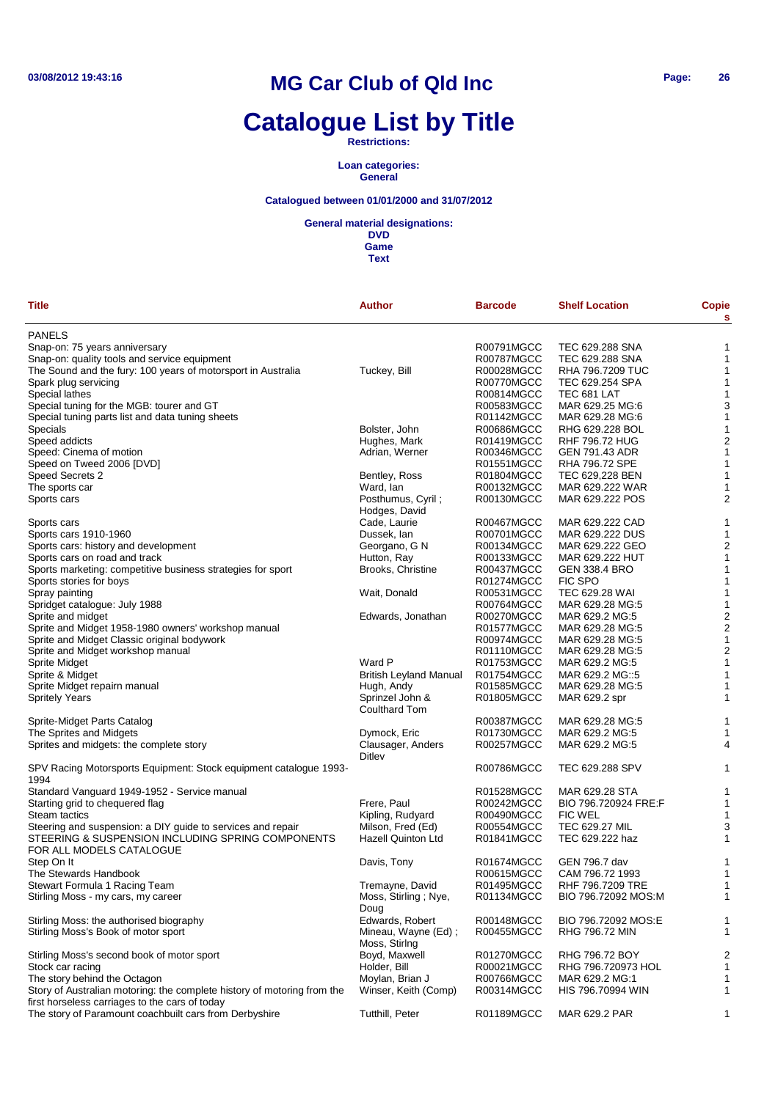# **Catalogue List by Title**

**Restrictions:**

**Loan categories: General**

### **Catalogued between 01/01/2000 and 31/07/2012**

**General material designations:**

**DVD Game**

| Title                                                                   | <b>Author</b>                        | <b>Barcode</b> | <b>Shelf Location</b> | Copie<br>s              |
|-------------------------------------------------------------------------|--------------------------------------|----------------|-----------------------|-------------------------|
| <b>PANELS</b>                                                           |                                      |                |                       |                         |
| Snap-on: 75 years anniversary                                           |                                      | R00791MGCC     | TEC 629.288 SNA       | 1                       |
| Snap-on: quality tools and service equipment                            |                                      | R00787MGCC     | TEC 629.288 SNA       | 1                       |
| The Sound and the fury: 100 years of motorsport in Australia            | Tuckey, Bill                         | R00028MGCC     | RHA 796.7209 TUC      | 1                       |
| Spark plug servicing                                                    |                                      | R00770MGCC     | TEC 629.254 SPA       | 1                       |
| Special lathes                                                          |                                      | R00814MGCC     | TEC 681 LAT           | 1                       |
| Special tuning for the MGB: tourer and GT                               |                                      | R00583MGCC     | MAR 629.25 MG:6       | 3                       |
| Special tuning parts list and data tuning sheets                        |                                      | R01142MGCC     | MAR 629.28 MG:6       | $\mathbf{1}$            |
| Specials                                                                | Bolster, John                        | R00686MGCC     | RHG 629.228 BOL       | 1                       |
| Speed addicts                                                           | Hughes, Mark                         |                | <b>RHF 796.72 HUG</b> | $\overline{\mathbf{c}}$ |
|                                                                         |                                      | R01419MGCC     |                       |                         |
| Speed: Cinema of motion                                                 | Adrian, Werner                       | R00346MGCC     | GEN 791.43 ADR        | $\mathbf{1}$            |
| Speed on Tweed 2006 [DVD]                                               |                                      | R01551MGCC     | RHA 796.72 SPE        | $\mathbf{1}$            |
| Speed Secrets 2                                                         | Bentley, Ross                        | R01804MGCC     | TEC 629,228 BEN       | 1                       |
| The sports car                                                          | Ward, lan                            | R00132MGCC     | MAR 629.222 WAR       | 1                       |
| Sports cars                                                             | Posthumus, Cyril;                    | R00130MGCC     | MAR 629.222 POS       | $\overline{c}$          |
|                                                                         | Hodges, David                        |                |                       |                         |
| Sports cars                                                             | Cade, Laurie                         | R00467MGCC     | MAR 629.222 CAD       | 1                       |
| Sports cars 1910-1960                                                   | Dussek, lan                          | R00701MGCC     | MAR 629.222 DUS       | $\mathbf{1}$            |
| Sports cars: history and development                                    | Georgano, G N                        | R00134MGCC     | MAR 629.222 GEO       | 2                       |
| Sports cars on road and track                                           | Hutton, Ray                          | R00133MGCC     | MAR 629.222 HUT       | $\mathbf{1}$            |
| Sports marketing: competitive business strategies for sport             | Brooks, Christine                    | R00437MGCC     | <b>GEN 338.4 BRO</b>  | 1                       |
| Sports stories for boys                                                 |                                      | R01274MGCC     | FIC SPO               | $\mathbf{1}$            |
| Spray painting                                                          | Wait, Donald                         | R00531MGCC     | TEC 629.28 WAI        | $\mathbf{1}$            |
| Spridget catalogue: July 1988                                           |                                      | R00764MGCC     | MAR 629.28 MG:5       | $\mathbf{1}$            |
| Sprite and midget                                                       | Edwards, Jonathan                    | R00270MGCC     | MAR 629.2 MG:5        | $\overline{\mathbf{c}}$ |
| Sprite and Midget 1958-1980 owners' workshop manual                     |                                      | R01577MGCC     | MAR 629.28 MG:5       | $\boldsymbol{2}$        |
|                                                                         |                                      | R00974MGCC     | MAR 629.28 MG:5       | $\mathbf{1}$            |
| Sprite and Midget Classic original bodywork                             |                                      |                |                       |                         |
| Sprite and Midget workshop manual                                       |                                      | R01110MGCC     | MAR 629.28 MG:5       | $\boldsymbol{2}$        |
| Sprite Midget                                                           | Ward P                               | R01753MGCC     | MAR 629.2 MG:5        | 1                       |
| Sprite & Midget                                                         | <b>British Leyland Manual</b>        | R01754MGCC     | MAR 629.2 MG::5       | $\mathbf{1}$            |
| Sprite Midget repairn manual                                            | Hugh, Andy                           | R01585MGCC     | MAR 629.28 MG:5       | 1                       |
| <b>Spritely Years</b>                                                   | Sprinzel John &<br>Coulthard Tom     | R01805MGCC     | MAR 629.2 spr         | 1                       |
| Sprite-Midget Parts Catalog                                             |                                      | R00387MGCC     | MAR 629.28 MG:5       | 1                       |
| The Sprites and Midgets                                                 | Dymock, Eric                         | R01730MGCC     | MAR 629.2 MG:5        | 1                       |
| Sprites and midgets: the complete story                                 | Clausager, Anders<br>Ditley          | R00257MGCC     | MAR 629.2 MG:5        | 4                       |
| SPV Racing Motorsports Equipment: Stock equipment catalogue 1993-       |                                      | R00786MGCC     | TEC 629.288 SPV       | 1                       |
| 1994                                                                    |                                      |                |                       |                         |
| Standard Vanguard 1949-1952 - Service manual                            |                                      | R01528MGCC     | MAR 629.28 STA        | 1                       |
| Starting grid to chequered flag                                         | Frere, Paul                          | R00242MGCC     | BIO 796.720924 FRE:F  | $\mathbf{1}$            |
| Steam tactics                                                           | Kipling, Rudyard                     | R00490MGCC     | <b>FIC WEL</b>        | -1                      |
| Steering and suspension: a DIY guide to services and repair             | Milson, Fred (Ed)                    | R00554MGCC     | TEC 629.27 MIL        | 3                       |
| STEERING & SUSPENSION INCLUDING SPRING COMPONENTS                       | <b>Hazell Quinton Ltd</b>            | R01841MGCC     | TEC 629.222 haz       | 1                       |
| FOR ALL MODELS CATALOGUE                                                |                                      |                |                       |                         |
| Step On It                                                              | Davis, Tony                          | R01674MGCC     | GEN 796.7 day         | 1                       |
| The Stewards Handbook                                                   |                                      | R00615MGCC     | CAM 796.72 1993       | 1                       |
| Stewart Formula 1 Racing Team                                           | Tremayne, David                      | R01495MGCC     | RHF 796.7209 TRE      | 1                       |
| Stirling Moss - my cars, my career                                      |                                      |                |                       |                         |
|                                                                         | Moss, Stirling; Nye,<br>Doug         | R01134MGCC     | BIO 796.72092 MOS:M   | 1                       |
| Stirling Moss: the authorised biography                                 | Edwards, Robert                      | R00148MGCC     | BIO 796.72092 MOS:E   | 1                       |
| Stirling Moss's Book of motor sport                                     | Mineau, Wayne (Ed);<br>Moss, Stiring | R00455MGCC     | RHG 796.72 MIN        | 1                       |
| Stirling Moss's second book of motor sport                              | Boyd, Maxwell                        | R01270MGCC     | RHG 796.72 BOY        | 2                       |
| Stock car racing                                                        | Holder, Bill                         | R00021MGCC     | RHG 796.720973 HOL    | 1                       |
| The story behind the Octagon                                            | Moylan, Brian J                      | R00766MGCC     | MAR 629.2 MG:1        | $\mathbf{1}$            |
| Story of Australian motoring: the complete history of motoring from the | Winser, Keith (Comp)                 | R00314MGCC     | HIS 796.70994 WIN     | $\mathbf{1}$            |
| first horseless carriages to the cars of today                          |                                      |                |                       |                         |
| The story of Paramount coachbuilt cars from Derbyshire                  | Tutthill, Peter                      | R01189MGCC     | MAR 629.2 PAR         | $\mathbf{1}$            |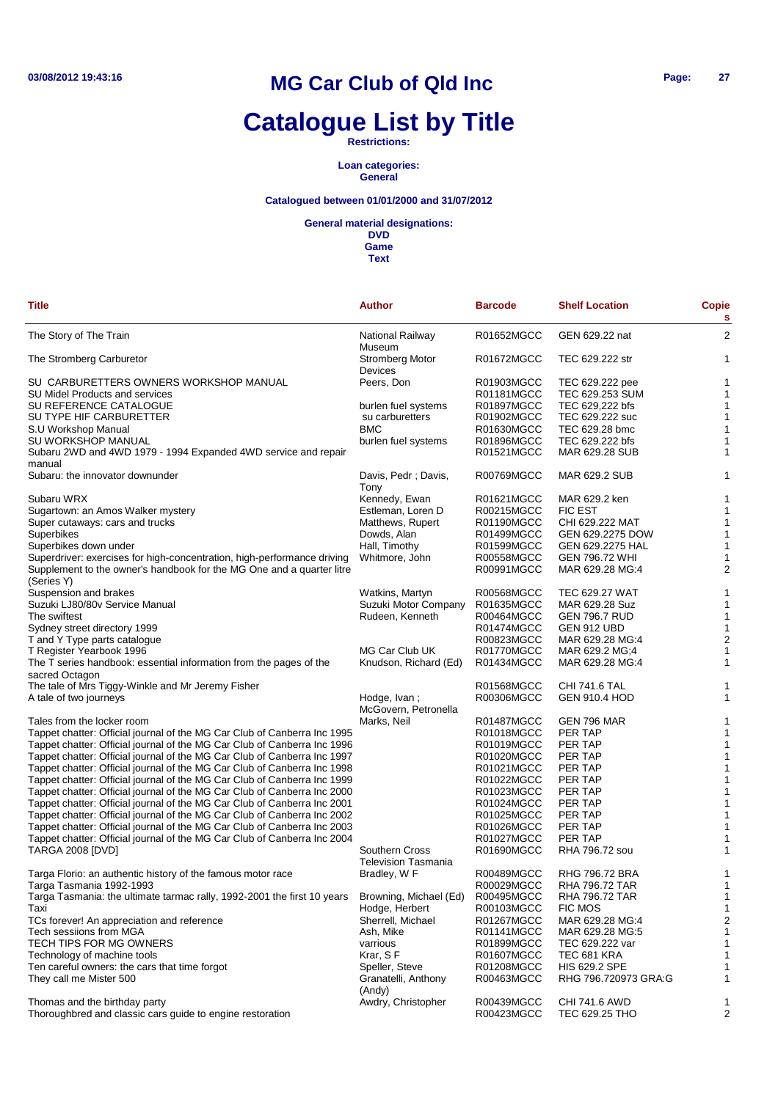# **Catalogue List by Title**

**Restrictions:**

**Loan categories: General**

### **Catalogued between 01/01/2000 and 31/07/2012**

**General material designations:**

**DVD Game**

| Title                                                                                      | Author                                       | <b>Barcode</b>           | <b>Shelf Location</b>           | <b>Copie</b><br>s       |
|--------------------------------------------------------------------------------------------|----------------------------------------------|--------------------------|---------------------------------|-------------------------|
| The Story of The Train                                                                     | National Railway<br>Museum                   | R01652MGCC               | GEN 629.22 nat                  | $\overline{2}$          |
| The Stromberg Carburetor                                                                   | <b>Stromberg Motor</b><br>Devices            | R01672MGCC               | TEC 629.222 str                 | 1                       |
| SU CARBURETTERS OWNERS WORKSHOP MANUAL                                                     | Peers, Don                                   | R01903MGCC               | TEC 629.222 pee                 | 1                       |
| SU Midel Products and services                                                             |                                              | R01181MGCC               | TEC 629.253 SUM                 | 1                       |
| SU REFERENCE CATALOGUE                                                                     | burlen fuel systems                          | R01897MGCC               | TEC 629,222 bfs                 | 1                       |
| SU TYPE HIF CARBURETTER                                                                    | su carburetters                              | R01902MGCC               | TEC 629.222 suc                 | 1                       |
| S.U Workshop Manual                                                                        | BMC                                          | R01630MGCC               | TEC 629.28 bmc                  | 1                       |
| SU WORKSHOP MANUAL                                                                         | burlen fuel systems                          | R01896MGCC               | TEC 629.222 bfs                 | 1                       |
| Subaru 2WD and 4WD 1979 - 1994 Expanded 4WD service and repair<br>manual                   |                                              | R01521MGCC               | MAR 629.28 SUB                  | 1                       |
| Subaru: the innovator downunder                                                            | Davis, Pedr; Davis,<br>Tony                  | R00769MGCC               | <b>MAR 629.2 SUB</b>            | 1                       |
| Subaru WRX                                                                                 | Kennedy, Ewan                                | R01621MGCC               | MAR 629.2 ken                   | 1                       |
| Sugartown: an Amos Walker mystery                                                          | Estleman, Loren D                            | R00215MGCC               | <b>FIC EST</b>                  | 1                       |
| Super cutaways: cars and trucks                                                            | Matthews, Rupert                             | R01190MGCC               | CHI 629.222 MAT                 | $\mathbf 1$             |
| Superbikes                                                                                 | Dowds, Alan                                  | R01499MGCC               | GEN 629.2275 DOW                | 1                       |
| Superbikes down under                                                                      | Hall, Timothy                                | R01599MGCC               | GEN 629.2275 HAL                | 1                       |
| Superdriver: exercises for high-concentration, high-performance driving                    | Whitmore, John                               | R00558MGCC               | <b>GEN 796.72 WHI</b>           | 1                       |
| Supplement to the owner's handbook for the MG One and a quarter litre<br>(Series Y)        |                                              | R00991MGCC               | MAR 629.28 MG:4                 | $\overline{2}$          |
| Suspension and brakes                                                                      | Watkins, Martyn                              | R00568MGCC               | <b>TEC 629.27 WAT</b>           | 1                       |
| Suzuki LJ80/80v Service Manual                                                             | Suzuki Motor Company                         | R01635MGCC               | MAR 629.28 Suz                  | 1                       |
| The swiftest                                                                               | Rudeen, Kenneth                              | R00464MGCC               | <b>GEN 796.7 RUD</b>            | $\mathbf 1$             |
| Sydney street directory 1999                                                               |                                              | R01474MGCC               | GEN 912 UBD                     | 1                       |
| T and Y Type parts catalogue                                                               |                                              | R00823MGCC               | MAR 629.28 MG:4                 | $\overline{a}$          |
| T Register Yearbook 1996                                                                   | MG Car Club UK                               | R01770MGCC               | MAR 629.2 MG;4                  | 1                       |
| The T series handbook: essential information from the pages of the                         | Knudson, Richard (Ed)                        | R01434MGCC               | MAR 629.28 MG:4                 | 1                       |
| sacred Octagon                                                                             |                                              |                          |                                 |                         |
| The tale of Mrs Tiggy-Winkle and Mr Jeremy Fisher                                          |                                              | R01568MGCC               | <b>CHI 741.6 TAL</b>            | 1                       |
| A tale of two journeys                                                                     | Hodge, Ivan;<br>McGovern, Petronella         | R00306MGCC               | <b>GEN 910.4 HOD</b>            | 1                       |
| Tales from the locker room                                                                 | Marks, Neil                                  | R01487MGCC               | GEN 796 MAR                     | 1                       |
| Tappet chatter: Official journal of the MG Car Club of Canberra Inc 1995                   |                                              | R01018MGCC               | PER TAP                         | 1                       |
| Tappet chatter: Official journal of the MG Car Club of Canberra Inc 1996                   |                                              | R01019MGCC               | PER TAP                         | 1                       |
| Tappet chatter: Official journal of the MG Car Club of Canberra Inc 1997                   |                                              | R01020MGCC               | PER TAP                         | 1                       |
| Tappet chatter: Official journal of the MG Car Club of Canberra Inc 1998                   |                                              | R01021MGCC               | PER TAP                         | 1                       |
| Tappet chatter: Official journal of the MG Car Club of Canberra Inc 1999                   |                                              | R01022MGCC               | PER TAP                         | 1                       |
| Tappet chatter: Official journal of the MG Car Club of Canberra Inc 2000                   |                                              | R01023MGCC               | PER TAP                         | 1                       |
| Tappet chatter: Official journal of the MG Car Club of Canberra Inc 2001                   |                                              | R01024MGCC               | PER TAP                         | 1                       |
| Tappet chatter: Official journal of the MG Car Club of Canberra Inc 2002                   |                                              | R01025MGCC               | PER TAP                         | 1                       |
| Tappet chatter: Official journal of the MG Car Club of Canberra Inc 2003                   |                                              | R01026MGCC               | PER TAP                         | 1                       |
| Tappet chatter: Official journal of the MG Car Club of Canberra Inc 2004                   |                                              | R01027MGCC               | PER TAP                         | 1                       |
| <b>TARGA 2008 [DVD]</b>                                                                    | Southern Cross<br><b>Television Tasmania</b> | R01690MGCC               | RHA 796.72 sou                  | 1                       |
| Targa Florio: an authentic history of the famous motor race                                | Bradley, W F                                 | R00489MGCC               | <b>RHG 796.72 BRA</b>           | 1                       |
| Targa Tasmania 1992-1993                                                                   |                                              | R00029MGCC               | RHA 796.72 TAR                  |                         |
| Targa Tasmania: the ultimate tarmac rally, 1992-2001 the first 10 years                    | Browning, Michael (Ed)                       | R00495MGCC               | RHA 796.72 TAR                  | 1                       |
| Taxi                                                                                       | Hodge, Herbert                               | R00103MGCC               | <b>FIC MOS</b>                  | 1                       |
| TCs forever! An appreciation and reference                                                 | Sherrell, Michael                            | R01267MGCC               | MAR 629.28 MG:4                 | $\overline{\mathbf{c}}$ |
| Tech sessiions from MGA                                                                    | Ash, Mike                                    | R01141MGCC               | MAR 629.28 MG:5                 | 1                       |
| TECH TIPS FOR MG OWNERS                                                                    | varrious                                     | R01899MGCC               | TEC 629.222 var                 | 1                       |
| Technology of machine tools                                                                | Krar, SF                                     | R01607MGCC               | TEC 681 KRA                     | 1                       |
| Ten careful owners: the cars that time forgot                                              | Speller, Steve                               | R01208MGCC               | <b>HIS 629.2 SPE</b>            | 1                       |
| They call me Mister 500                                                                    | Granatelli, Anthony<br>(Andy)                | R00463MGCC               | RHG 796.720973 GRA:G            | 1                       |
| Thomas and the birthday party<br>Thoroughbred and classic cars guide to engine restoration | Awdry, Christopher                           | R00439MGCC<br>R00423MGCC | CHI 741.6 AWD<br>TEC 629.25 THO | 1<br>$\overline{a}$     |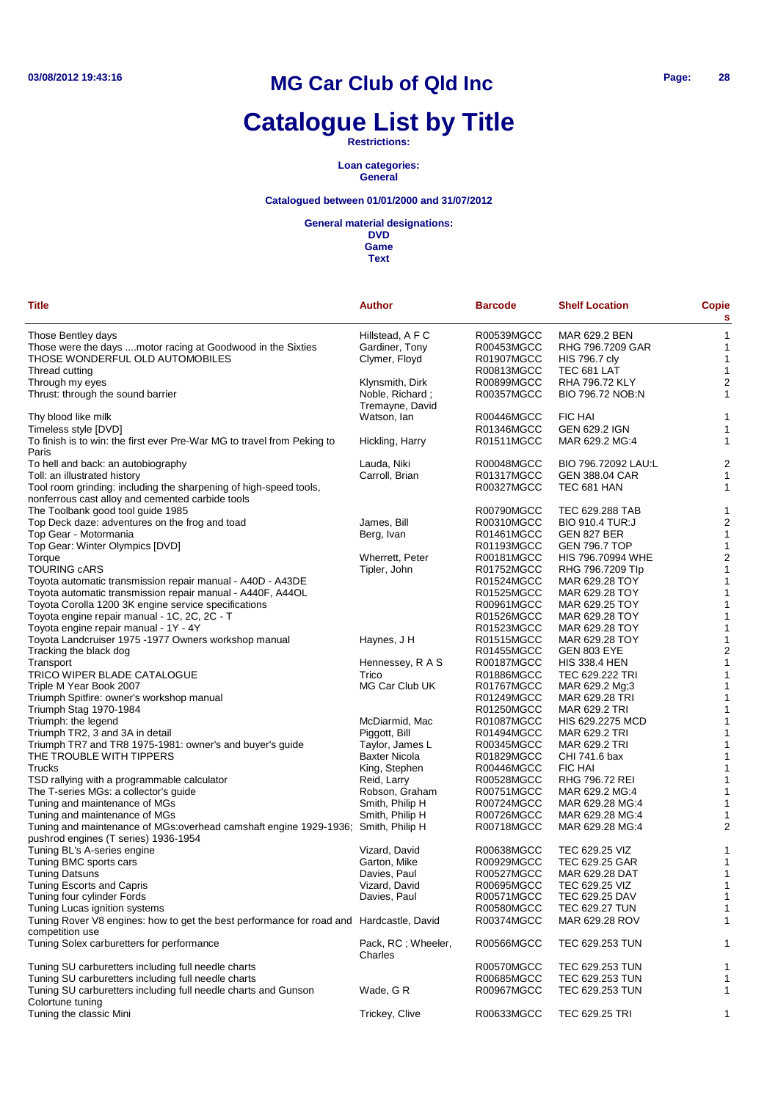# **Catalogue List by Title**

**Restrictions:**

**Loan categories: General**

### **Catalogued between 01/01/2000 and 31/07/2012**

**General material designations:**

**DVD Game**

| <b>Title</b>                                                                                                          | Author                             | <b>Barcode</b> | <b>Shelf Location</b>    | <b>Copie</b><br>s |
|-----------------------------------------------------------------------------------------------------------------------|------------------------------------|----------------|--------------------------|-------------------|
| Those Bentley days                                                                                                    | Hillstead, A F C                   | R00539MGCC     | MAR 629.2 BEN            | $\mathbf{1}$      |
| Those were the days  motor racing at Goodwood in the Sixties                                                          | Gardiner, Tony                     | R00453MGCC     | RHG 796.7209 GAR         | 1                 |
| THOSE WONDERFUL OLD AUTOMOBILES                                                                                       | Clymer, Floyd                      | R01907MGCC     | <b>HIS 796.7 cly</b>     | $\mathbf{1}$      |
| Thread cutting                                                                                                        |                                    | R00813MGCC     | TEC 681 LAT              | -1                |
| Through my eyes                                                                                                       | Klynsmith, Dirk                    | R00899MGCC     | <b>RHA 796.72 KLY</b>    | $\overline{2}$    |
| Thrust: through the sound barrier                                                                                     | Noble, Richard;<br>Tremayne, David | R00357MGCC     | BIO 796.72 NOB:N         | 1                 |
| Thy blood like milk                                                                                                   | Watson, lan                        | R00446MGCC     | <b>FIC HAI</b>           | 1                 |
| Timeless style [DVD]                                                                                                  |                                    | R01346MGCC     | GEN 629.2 IGN            | 1                 |
| To finish is to win: the first ever Pre-War MG to travel from Peking to<br>Paris                                      | Hickling, Harry                    | R01511MGCC     | MAR 629.2 MG:4           | 1                 |
| To hell and back: an autobiography                                                                                    | Lauda, Niki                        | R00048MGCC     | BIO 796.72092 LAU:L      | $\overline{c}$    |
| Toll: an illustrated history                                                                                          | Carroll, Brian                     | R01317MGCC     | <b>GEN 388.04 CAR</b>    | $\mathbf{1}$      |
| Tool room grinding: including the sharpening of high-speed tools,<br>nonferrous cast alloy and cemented carbide tools |                                    | R00327MGCC     | TEC 681 HAN              | 1                 |
| The Toolbank good tool guide 1985                                                                                     |                                    | R00790MGCC     | TEC 629.288 TAB          | 1                 |
| Top Deck daze: adventures on the frog and toad                                                                        | James, Bill                        | R00310MGCC     | <b>BIO 910.4 TUR:J</b>   | $\overline{2}$    |
| Top Gear - Motormania                                                                                                 | Berg, Ivan                         | R01461MGCC     | GEN 827 BER              | 1                 |
| Top Gear: Winter Olympics [DVD]                                                                                       |                                    | R01193MGCC     | <b>GEN 796.7 TOP</b>     | 1                 |
| Torque                                                                                                                | Wherrett, Peter                    | R00181MGCC     | <b>HIS 796.70994 WHE</b> | $\overline{c}$    |
| <b>TOURING CARS</b>                                                                                                   | Tipler, John                       | R01752MGCC     | RHG 796.7209 Tlp         | 1                 |
| Toyota automatic transmission repair manual - A40D - A43DE                                                            |                                    | R01524MGCC     | MAR 629.28 TOY           | 1                 |
| Toyota automatic transmission repair manual - A440F, A44OL                                                            |                                    | R01525MGCC     | MAR 629.28 TOY           | 1                 |
| Toyota Corolla 1200 3K engine service specifications                                                                  |                                    | R00961MGCC     | MAR 629.25 TOY           | 1                 |
| Toyota engine repair manual - 1C, 2C, 2C - T                                                                          |                                    | R01526MGCC     | MAR 629.28 TOY           | 1                 |
| Toyota engine repair manual - 1Y - 4Y                                                                                 |                                    | R01523MGCC     | MAR 629.28 TOY           | 1                 |
| Toyota Landcruiser 1975 -1977 Owners workshop manual                                                                  | Haynes, J H                        | R01515MGCC     | MAR 629.28 TOY           | 1                 |
| Tracking the black dog                                                                                                |                                    | R01455MGCC     | <b>GEN 803 EYE</b>       | $\overline{c}$    |
| Transport                                                                                                             | Hennessey, R A S                   | R00187MGCC     | <b>HIS 338.4 HEN</b>     | 1                 |
| TRICO WIPER BLADE CATALOGUE                                                                                           | Trico                              | R01886MGCC     | TEC 629.222 TRI          | 1                 |
| Triple M Year Book 2007                                                                                               | MG Car Club UK                     | R01767MGCC     | MAR 629.2 Mg;3           | 1                 |
|                                                                                                                       |                                    |                | MAR 629.28 TRI           |                   |
| Triumph Spitfire: owner's workshop manual                                                                             |                                    | R01249MGCC     |                          | 1                 |
| Triumph Stag 1970-1984                                                                                                |                                    | R01250MGCC     | MAR 629.2 TRI            | 1                 |
| Triumph: the legend                                                                                                   | McDiarmid, Mac                     | R01087MGCC     | HIS 629.2275 MCD         | 1                 |
| Triumph TR2, 3 and 3A in detail                                                                                       | Piggott, Bill                      | R01494MGCC     | MAR 629.2 TRI            | 1                 |
| Triumph TR7 and TR8 1975-1981: owner's and buyer's guide                                                              | Taylor, James L                    | R00345MGCC     | MAR 629.2 TRI            | 1                 |
| THE TROUBLE WITH TIPPERS                                                                                              | <b>Baxter Nicola</b>               | R01829MGCC     | CHI 741.6 bax            | 1                 |
| Trucks                                                                                                                | King, Stephen                      | R00446MGCC     | <b>FIC HAI</b>           | 1                 |
| TSD rallying with a programmable calculator                                                                           | Reid, Larry                        | R00528MGCC     | <b>RHG 796.72 REI</b>    | 1                 |
| The T-series MGs: a collector's guide                                                                                 | Robson, Graham                     | R00751MGCC     | MAR 629.2 MG:4           | 1                 |
| Tuning and maintenance of MGs                                                                                         | Smith, Philip H                    | R00724MGCC     | MAR 629.28 MG:4          | 1                 |
| Tuning and maintenance of MGs                                                                                         | Smith, Philip H                    | R00726MGCC     | MAR 629.28 MG:4          | 1                 |
| Tuning and maintenance of MGs:overhead camshaft engine 1929-1936; Smith, Philip H                                     |                                    | R00718MGCC     | MAR 629.28 MG:4          | 2                 |
| pushrod engines (T series) 1936-1954                                                                                  |                                    |                |                          |                   |
| Tuning BL's A-series engine                                                                                           | Vizard, David                      | R00638MGCC     | TEC 629.25 VIZ           | 1                 |
| Tuning BMC sports cars                                                                                                | Garton, Mike                       | R00929MGCC     | TEC 629.25 GAR           | 1                 |
| <b>Tuning Datsuns</b>                                                                                                 | Davies, Paul                       | R00527MGCC     | MAR 629.28 DAT           | 1                 |
| Tuning Escorts and Capris                                                                                             | Vizard, David                      | R00695MGCC     | TEC 629.25 VIZ           | $\mathbf{1}$      |
| Tuning four cylinder Fords                                                                                            | Davies, Paul                       | R00571MGCC     | TEC 629.25 DAV           | 1                 |
| Tuning Lucas ignition systems                                                                                         |                                    | R00580MGCC     | <b>TEC 629.27 TUN</b>    | 1                 |
| Tuning Rover V8 engines: how to get the best performance for road and Hardcastle, David<br>competition use            |                                    | R00374MGCC     | MAR 629.28 ROV           | 1                 |
| Tuning Solex carburetters for performance                                                                             | Pack, RC; Wheeler,<br>Charles      | R00566MGCC     | TEC 629.253 TUN          | 1                 |
| Tuning SU carburetters including full needle charts                                                                   |                                    | R00570MGCC     | TEC 629.253 TUN          | 1                 |
| Tuning SU carburetters including full needle charts                                                                   |                                    | R00685MGCC     | TEC 629.253 TUN          | 1                 |
| Tuning SU carburetters including full needle charts and Gunson                                                        | Wade, G R                          | R00967MGCC     | TEC 629.253 TUN          | 1                 |
| Colortune tuning                                                                                                      |                                    |                |                          |                   |
| Tuning the classic Mini                                                                                               | Trickey, Clive                     | R00633MGCC     | TEC 629.25 TRI           | 1                 |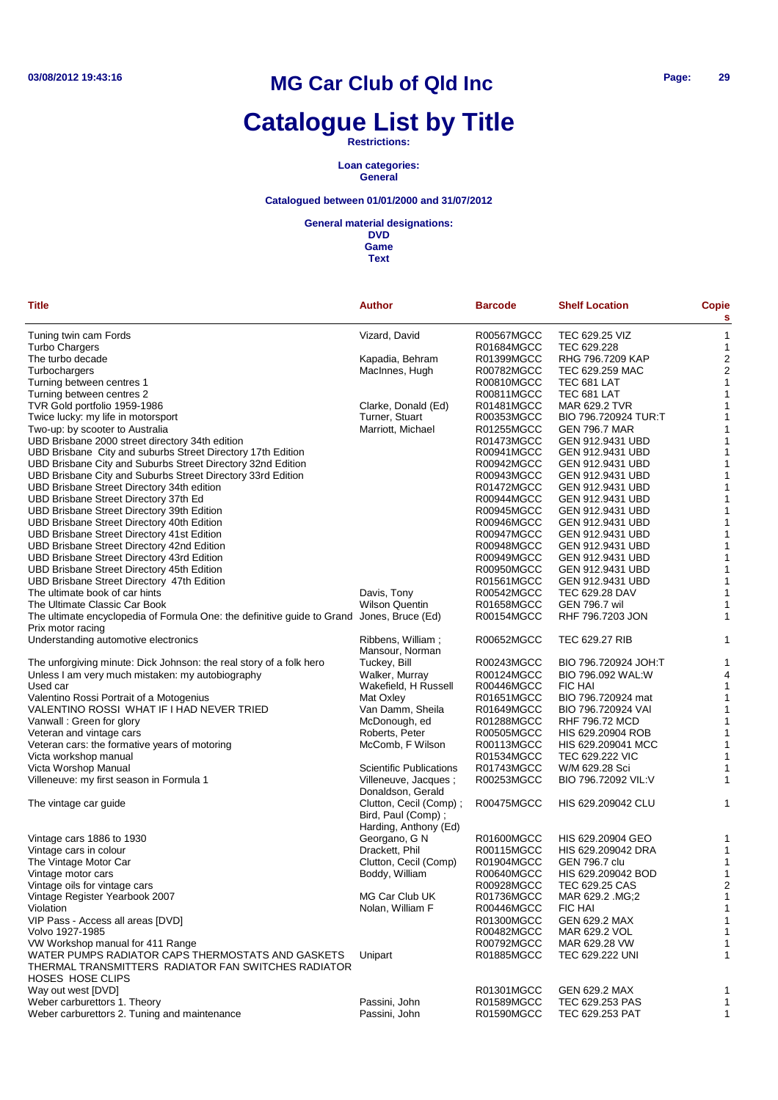# **Catalogue List by Title**

**Restrictions:**

**Loan categories: General**

### **Catalogued between 01/01/2000 and 31/07/2012**

**General material designations:**

| <b>Title</b>                                                                              | <b>Author</b>                                 | <b>Barcode</b> | <b>Shelf Location</b> | <b>Copie</b><br>s       |
|-------------------------------------------------------------------------------------------|-----------------------------------------------|----------------|-----------------------|-------------------------|
| Tuning twin cam Fords                                                                     | Vizard, David                                 | R00567MGCC     | TEC 629.25 VIZ        | $\mathbf{1}$            |
| Turbo Chargers                                                                            |                                               | R01684MGCC     | TEC 629.228           | $\mathbf{1}$            |
| The turbo decade                                                                          | Kapadia, Behram                               | R01399MGCC     | RHG 796.7209 KAP      | $\overline{c}$          |
| Turbochargers                                                                             | MacInnes, Hugh                                | R00782MGCC     | TEC 629.259 MAC       | $\overline{c}$          |
| Turning between centres 1                                                                 |                                               | R00810MGCC     | TEC 681 LAT           | $\mathbf{1}$            |
| Turning between centres 2                                                                 |                                               | R00811MGCC     | TEC 681 LAT           | $\mathbf{1}$            |
| TVR Gold portfolio 1959-1986                                                              | Clarke, Donald (Ed)                           | R01481MGCC     | MAR 629.2 TVR         | $\mathbf{1}$            |
| Twice lucky: my life in motorsport                                                        | Turner, Stuart                                | R00353MGCC     | BIO 796.720924 TUR:T  | 1                       |
| Two-up: by scooter to Australia                                                           | Marriott, Michael                             | R01255MGCC     | <b>GEN 796.7 MAR</b>  | 1                       |
| UBD Brisbane 2000 street directory 34th edition                                           |                                               | R01473MGCC     | GEN 912.9431 UBD      | 1                       |
| UBD Brisbane City and suburbs Street Directory 17th Edition                               |                                               | R00941MGCC     | GEN 912.9431 UBD      | 1                       |
| UBD Brisbane City and Suburbs Street Directory 32nd Edition                               |                                               | R00942MGCC     | GEN 912.9431 UBD      | 1                       |
| UBD Brisbane City and Suburbs Street Directory 33rd Edition                               |                                               | R00943MGCC     | GEN 912.9431 UBD      | $\mathbf{1}$            |
| UBD Brisbane Street Directory 34th edition                                                |                                               | R01472MGCC     | GEN 912.9431 UBD      | 1                       |
| UBD Brisbane Street Directory 37th Ed                                                     |                                               | R00944MGCC     | GEN 912.9431 UBD      | $\mathbf{1}$            |
| UBD Brisbane Street Directory 39th Edition                                                |                                               | R00945MGCC     | GEN 912.9431 UBD      | 1                       |
| UBD Brisbane Street Directory 40th Edition                                                |                                               | R00946MGCC     | GEN 912.9431 UBD      | 1                       |
| UBD Brisbane Street Directory 41st Edition                                                |                                               | R00947MGCC     | GEN 912.9431 UBD      | 1                       |
|                                                                                           |                                               | R00948MGCC     | GEN 912.9431 UBD      | $\mathbf{1}$            |
| UBD Brisbane Street Directory 42nd Edition                                                |                                               |                | GEN 912.9431 UBD      |                         |
| UBD Brisbane Street Directory 43rd Edition                                                |                                               | R00949MGCC     |                       | $\mathbf{1}$            |
| UBD Brisbane Street Directory 45th Edition                                                |                                               | R00950MGCC     | GEN 912.9431 UBD      | $\mathbf{1}$            |
| UBD Brisbane Street Directory 47th Edition                                                |                                               | R01561MGCC     | GEN 912.9431 UBD      | $\mathbf{1}$            |
| The ultimate book of car hints                                                            | Davis, Tony                                   | R00542MGCC     | TEC 629.28 DAV        | $\mathbf{1}$            |
| The Ultimate Classic Car Book                                                             | <b>Wilson Quentin</b>                         | R01658MGCC     | <b>GEN 796.7 wil</b>  | 1                       |
| The ultimate encyclopedia of Formula One: the definitive guide to Grand Jones, Bruce (Ed) |                                               | R00154MGCC     | RHF 796.7203 JON      | 1                       |
| Prix motor racing<br>Understanding automotive electronics                                 | Ribbens, William;                             | R00652MGCC     | <b>TEC 629.27 RIB</b> | 1                       |
|                                                                                           | Mansour, Norman                               |                |                       |                         |
| The unforgiving minute: Dick Johnson: the real story of a folk hero                       | Tuckey, Bill                                  | R00243MGCC     | BIO 796.720924 JOH:T  | 1                       |
| Unless I am very much mistaken: my autobiography                                          | Walker, Murray                                | R00124MGCC     | BIO 796.092 WAL:W     | 4                       |
| Used car                                                                                  | Wakefield, H Russell                          | R00446MGCC     | FIC HAI               | $\mathbf{1}$            |
| Valentino Rossi Portrait of a Motogenius                                                  | Mat Oxley                                     | R01651MGCC     | BIO 796.720924 mat    | $\mathbf{1}$            |
| VALENTINO ROSSI WHAT IF I HAD NEVER TRIED                                                 | Van Damm, Sheila                              | R01649MGCC     | BIO 796.720924 VAI    | $\mathbf{1}$            |
| Vanwall: Green for glory                                                                  | McDonough, ed                                 | R01288MGCC     | RHF 796.72 MCD        | $\mathbf{1}$            |
| Veteran and vintage cars                                                                  | Roberts, Peter                                | R00505MGCC     | HIS 629.20904 ROB     | 1                       |
| Veteran cars: the formative years of motoring                                             | McComb, F Wilson                              | R00113MGCC     | HIS 629.209041 MCC    | $\mathbf{1}$            |
| Victa workshop manual                                                                     |                                               | R01534MGCC     | TEC 629.222 VIC       | 1                       |
| Victa Worshop Manual                                                                      | <b>Scientific Publications</b>                | R01743MGCC     | W/M 629.28 Sci        | 1                       |
| Villeneuve: my first season in Formula 1                                                  | Villeneuve, Jacques;                          | R00253MGCC     | BIO 796.72092 VIL:V   | 1                       |
|                                                                                           | Donaldson, Gerald                             |                |                       |                         |
| The vintage car guide                                                                     | Clutton, Cecil (Comp) :<br>Bird, Paul (Comp); | R00475MGCC     | HIS 629.209042 CLU    | 1                       |
|                                                                                           | Harding, Anthony (Ed)                         |                |                       |                         |
| Vintage cars 1886 to 1930                                                                 | Georgano, G N                                 | R01600MGCC     | HIS 629.20904 GEO     | 1                       |
| Vintage cars in colour                                                                    | Drackett, Phil                                | R00115MGCC     | HIS 629.209042 DRA    | 1                       |
| The Vintage Motor Car                                                                     | Clutton, Cecil (Comp)                         | R01904MGCC     | <b>GEN 796.7 clu</b>  | 1                       |
| Vintage motor cars                                                                        | Boddy, William                                | R00640MGCC     | HIS 629.209042 BOD    | 1                       |
| Vintage oils for vintage cars                                                             |                                               | R00928MGCC     | TEC 629.25 CAS        | $\overline{\mathbf{c}}$ |
| Vintage Register Yearbook 2007                                                            | MG Car Club UK                                | R01736MGCC     | MAR 629.2 .MG;2       | $\mathbf{1}$            |
| Violation                                                                                 | Nolan, William F                              | R00446MGCC     | <b>FIC HAI</b>        | $\mathbf{1}$            |
| VIP Pass - Access all areas [DVD]                                                         |                                               | R01300MGCC     | <b>GEN 629.2 MAX</b>  | $\mathbf{1}$            |
| Volvo 1927-1985                                                                           |                                               | R00482MGCC     | MAR 629.2 VOL         | $\mathbf{1}$            |
| VW Workshop manual for 411 Range                                                          |                                               | R00792MGCC     | MAR 629.28 VW         | 1                       |
| WATER PUMPS RADIATOR CAPS THERMOSTATS AND GASKETS                                         | Unipart                                       | R01885MGCC     | TEC 629.222 UNI       | 1                       |
| THERMAL TRANSMITTERS RADIATOR FAN SWITCHES RADIATOR                                       |                                               |                |                       |                         |
| HOSES HOSE CLIPS                                                                          |                                               |                |                       |                         |
| Way out west [DVD]                                                                        |                                               | R01301MGCC     | GEN 629.2 MAX         | 1                       |
| Weber carburettors 1. Theory                                                              | Passini, John                                 | R01589MGCC     | TEC 629.253 PAS       | $\mathbf{1}$            |
| Weber carburettors 2. Tuning and maintenance                                              | Passini, John                                 | R01590MGCC     | TEC 629.253 PAT       | $\mathbf{1}$            |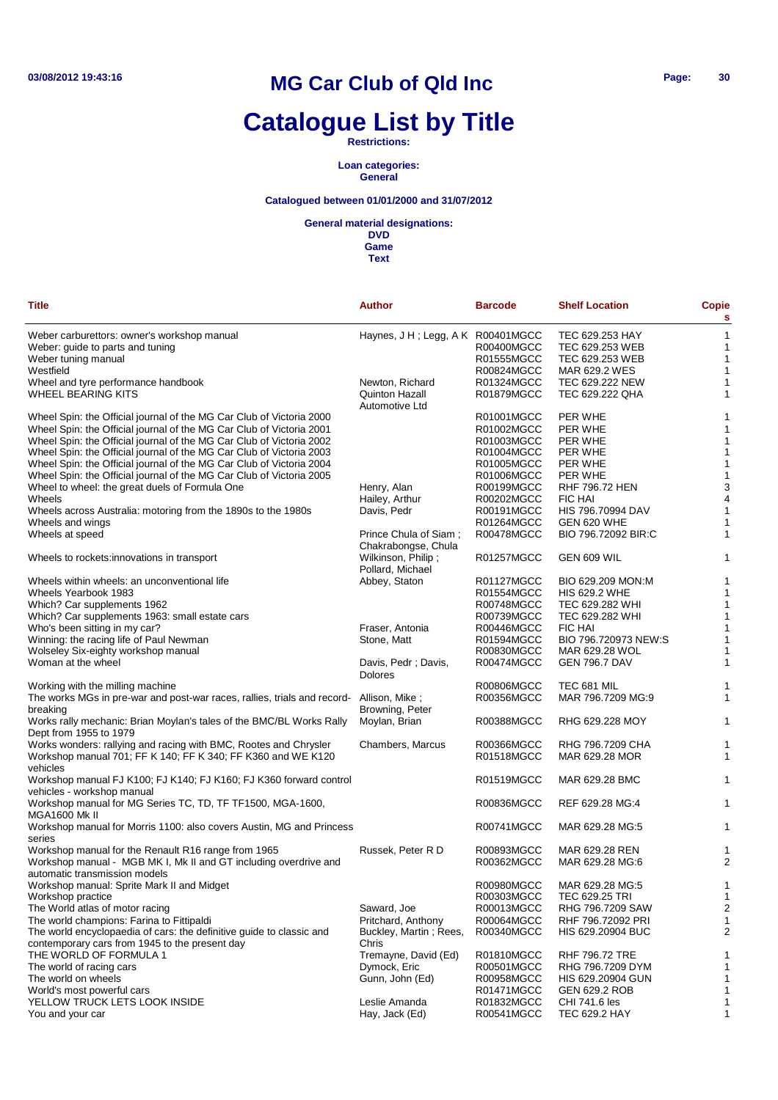# **Catalogue List by Title**

**Restrictions:**

**Loan categories: General**

### **Catalogued between 01/01/2000 and 31/07/2012**

**General material designations:**

**DVD Game**

| Title                                                                                   | <b>Author</b>                     | <b>Barcode</b> | <b>Shelf Location</b> | <b>Copie</b><br>s |
|-----------------------------------------------------------------------------------------|-----------------------------------|----------------|-----------------------|-------------------|
| Weber carburettors: owner's workshop manual                                             | Haynes, J H; Legg, A K R00401MGCC |                | TEC 629.253 HAY       | 1                 |
| Weber: guide to parts and tuning                                                        |                                   | R00400MGCC     | TEC 629.253 WEB       | 1                 |
| Weber tuning manual                                                                     |                                   | R01555MGCC     | TEC 629.253 WEB       | $\mathbf 1$       |
| Westfield                                                                               |                                   | R00824MGCC     | MAR 629.2 WES         | 1                 |
| Wheel and tyre performance handbook                                                     | Newton, Richard                   | R01324MGCC     | TEC 629.222 NEW       | 1                 |
| WHEEL BEARING KITS                                                                      | <b>Quinton Hazall</b>             | R01879MGCC     | TEC 629.222 QHA       | 1                 |
|                                                                                         | Automotive Ltd                    |                |                       |                   |
| Wheel Spin: the Official journal of the MG Car Club of Victoria 2000                    |                                   | R01001MGCC     | PER WHE               | 1                 |
| Wheel Spin: the Official journal of the MG Car Club of Victoria 2001                    |                                   | R01002MGCC     | PER WHE               | 1                 |
| Wheel Spin: the Official journal of the MG Car Club of Victoria 2002                    |                                   | R01003MGCC     | PER WHE               | 1                 |
| Wheel Spin: the Official journal of the MG Car Club of Victoria 2003                    |                                   | R01004MGCC     | PER WHE               | 1                 |
| Wheel Spin: the Official journal of the MG Car Club of Victoria 2004                    |                                   | R01005MGCC     | PER WHE               | 1                 |
| Wheel Spin: the Official journal of the MG Car Club of Victoria 2005                    |                                   | R01006MGCC     | PER WHE               | 1                 |
| Wheel to wheel: the great duels of Formula One                                          | Henry, Alan                       | R00199MGCC     | <b>RHF 796.72 HEN</b> | 3                 |
| Wheels                                                                                  | Hailey, Arthur                    | R00202MGCC     | <b>FIC HAI</b>        | 4                 |
| Wheels across Australia: motoring from the 1890s to the 1980s                           | Davis, Pedr                       | R00191MGCC     | HIS 796.70994 DAV     |                   |
| Wheels and wings                                                                        |                                   | R01264MGCC     | GEN 620 WHE           | 1                 |
| Wheels at speed                                                                         | Prince Chula of Siam;             | R00478MGCC     | BIO 796.72092 BIR:C   |                   |
|                                                                                         | Chakrabongse, Chula               |                |                       |                   |
| Wheels to rockets:innovations in transport                                              | Wilkinson, Philip;                | R01257MGCC     | <b>GEN 609 WIL</b>    | 1                 |
|                                                                                         | Pollard, Michael                  |                |                       |                   |
| Wheels within wheels: an unconventional life                                            | Abbey, Staton                     | R01127MGCC     | BIO 629.209 MON:M     |                   |
| Wheels Yearbook 1983                                                                    |                                   | R01554MGCC     | <b>HIS 629.2 WHE</b>  | 1                 |
| Which? Car supplements 1962                                                             |                                   | R00748MGCC     | TEC 629.282 WHI       | $\mathbf 1$       |
| Which? Car supplements 1963: small estate cars                                          |                                   | R00739MGCC     | TEC 629.282 WHI       | 1                 |
| Who's been sitting in my car?                                                           | Fraser, Antonia                   | R00446MGCC     | <b>FIC HAI</b>        | 1                 |
| Winning: the racing life of Paul Newman                                                 | Stone, Matt                       | R01594MGCC     | BIO 796.720973 NEW:S  | 1                 |
| Wolseley Six-eighty workshop manual                                                     |                                   | R00830MGCC     | MAR 629.28 WOL        | 1                 |
|                                                                                         |                                   | R00474MGCC     |                       |                   |
| Woman at the wheel                                                                      | Davis, Pedr; Davis,<br>Dolores    |                | <b>GEN 796.7 DAV</b>  | 1                 |
| Working with the milling machine                                                        |                                   | R00806MGCC     | <b>TEC 681 MIL</b>    | 1                 |
| The works MGs in pre-war and post-war races, rallies, trials and record- Allison, Mike; |                                   | R00356MGCC     | MAR 796.7209 MG:9     | 1                 |
| breaking                                                                                | Browning, Peter                   |                |                       |                   |
| Works rally mechanic: Brian Moylan's tales of the BMC/BL Works Rally                    | Moylan, Brian                     | R00388MGCC     | RHG 629.228 MOY       | 1                 |
| Dept from 1955 to 1979                                                                  |                                   |                |                       |                   |
| Works wonders: rallying and racing with BMC, Rootes and Chrysler                        |                                   | R00366MGCC     | RHG 796.7209 CHA      |                   |
|                                                                                         | Chambers, Marcus                  |                |                       | 1                 |
| Workshop manual 701; FF K 140; FF K 340; FF K360 and WE K120                            |                                   | R01518MGCC     | MAR 629.28 MOR        | 1                 |
| vehicles                                                                                |                                   |                |                       |                   |
| Workshop manual FJ K100; FJ K140; FJ K160; FJ K360 forward control                      |                                   | R01519MGCC     | MAR 629.28 BMC        | 1                 |
| vehicles - workshop manual                                                              |                                   |                |                       |                   |
| Workshop manual for MG Series TC, TD, TF TF1500, MGA-1600,                              |                                   | R00836MGCC     | REF 629.28 MG:4       | 1                 |
| MGA1600 Mk II                                                                           |                                   |                |                       |                   |
| Workshop manual for Morris 1100: also covers Austin, MG and Princess                    |                                   | R00741MGCC     | MAR 629.28 MG:5       | 1                 |
| series                                                                                  |                                   |                |                       |                   |
| Workshop manual for the Renault R16 range from 1965                                     | Russek, Peter R D                 | R00893MGCC     | MAR 629.28 REN        | 1                 |
| Workshop manual - MGB MK I, Mk II and GT including overdrive and                        |                                   | R00362MGCC     | MAR 629.28 MG:6       | 2                 |
| automatic transmission models                                                           |                                   |                |                       |                   |
| Workshop manual: Sprite Mark II and Midget                                              |                                   | R00980MGCC     | MAR 629.28 MG:5       |                   |
| Workshop practice                                                                       |                                   | R00303MGCC     | TEC 629.25 TRI        | 1                 |
| The World atlas of motor racing                                                         | Saward, Joe                       | R00013MGCC     | RHG 796.7209 SAW      | $\overline{c}$    |
| The world champions: Farina to Fittipaldi                                               | Pritchard, Anthony                | R00064MGCC     | RHF 796.72092 PRI     | 1                 |
| The world encyclopaedia of cars: the definitive guide to classic and                    | Buckley, Martin; Rees,            | R00340MGCC     | HIS 629.20904 BUC     | $\overline{a}$    |
| contemporary cars from 1945 to the present day                                          | Chris                             |                |                       |                   |
| THE WORLD OF FORMULA 1                                                                  | Tremayne, David (Ed)              | R01810MGCC     | RHF 796.72 TRE        | 1                 |
| The world of racing cars                                                                | Dymock, Eric                      | R00501MGCC     | RHG 796.7209 DYM      | 1                 |
| The world on wheels                                                                     | Gunn, John (Ed)                   | R00958MGCC     | HIS 629.20904 GUN     | 1                 |
| World's most powerful cars                                                              |                                   | R01471MGCC     | GEN 629.2 ROB         | 1                 |
| YELLOW TRUCK LETS LOOK INSIDE                                                           | Leslie Amanda                     | R01832MGCC     | CHI 741.6 les         | 1                 |
| You and your car                                                                        | Hay, Jack (Ed)                    | R00541MGCC     | TEC 629.2 HAY         | 1                 |